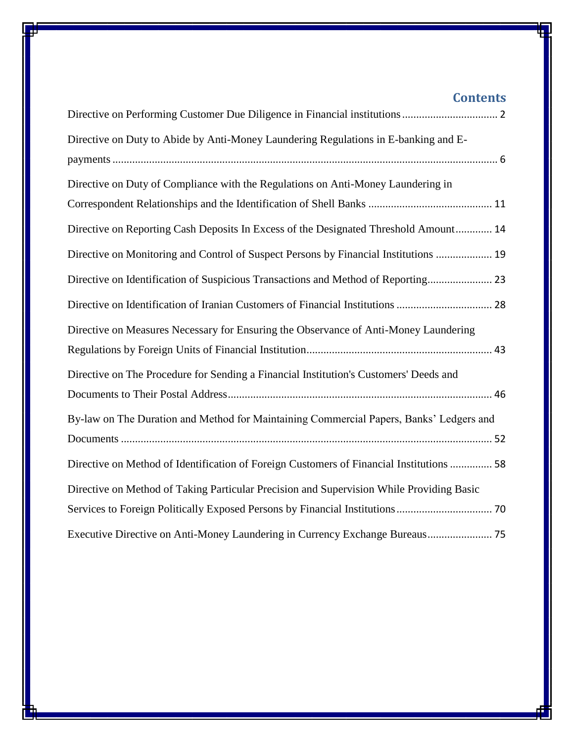# **Contents**

| Directive on Duty to Abide by Anti-Money Laundering Regulations in E-banking and E-      |
|------------------------------------------------------------------------------------------|
|                                                                                          |
| Directive on Duty of Compliance with the Regulations on Anti-Money Laundering in         |
|                                                                                          |
| Directive on Reporting Cash Deposits In Excess of the Designated Threshold Amount 14     |
| Directive on Monitoring and Control of Suspect Persons by Financial Institutions  19     |
| Directive on Identification of Suspicious Transactions and Method of Reporting 23        |
| Directive on Identification of Iranian Customers of Financial Institutions  28           |
| Directive on Measures Necessary for Ensuring the Observance of Anti-Money Laundering     |
|                                                                                          |
| Directive on The Procedure for Sending a Financial Institution's Customers' Deeds and    |
|                                                                                          |
| By-law on The Duration and Method for Maintaining Commercial Papers, Banks' Ledgers and  |
|                                                                                          |
| Directive on Method of Identification of Foreign Customers of Financial Institutions  58 |
| Directive on Method of Taking Particular Precision and Supervision While Providing Basic |
|                                                                                          |
| Executive Directive on Anti-Money Laundering in Currency Exchange Bureaus 75             |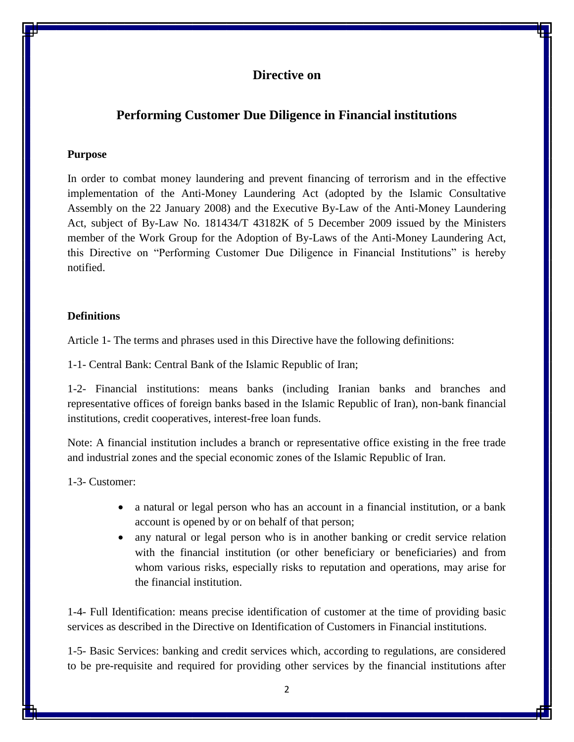# <span id="page-1-1"></span><span id="page-1-0"></span>**Performing Customer Due Diligence in Financial institutions**

#### **Purpose**

In order to combat money laundering and prevent financing of terrorism and in the effective implementation of the Anti-Money Laundering Act (adopted by the Islamic Consultative Assembly on the 22 January 2008) and the Executive By-Law of the Anti-Money Laundering Act, subject of By-Law No. 181434/T 43182K of 5 December 2009 issued by the Ministers member of the Work Group for the Adoption of By-Laws of the Anti-Money Laundering Act, this Directive on "Performing Customer Due Diligence in Financial Institutions" is hereby notified.

## **Definitions**

Article 1- The terms and phrases used in this Directive have the following definitions:

1-1- Central Bank: Central Bank of the Islamic Republic of Iran;

1-2- Financial institutions: means banks (including Iranian banks and branches and representative offices of foreign banks based in the Islamic Republic of Iran), non-bank financial institutions, credit cooperatives, interest-free loan funds.

Note: A financial institution includes a branch or representative office existing in the free trade and industrial zones and the special economic zones of the Islamic Republic of Iran.

1-3- Customer:

- a natural or legal person who has an account in a financial institution, or a bank account is opened by or on behalf of that person;
- any natural or legal person who is in another banking or credit service relation with the financial institution (or other beneficiary or beneficiaries) and from whom various risks, especially risks to reputation and operations, may arise for the financial institution.

1-4- Full Identification: means precise identification of customer at the time of providing basic services as described in the Directive on Identification of Customers in Financial institutions.

1-5- Basic Services: banking and credit services which, according to regulations, are considered to be pre-requisite and required for providing other services by the financial institutions after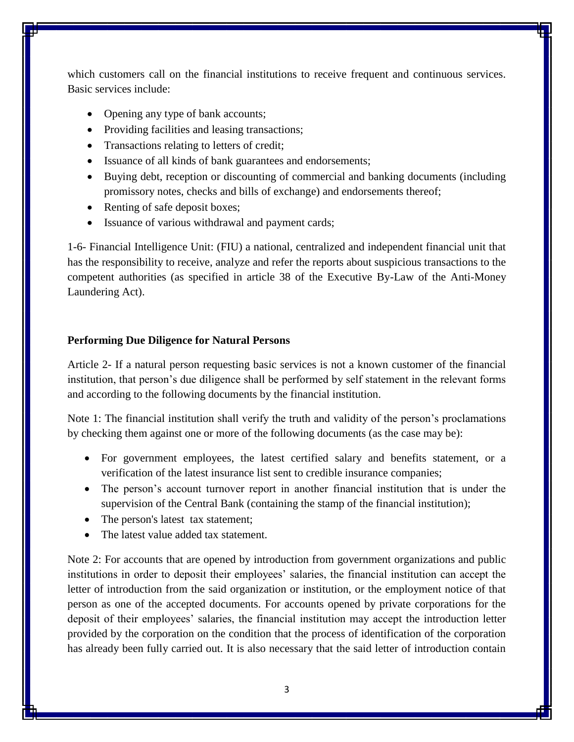which customers call on the financial institutions to receive frequent and continuous services. Basic services include:

- Opening any type of bank accounts;
- Providing facilities and leasing transactions;
- Transactions relating to letters of credit;
- Issuance of all kinds of bank guarantees and endorsements;
- Buying debt, reception or discounting of commercial and banking documents (including promissory notes, checks and bills of exchange) and endorsements thereof;
- Renting of safe deposit boxes;
- Issuance of various withdrawal and payment cards;

1-6- Financial Intelligence Unit: (FIU) a national, centralized and independent financial unit that has the responsibility to receive, analyze and refer the reports about suspicious transactions to the competent authorities (as specified in article 38 of the Executive By-Law of the Anti-Money Laundering Act).

#### **Performing Due Diligence for Natural Persons**

Article 2- If a natural person requesting basic services is not a known customer of the financial institution, that person's due diligence shall be performed by self statement in the relevant forms and according to the following documents by the financial institution.

Note 1: The financial institution shall verify the truth and validity of the person's proclamations by checking them against one or more of the following documents (as the case may be):

- For government employees, the latest certified salary and benefits statement, or a verification of the latest insurance list sent to credible insurance companies;
- The person's account turnover report in another financial institution that is under the supervision of the Central Bank (containing the stamp of the financial institution);
- The person's latest tax statement;
- The latest value added tax statement.

Note 2: For accounts that are opened by introduction from government organizations and public institutions in order to deposit their employees' salaries, the financial institution can accept the letter of introduction from the said organization or institution, or the employment notice of that person as one of the accepted documents. For accounts opened by private corporations for the deposit of their employees' salaries, the financial institution may accept the introduction letter provided by the corporation on the condition that the process of identification of the corporation has already been fully carried out. It is also necessary that the said letter of introduction contain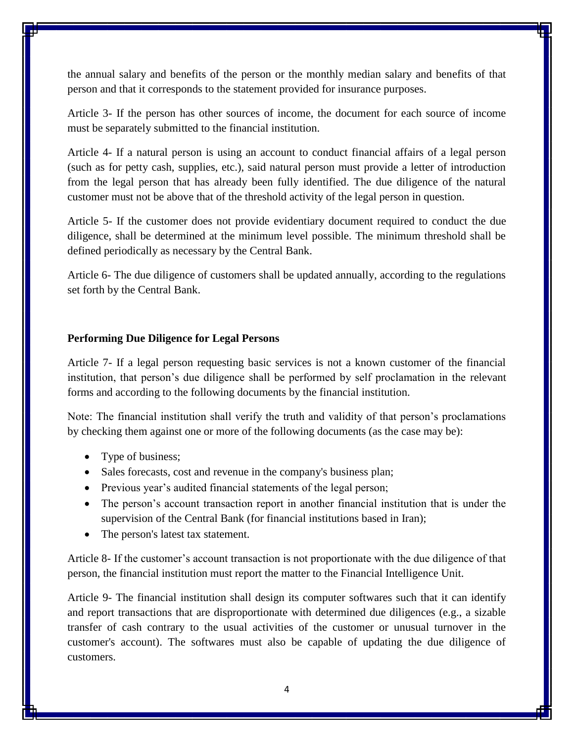the annual salary and benefits of the person or the monthly median salary and benefits of that person and that it corresponds to the statement provided for insurance purposes.

Article 3- If the person has other sources of income, the document for each source of income must be separately submitted to the financial institution.

Article 4- If a natural person is using an account to conduct financial affairs of a legal person (such as for petty cash, supplies, etc.), said natural person must provide a letter of introduction from the legal person that has already been fully identified. The due diligence of the natural customer must not be above that of the threshold activity of the legal person in question.

Article 5- If the customer does not provide evidentiary document required to conduct the due diligence, shall be determined at the minimum level possible. The minimum threshold shall be defined periodically as necessary by the Central Bank.

Article 6- The due diligence of customers shall be updated annually, according to the regulations set forth by the Central Bank.

#### **Performing Due Diligence for Legal Persons**

Article 7- If a legal person requesting basic services is not a known customer of the financial institution, that person's due diligence shall be performed by self proclamation in the relevant forms and according to the following documents by the financial institution.

Note: The financial institution shall verify the truth and validity of that person's proclamations by checking them against one or more of the following documents (as the case may be):

- Type of business;
- Sales forecasts, cost and revenue in the company's business plan;
- Previous year's audited financial statements of the legal person;
- The person's account transaction report in another financial institution that is under the supervision of the Central Bank (for financial institutions based in Iran);
- The person's latest tax statement.

Article 8- If the customer's account transaction is not proportionate with the due diligence of that person, the financial institution must report the matter to the Financial Intelligence Unit.

Article 9- The financial institution shall design its computer softwares such that it can identify and report transactions that are disproportionate with determined due diligences (e.g., a sizable transfer of cash contrary to the usual activities of the customer or unusual turnover in the customer's account). The softwares must also be capable of updating the due diligence of customers.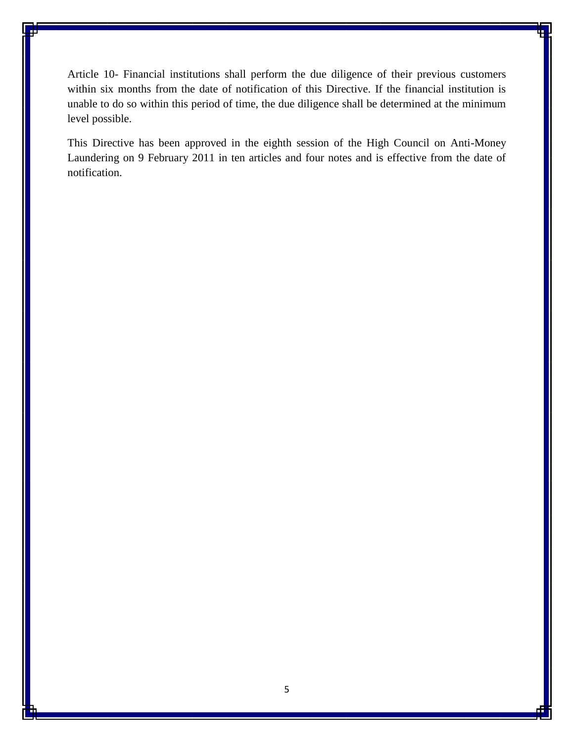Article 10- Financial institutions shall perform the due diligence of their previous customers within six months from the date of notification of this Directive. If the financial institution is unable to do so within this period of time, the due diligence shall be determined at the minimum level possible.

This Directive has been approved in the eighth session of the High Council on Anti-Money Laundering on 9 February 2011 in ten articles and four notes and is effective from the date of notification.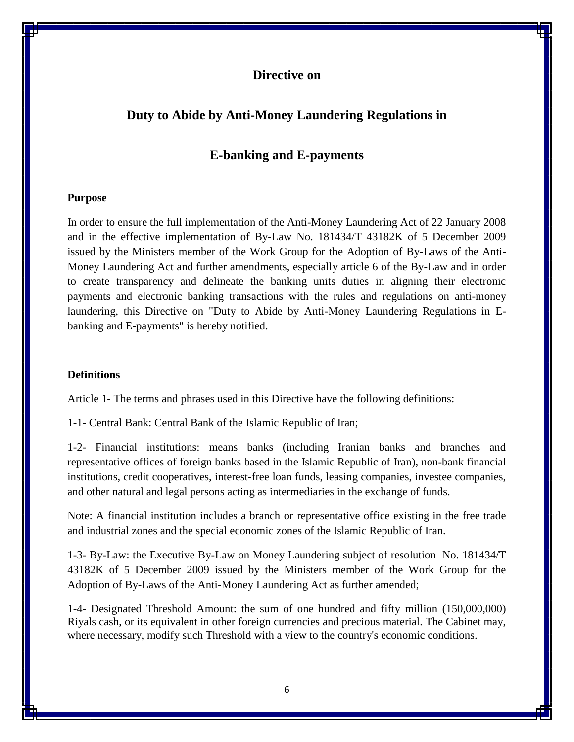# <span id="page-5-2"></span><span id="page-5-1"></span><span id="page-5-0"></span>**Duty to Abide by Anti-Money Laundering Regulations in**

# **E-banking and E-payments**

#### **Purpose**

In order to ensure the full implementation of the Anti-Money Laundering Act of 22 January 2008 and in the effective implementation of By-Law No. 181434/T 43182K of 5 December 2009 issued by the Ministers member of the Work Group for the Adoption of By-Laws of the Anti-Money Laundering Act and further amendments, especially article 6 of the By-Law and in order to create transparency and delineate the banking units duties in aligning their electronic payments and electronic banking transactions with the rules and regulations on anti-money laundering, this Directive on "Duty to Abide by Anti-Money Laundering Regulations in Ebanking and E-payments" is hereby notified.

#### **Definitions**

Article 1- The terms and phrases used in this Directive have the following definitions:

1-1- Central Bank: Central Bank of the Islamic Republic of Iran;

1-2- Financial institutions: means banks (including Iranian banks and branches and representative offices of foreign banks based in the Islamic Republic of Iran), non-bank financial institutions, credit cooperatives, interest-free loan funds, leasing companies, investee companies, and other natural and legal persons acting as intermediaries in the exchange of funds.

Note: A financial institution includes a branch or representative office existing in the free trade and industrial zones and the special economic zones of the Islamic Republic of Iran.

1-3- By-Law: the Executive By-Law on Money Laundering subject of resolution No. 181434/T 43182K of 5 December 2009 issued by the Ministers member of the Work Group for the Adoption of By-Laws of the Anti-Money Laundering Act as further amended;

1-4- Designated Threshold Amount: the sum of one hundred and fifty million (150,000,000) Riyals cash, or its equivalent in other foreign currencies and precious material. The Cabinet may, where necessary, modify such Threshold with a view to the country's economic conditions.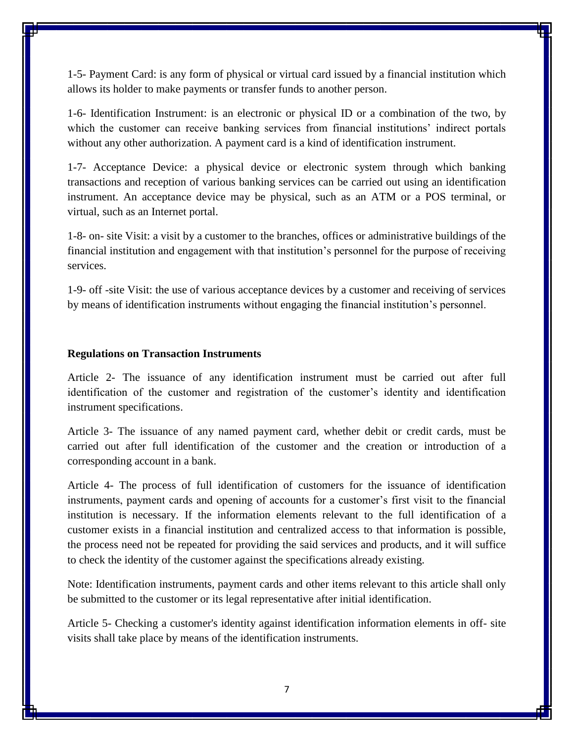1-5- Payment Card: is any form of physical or virtual card issued by a financial institution which allows its holder to make payments or transfer funds to another person.

1-6- Identification Instrument: is an electronic or physical ID or a combination of the two, by which the customer can receive banking services from financial institutions' indirect portals without any other authorization. A payment card is a kind of identification instrument.

1-7- Acceptance Device: a physical device or electronic system through which banking transactions and reception of various banking services can be carried out using an identification instrument. An acceptance device may be physical, such as an ATM or a POS terminal, or virtual, such as an Internet portal.

1-8- on- site Visit: a visit by a customer to the branches, offices or administrative buildings of the financial institution and engagement with that institution's personnel for the purpose of receiving services.

1-9- off -site Visit: the use of various acceptance devices by a customer and receiving of services by means of identification instruments without engaging the financial institution's personnel.

#### **Regulations on Transaction Instruments**

Article 2- The issuance of any identification instrument must be carried out after full identification of the customer and registration of the customer's identity and identification instrument specifications.

Article 3- The issuance of any named payment card, whether debit or credit cards, must be carried out after full identification of the customer and the creation or introduction of a corresponding account in a bank.

Article 4- The process of full identification of customers for the issuance of identification instruments, payment cards and opening of accounts for a customer's first visit to the financial institution is necessary. If the information elements relevant to the full identification of a customer exists in a financial institution and centralized access to that information is possible, the process need not be repeated for providing the said services and products, and it will suffice to check the identity of the customer against the specifications already existing.

Note: Identification instruments, payment cards and other items relevant to this article shall only be submitted to the customer or its legal representative after initial identification.

Article 5- Checking a customer's identity against identification information elements in off- site visits shall take place by means of the identification instruments.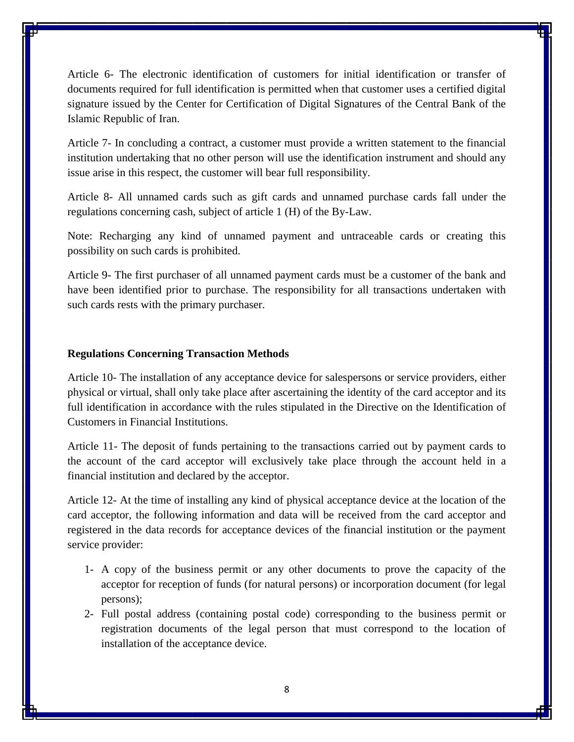Article 6- The electronic identification of customers for initial identification or transfer of documents required for full identification is permitted when that customer uses a certified digital signature issued by the Center for Certification of Digital Signatures of the Central Bank of the Islamic Republic of Iran.

Article 7- In concluding a contract, a customer must provide a written statement to the financial institution undertaking that no other person will use the identification instrument and should any issue arise in this respect, the customer will bear full responsibility.

Article 8- All unnamed cards such as gift cards and unnamed purchase cards fall under the regulations concerning cash, subject of article 1 (H) of the By-Law.

Note: Recharging any kind of unnamed payment and untraceable cards or creating this possibility on such cards is prohibited.

Article 9- The first purchaser of all unnamed payment cards must be a customer of the bank and have been identified prior to purchase. The responsibility for all transactions undertaken with such cards rests with the primary purchaser.

#### **Regulations Concerning Transaction Methods**

Article 10- The installation of any acceptance device for salespersons or service providers, either physical or virtual, shall only take place after ascertaining the identity of the card acceptor and its full identification in accordance with the rules stipulated in the Directive on the Identification of Customers in Financial Institutions.

Article 11- The deposit of funds pertaining to the transactions carried out by payment cards to the account of the card acceptor will exclusively take place through the account held in a financial institution and declared by the acceptor.

Article 12- At the time of installing any kind of physical acceptance device at the location of the card acceptor, the following information and data will be received from the card acceptor and registered in the data records for acceptance devices of the financial institution or the payment service provider:

- 1- A copy of the business permit or any other documents to prove the capacity of the acceptor for reception of funds (for natural persons) or incorporation document (for legal persons);
- 2- Full postal address (containing postal code) corresponding to the business permit or registration documents of the legal person that must correspond to the location of installation of the acceptance device.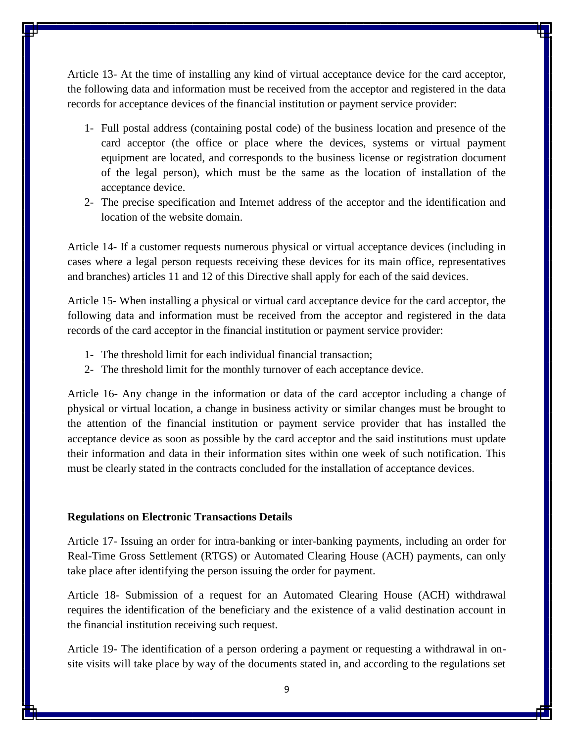Article 13- At the time of installing any kind of virtual acceptance device for the card acceptor, the following data and information must be received from the acceptor and registered in the data records for acceptance devices of the financial institution or payment service provider:

- 1- Full postal address (containing postal code) of the business location and presence of the card acceptor (the office or place where the devices, systems or virtual payment equipment are located, and corresponds to the business license or registration document of the legal person), which must be the same as the location of installation of the acceptance device.
- 2- The precise specification and Internet address of the acceptor and the identification and location of the website domain.

Article 14- If a customer requests numerous physical or virtual acceptance devices (including in cases where a legal person requests receiving these devices for its main office, representatives and branches) articles 11 and 12 of this Directive shall apply for each of the said devices.

Article 15- When installing a physical or virtual card acceptance device for the card acceptor, the following data and information must be received from the acceptor and registered in the data records of the card acceptor in the financial institution or payment service provider:

- 1- The threshold limit for each individual financial transaction;
- 2- The threshold limit for the monthly turnover of each acceptance device.

Article 16- Any change in the information or data of the card acceptor including a change of physical or virtual location, a change in business activity or similar changes must be brought to the attention of the financial institution or payment service provider that has installed the acceptance device as soon as possible by the card acceptor and the said institutions must update their information and data in their information sites within one week of such notification. This must be clearly stated in the contracts concluded for the installation of acceptance devices.

#### **Regulations on Electronic Transactions Details**

Article 17- Issuing an order for intra-banking or inter-banking payments, including an order for Real-Time Gross Settlement (RTGS) or Automated Clearing House (ACH) payments, can only take place after identifying the person issuing the order for payment.

Article 18- Submission of a request for an Automated Clearing House (ACH) withdrawal requires the identification of the beneficiary and the existence of a valid destination account in the financial institution receiving such request.

Article 19- The identification of a person ordering a payment or requesting a withdrawal in onsite visits will take place by way of the documents stated in, and according to the regulations set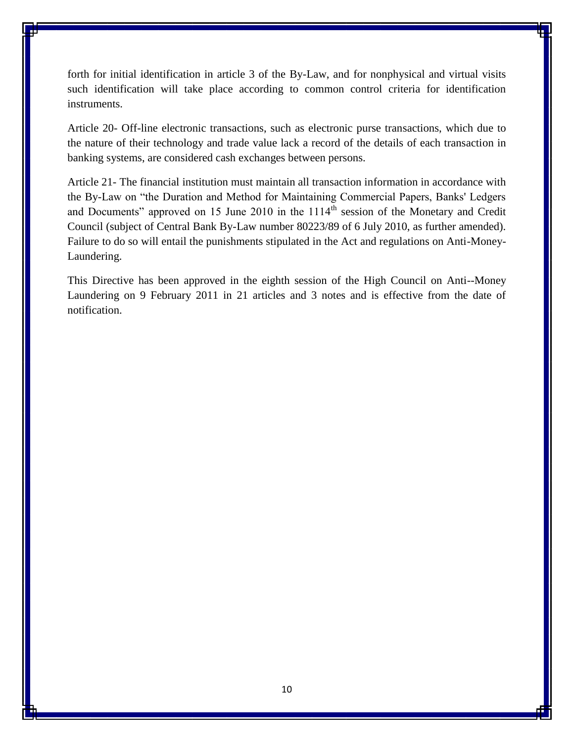forth for initial identification in article 3 of the By-Law, and for nonphysical and virtual visits such identification will take place according to common control criteria for identification instruments.

Article 20- Off-line electronic transactions, such as electronic purse transactions, which due to the nature of their technology and trade value lack a record of the details of each transaction in banking systems, are considered cash exchanges between persons.

Article 21- The financial institution must maintain all transaction information in accordance with the By-Law on "the Duration and Method for Maintaining Commercial Papers, Banks' Ledgers and Documents" approved on 15 June 2010 in the 1114<sup>th</sup> session of the Monetary and Credit Council (subject of Central Bank By-Law number 80223/89 of 6 July 2010, as further amended). Failure to do so will entail the punishments stipulated in the Act and regulations on Anti-Money-Laundering.

This Directive has been approved in the eighth session of the High Council on Anti--Money Laundering on 9 February 2011 in 21 articles and 3 notes and is effective from the date of notification.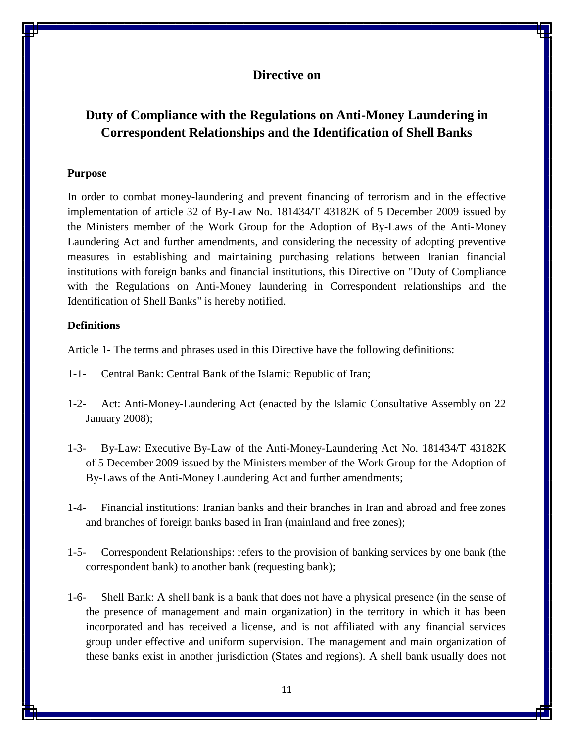# <span id="page-10-1"></span><span id="page-10-0"></span>**Duty of Compliance with the Regulations on Anti-Money Laundering in Correspondent Relationships and the Identification of Shell Banks**

#### **Purpose**

In order to combat money-laundering and prevent financing of terrorism and in the effective implementation of article 32 of By-Law No. 181434/T 43182K of 5 December 2009 issued by the Ministers member of the Work Group for the Adoption of By-Laws of the Anti-Money Laundering Act and further amendments, and considering the necessity of adopting preventive measures in establishing and maintaining purchasing relations between Iranian financial institutions with foreign banks and financial institutions, this Directive on "Duty of Compliance with the Regulations on Anti-Money laundering in Correspondent relationships and the Identification of Shell Banks" is hereby notified.

## **Definitions**

Article 1- The terms and phrases used in this Directive have the following definitions:

- 1-1- Central Bank: Central Bank of the Islamic Republic of Iran;
- 1-2- Act: Anti-Money-Laundering Act (enacted by the Islamic Consultative Assembly on 22 January 2008);
- 1-3- By-Law: Executive By-Law of the Anti-Money-Laundering Act No. 181434/T 43182K of 5 December 2009 issued by the Ministers member of the Work Group for the Adoption of By-Laws of the Anti-Money Laundering Act and further amendments;
- 1-4- Financial institutions: Iranian banks and their branches in Iran and abroad and free zones and branches of foreign banks based in Iran (mainland and free zones);
- 1-5- Correspondent Relationships: refers to the provision of banking services by one bank (the correspondent bank) to another bank (requesting bank);
- 1-6- Shell Bank: A shell bank is a bank that does not have a physical presence (in the sense of the presence of management and main organization) in the territory in which it has been incorporated and has received a license, and is not affiliated with any financial services group under effective and uniform supervision. The management and main organization of these banks exist in another jurisdiction (States and regions). A shell bank usually does not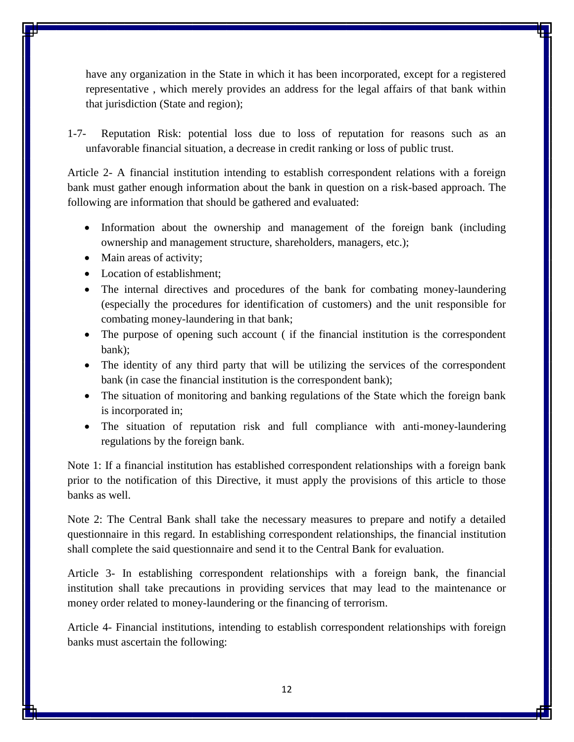have any organization in the State in which it has been incorporated, except for a registered representative , which merely provides an address for the legal affairs of that bank within that jurisdiction (State and region);

1-7- Reputation Risk: potential loss due to loss of reputation for reasons such as an unfavorable financial situation, a decrease in credit ranking or loss of public trust.

Article 2- A financial institution intending to establish correspondent relations with a foreign bank must gather enough information about the bank in question on a risk-based approach. The following are information that should be gathered and evaluated:

- Information about the ownership and management of the foreign bank (including ownership and management structure, shareholders, managers, etc.);
- Main areas of activity;
- Location of establishment;
- The internal directives and procedures of the bank for combating money-laundering (especially the procedures for identification of customers) and the unit responsible for combating money-laundering in that bank;
- The purpose of opening such account (if the financial institution is the correspondent bank);
- The identity of any third party that will be utilizing the services of the correspondent bank (in case the financial institution is the correspondent bank);
- The situation of monitoring and banking regulations of the State which the foreign bank is incorporated in;
- The situation of reputation risk and full compliance with anti-money-laundering regulations by the foreign bank.

Note 1: If a financial institution has established correspondent relationships with a foreign bank prior to the notification of this Directive, it must apply the provisions of this article to those banks as well.

Note 2: The Central Bank shall take the necessary measures to prepare and notify a detailed questionnaire in this regard. In establishing correspondent relationships, the financial institution shall complete the said questionnaire and send it to the Central Bank for evaluation.

Article 3- In establishing correspondent relationships with a foreign bank, the financial institution shall take precautions in providing services that may lead to the maintenance or money order related to money-laundering or the financing of terrorism.

Article 4- Financial institutions, intending to establish correspondent relationships with foreign banks must ascertain the following: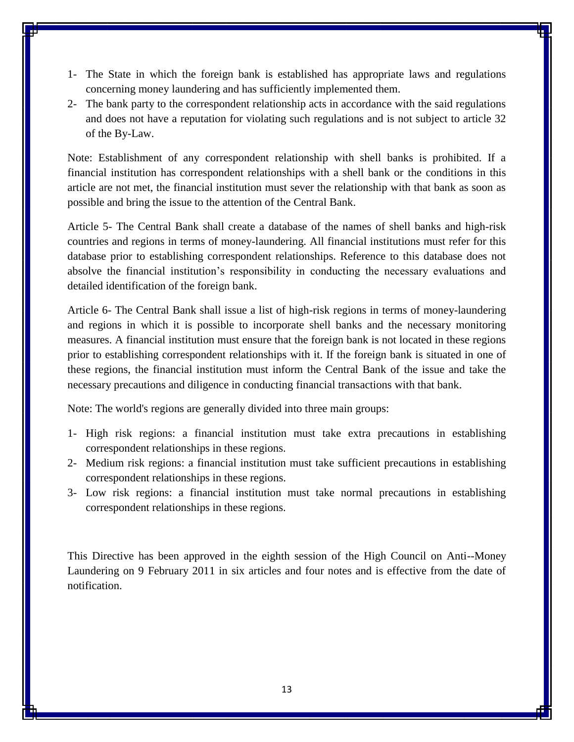- 1- The State in which the foreign bank is established has appropriate laws and regulations concerning money laundering and has sufficiently implemented them.
- 2- The bank party to the correspondent relationship acts in accordance with the said regulations and does not have a reputation for violating such regulations and is not subject to article 32 of the By-Law.

Note: Establishment of any correspondent relationship with shell banks is prohibited. If a financial institution has correspondent relationships with a shell bank or the conditions in this article are not met, the financial institution must sever the relationship with that bank as soon as possible and bring the issue to the attention of the Central Bank.

Article 5- The Central Bank shall create a database of the names of shell banks and high-risk countries and regions in terms of money-laundering. All financial institutions must refer for this database prior to establishing correspondent relationships. Reference to this database does not absolve the financial institution's responsibility in conducting the necessary evaluations and detailed identification of the foreign bank.

Article 6- The Central Bank shall issue a list of high-risk regions in terms of money-laundering and regions in which it is possible to incorporate shell banks and the necessary monitoring measures. A financial institution must ensure that the foreign bank is not located in these regions prior to establishing correspondent relationships with it. If the foreign bank is situated in one of these regions, the financial institution must inform the Central Bank of the issue and take the necessary precautions and diligence in conducting financial transactions with that bank.

Note: The world's regions are generally divided into three main groups:

- 1- High risk regions: a financial institution must take extra precautions in establishing correspondent relationships in these regions.
- 2- Medium risk regions: a financial institution must take sufficient precautions in establishing correspondent relationships in these regions.
- 3- Low risk regions: a financial institution must take normal precautions in establishing correspondent relationships in these regions.

This Directive has been approved in the eighth session of the High Council on Anti--Money Laundering on 9 February 2011 in six articles and four notes and is effective from the date of notification.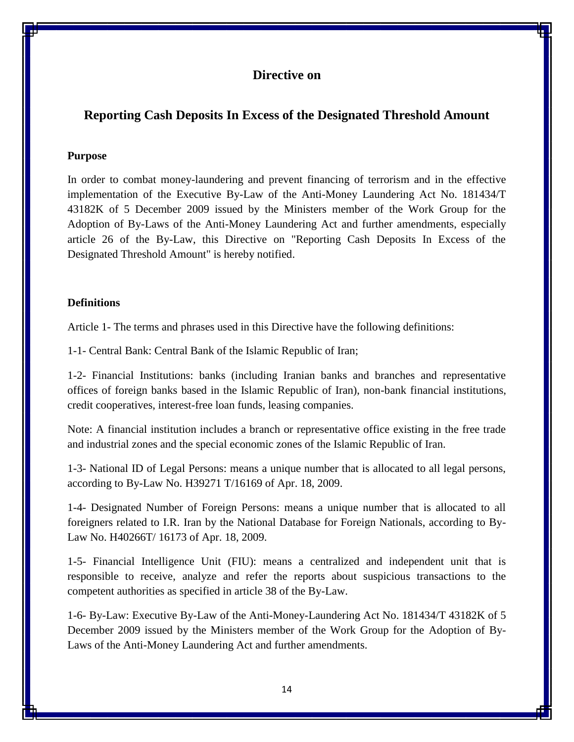# <span id="page-13-1"></span><span id="page-13-0"></span>**Reporting Cash Deposits In Excess of the Designated Threshold Amount**

#### **Purpose**

In order to combat money-laundering and prevent financing of terrorism and in the effective implementation of the Executive By-Law of the Anti-Money Laundering Act No. 181434/T 43182K of 5 December 2009 issued by the Ministers member of the Work Group for the Adoption of By-Laws of the Anti-Money Laundering Act and further amendments, especially article 26 of the By-Law, this Directive on "Reporting Cash Deposits In Excess of the Designated Threshold Amount" is hereby notified.

#### **Definitions**

Article 1- The terms and phrases used in this Directive have the following definitions:

1-1- Central Bank: Central Bank of the Islamic Republic of Iran;

1-2- Financial Institutions: banks (including Iranian banks and branches and representative offices of foreign banks based in the Islamic Republic of Iran), non-bank financial institutions, credit cooperatives, interest-free loan funds, leasing companies.

Note: A financial institution includes a branch or representative office existing in the free trade and industrial zones and the special economic zones of the Islamic Republic of Iran.

1-3- National ID of Legal Persons: means a unique number that is allocated to all legal persons, according to By-Law No. H39271 T/16169 of Apr. 18, 2009.

1-4- Designated Number of Foreign Persons: means a unique number that is allocated to all foreigners related to I.R. Iran by the National Database for Foreign Nationals, according to By-Law No. H40266T/ 16173 of Apr. 18, 2009.

1-5- Financial Intelligence Unit (FIU): means a centralized and independent unit that is responsible to receive, analyze and refer the reports about suspicious transactions to the competent authorities as specified in article 38 of the By-Law.

1-6- By-Law: Executive By-Law of the Anti-Money-Laundering Act No. 181434/T 43182K of 5 December 2009 issued by the Ministers member of the Work Group for the Adoption of By-Laws of the Anti-Money Laundering Act and further amendments.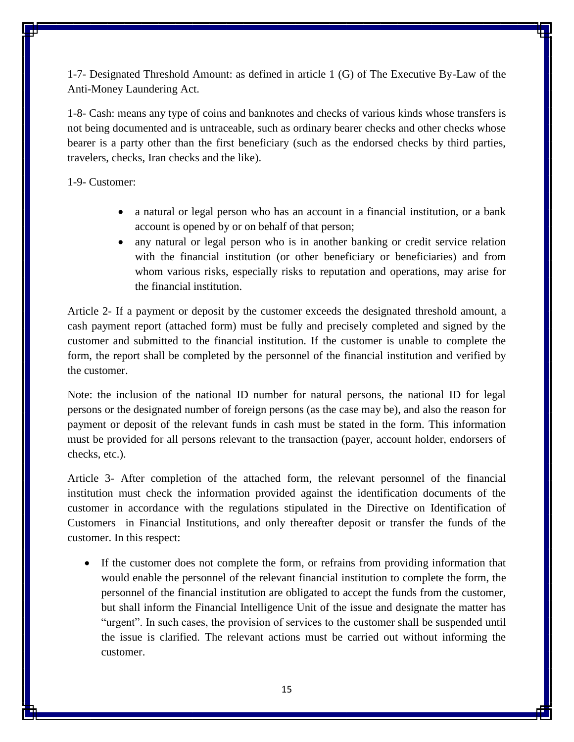1-7- Designated Threshold Amount: as defined in article 1 (G) of The Executive By-Law of the Anti-Money Laundering Act.

1-8- Cash: means any type of coins and banknotes and checks of various kinds whose transfers is not being documented and is untraceable, such as ordinary bearer checks and other checks whose bearer is a party other than the first beneficiary (such as the endorsed checks by third parties, travelers, checks, Iran checks and the like).

1-9- Customer:

- a natural or legal person who has an account in a financial institution, or a bank account is opened by or on behalf of that person;
- any natural or legal person who is in another banking or credit service relation with the financial institution (or other beneficiary or beneficiaries) and from whom various risks, especially risks to reputation and operations, may arise for the financial institution.

Article 2- If a payment or deposit by the customer exceeds the designated threshold amount, a cash payment report (attached form) must be fully and precisely completed and signed by the customer and submitted to the financial institution. If the customer is unable to complete the form, the report shall be completed by the personnel of the financial institution and verified by the customer.

Note: the inclusion of the national ID number for natural persons, the national ID for legal persons or the designated number of foreign persons (as the case may be), and also the reason for payment or deposit of the relevant funds in cash must be stated in the form. This information must be provided for all persons relevant to the transaction (payer, account holder, endorsers of checks, etc.).

Article 3- After completion of the attached form, the relevant personnel of the financial institution must check the information provided against the identification documents of the customer in accordance with the regulations stipulated in the Directive on Identification of Customers in Financial Institutions, and only thereafter deposit or transfer the funds of the customer. In this respect:

 If the customer does not complete the form, or refrains from providing information that would enable the personnel of the relevant financial institution to complete the form, the personnel of the financial institution are obligated to accept the funds from the customer, but shall inform the Financial Intelligence Unit of the issue and designate the matter has "urgent". In such cases, the provision of services to the customer shall be suspended until the issue is clarified. The relevant actions must be carried out without informing the customer.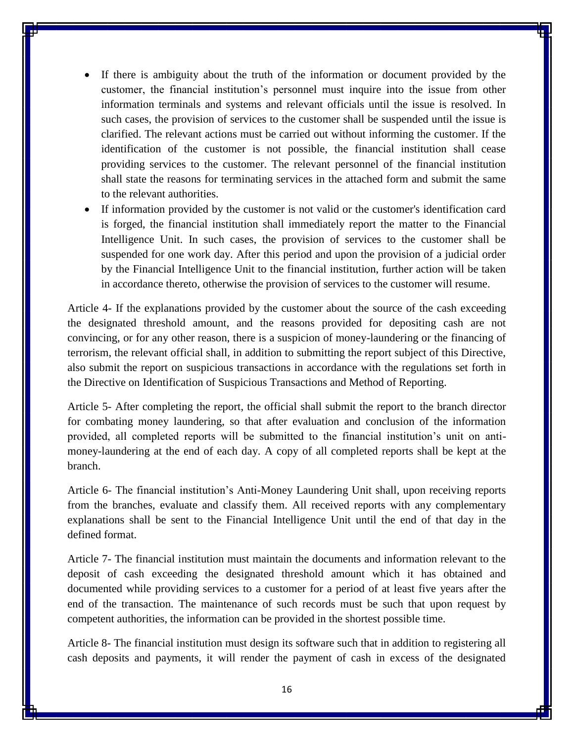- If there is ambiguity about the truth of the information or document provided by the customer, the financial institution's personnel must inquire into the issue from other information terminals and systems and relevant officials until the issue is resolved. In such cases, the provision of services to the customer shall be suspended until the issue is clarified. The relevant actions must be carried out without informing the customer. If the identification of the customer is not possible, the financial institution shall cease providing services to the customer. The relevant personnel of the financial institution shall state the reasons for terminating services in the attached form and submit the same to the relevant authorities.
- If information provided by the customer is not valid or the customer's identification card is forged, the financial institution shall immediately report the matter to the Financial Intelligence Unit. In such cases, the provision of services to the customer shall be suspended for one work day. After this period and upon the provision of a judicial order by the Financial Intelligence Unit to the financial institution, further action will be taken in accordance thereto, otherwise the provision of services to the customer will resume.

Article 4- If the explanations provided by the customer about the source of the cash exceeding the designated threshold amount, and the reasons provided for depositing cash are not convincing, or for any other reason, there is a suspicion of money-laundering or the financing of terrorism, the relevant official shall, in addition to submitting the report subject of this Directive, also submit the report on suspicious transactions in accordance with the regulations set forth in the Directive on Identification of Suspicious Transactions and Method of Reporting.

Article 5- After completing the report, the official shall submit the report to the branch director for combating money laundering, so that after evaluation and conclusion of the information provided, all completed reports will be submitted to the financial institution's unit on antimoney-laundering at the end of each day. A copy of all completed reports shall be kept at the branch.

Article 6- The financial institution's Anti-Money Laundering Unit shall, upon receiving reports from the branches, evaluate and classify them. All received reports with any complementary explanations shall be sent to the Financial Intelligence Unit until the end of that day in the defined format.

Article 7- The financial institution must maintain the documents and information relevant to the deposit of cash exceeding the designated threshold amount which it has obtained and documented while providing services to a customer for a period of at least five years after the end of the transaction. The maintenance of such records must be such that upon request by competent authorities, the information can be provided in the shortest possible time.

Article 8- The financial institution must design its software such that in addition to registering all cash deposits and payments, it will render the payment of cash in excess of the designated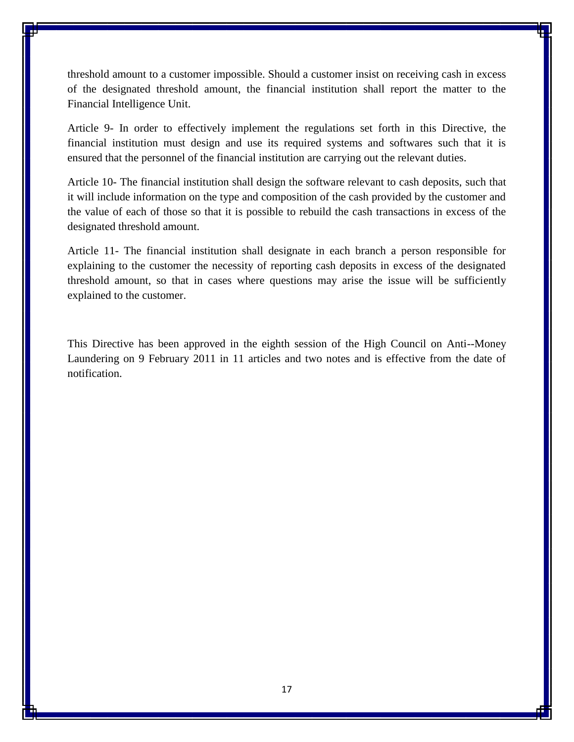threshold amount to a customer impossible. Should a customer insist on receiving cash in excess of the designated threshold amount, the financial institution shall report the matter to the Financial Intelligence Unit.

Article 9- In order to effectively implement the regulations set forth in this Directive, the financial institution must design and use its required systems and softwares such that it is ensured that the personnel of the financial institution are carrying out the relevant duties.

Article 10- The financial institution shall design the software relevant to cash deposits, such that it will include information on the type and composition of the cash provided by the customer and the value of each of those so that it is possible to rebuild the cash transactions in excess of the designated threshold amount.

Article 11- The financial institution shall designate in each branch a person responsible for explaining to the customer the necessity of reporting cash deposits in excess of the designated threshold amount, so that in cases where questions may arise the issue will be sufficiently explained to the customer.

This Directive has been approved in the eighth session of the High Council on Anti--Money Laundering on 9 February 2011 in 11 articles and two notes and is effective from the date of notification.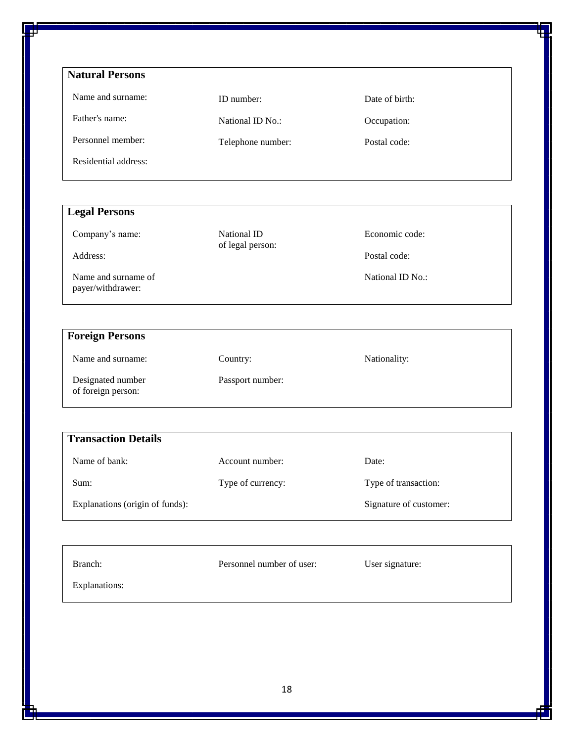| <b>Natural Persons</b> |                   |                |  |
|------------------------|-------------------|----------------|--|
| Name and surname:      | ID number:        | Date of birth: |  |
| Father's name:         | National ID No.:  | Occupation:    |  |
| Personnel member:      | Telephone number: | Postal code:   |  |
| Residential address:   |                   |                |  |

| <b>Legal Persons</b>                     |                                 |                  |
|------------------------------------------|---------------------------------|------------------|
| Company's name:                          | National ID<br>of legal person: | Economic code:   |
| Address:                                 |                                 | Postal code:     |
| Name and surname of<br>payer/withdrawer: |                                 | National ID No.: |

| <b>Foreign Persons</b>                  |                  |              |
|-----------------------------------------|------------------|--------------|
| Name and surname:                       | Country:         | Nationality: |
| Designated number<br>of foreign person: | Passport number: |              |

| <b>Transaction Details</b>      |                   |                        |  |
|---------------------------------|-------------------|------------------------|--|
| Name of bank:                   | Account number:   | Date:                  |  |
| Sum:                            | Type of currency: | Type of transaction:   |  |
| Explanations (origin of funds): |                   | Signature of customer: |  |

| Branch:       | Personnel number of user: | User signature: |
|---------------|---------------------------|-----------------|
| Explanations: |                           |                 |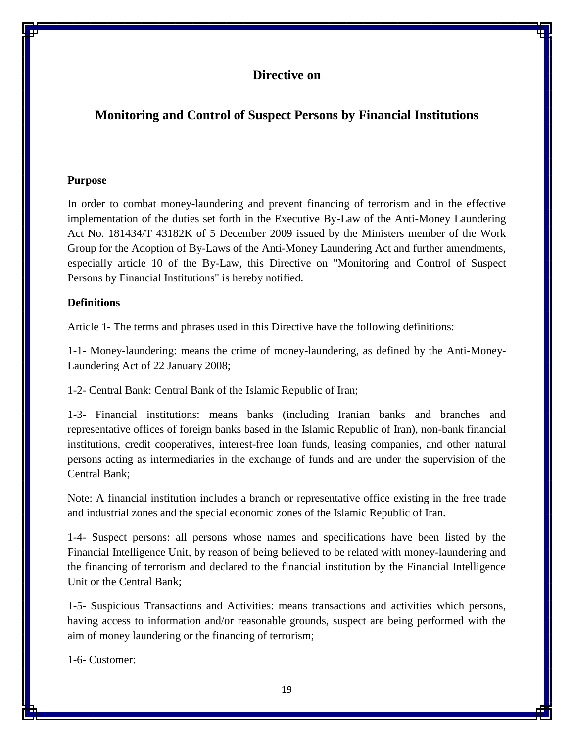# <span id="page-18-1"></span><span id="page-18-0"></span>**Monitoring and Control of Suspect Persons by Financial Institutions**

### **Purpose**

In order to combat money-laundering and prevent financing of terrorism and in the effective implementation of the duties set forth in the Executive By-Law of the Anti-Money Laundering Act No. 181434/T 43182K of 5 December 2009 issued by the Ministers member of the Work Group for the Adoption of By-Laws of the Anti-Money Laundering Act and further amendments, especially article 10 of the By-Law, this Directive on "Monitoring and Control of Suspect Persons by Financial Institutions" is hereby notified.

## **Definitions**

Article 1- The terms and phrases used in this Directive have the following definitions:

1-1- Money-laundering: means the crime of money-laundering, as defined by the Anti-Money-Laundering Act of 22 January 2008;

1-2- Central Bank: Central Bank of the Islamic Republic of Iran;

1-3- Financial institutions: means banks (including Iranian banks and branches and representative offices of foreign banks based in the Islamic Republic of Iran), non-bank financial institutions, credit cooperatives, interest-free loan funds, leasing companies, and other natural persons acting as intermediaries in the exchange of funds and are under the supervision of the Central Bank;

Note: A financial institution includes a branch or representative office existing in the free trade and industrial zones and the special economic zones of the Islamic Republic of Iran.

1-4- Suspect persons: all persons whose names and specifications have been listed by the Financial Intelligence Unit, by reason of being believed to be related with money-laundering and the financing of terrorism and declared to the financial institution by the Financial Intelligence Unit or the Central Bank;

1-5- Suspicious Transactions and Activities: means transactions and activities which persons, having access to information and/or reasonable grounds, suspect are being performed with the aim of money laundering or the financing of terrorism;

1-6- Customer: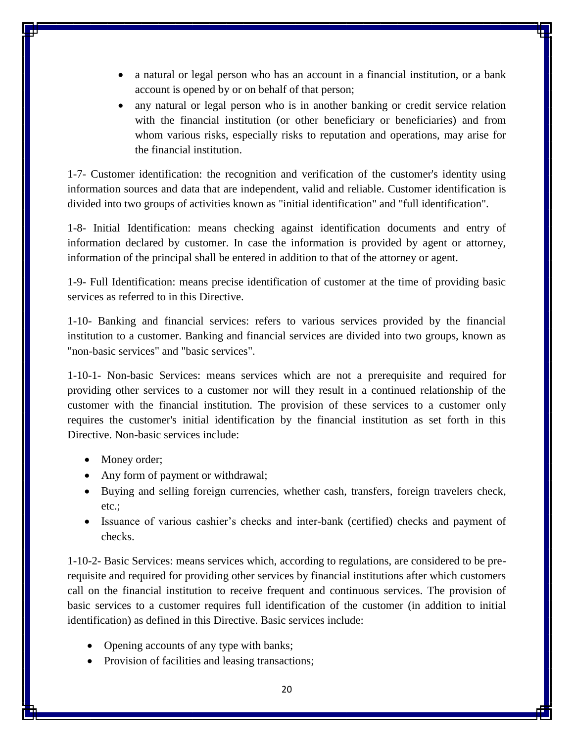- a natural or legal person who has an account in a financial institution, or a bank account is opened by or on behalf of that person;
- any natural or legal person who is in another banking or credit service relation with the financial institution (or other beneficiary or beneficiaries) and from whom various risks, especially risks to reputation and operations, may arise for the financial institution.

1-7- Customer identification: the recognition and verification of the customer's identity using information sources and data that are independent, valid and reliable. Customer identification is divided into two groups of activities known as "initial identification" and "full identification".

1-8- Initial Identification: means checking against identification documents and entry of information declared by customer. In case the information is provided by agent or attorney, information of the principal shall be entered in addition to that of the attorney or agent.

1-9- Full Identification: means precise identification of customer at the time of providing basic services as referred to in this Directive.

1-10- Banking and financial services: refers to various services provided by the financial institution to a customer. Banking and financial services are divided into two groups, known as "non-basic services" and "basic services".

1-10-1- Non-basic Services: means services which are not a prerequisite and required for providing other services to a customer nor will they result in a continued relationship of the customer with the financial institution. The provision of these services to a customer only requires the customer's initial identification by the financial institution as set forth in this Directive. Non-basic services include:

- Money order;
- Any form of payment or withdrawal;
- Buying and selling foreign currencies, whether cash, transfers, foreign travelers check, etc.;
- Issuance of various cashier's checks and inter-bank (certified) checks and payment of checks.

1-10-2- Basic Services: means services which, according to regulations, are considered to be prerequisite and required for providing other services by financial institutions after which customers call on the financial institution to receive frequent and continuous services. The provision of basic services to a customer requires full identification of the customer (in addition to initial identification) as defined in this Directive. Basic services include:

- Opening accounts of any type with banks;
- Provision of facilities and leasing transactions;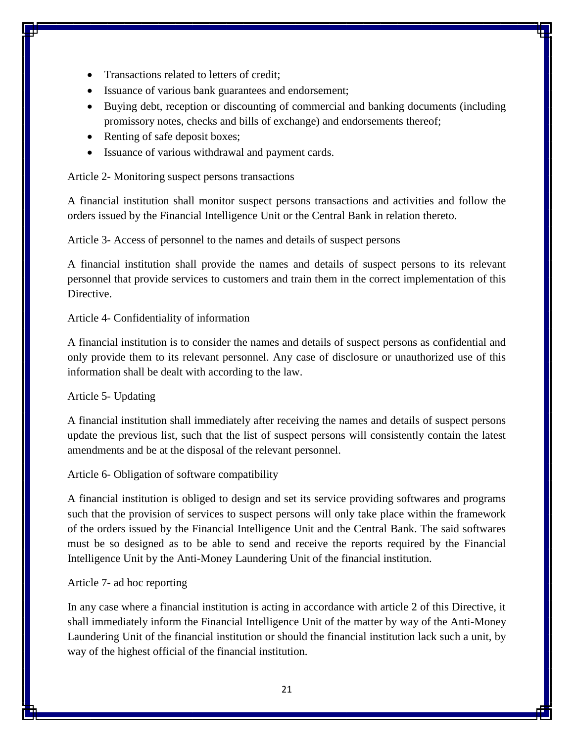- Transactions related to letters of credit;
- Issuance of various bank guarantees and endorsement;
- Buying debt, reception or discounting of commercial and banking documents (including promissory notes, checks and bills of exchange) and endorsements thereof;
- Renting of safe deposit boxes;
- Issuance of various withdrawal and payment cards.

## Article 2- Monitoring suspect persons transactions

A financial institution shall monitor suspect persons transactions and activities and follow the orders issued by the Financial Intelligence Unit or the Central Bank in relation thereto.

Article 3- Access of personnel to the names and details of suspect persons

A financial institution shall provide the names and details of suspect persons to its relevant personnel that provide services to customers and train them in the correct implementation of this Directive.

## Article 4- Confidentiality of information

A financial institution is to consider the names and details of suspect persons as confidential and only provide them to its relevant personnel. Any case of disclosure or unauthorized use of this information shall be dealt with according to the law.

### Article 5- Updating

A financial institution shall immediately after receiving the names and details of suspect persons update the previous list, such that the list of suspect persons will consistently contain the latest amendments and be at the disposal of the relevant personnel.

Article 6- Obligation of software compatibility

A financial institution is obliged to design and set its service providing softwares and programs such that the provision of services to suspect persons will only take place within the framework of the orders issued by the Financial Intelligence Unit and the Central Bank. The said softwares must be so designed as to be able to send and receive the reports required by the Financial Intelligence Unit by the Anti-Money Laundering Unit of the financial institution.

## Article 7- ad hoc reporting

In any case where a financial institution is acting in accordance with article 2 of this Directive, it shall immediately inform the Financial Intelligence Unit of the matter by way of the Anti-Money Laundering Unit of the financial institution or should the financial institution lack such a unit, by way of the highest official of the financial institution.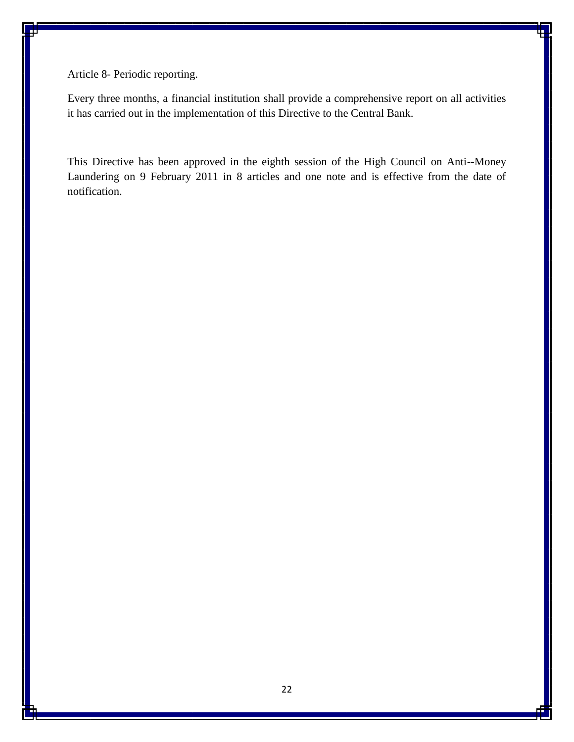Article 8- Periodic reporting.

Every three months, a financial institution shall provide a comprehensive report on all activities it has carried out in the implementation of this Directive to the Central Bank.

This Directive has been approved in the eighth session of the High Council on Anti--Money Laundering on 9 February 2011 in 8 articles and one note and is effective from the date of notification.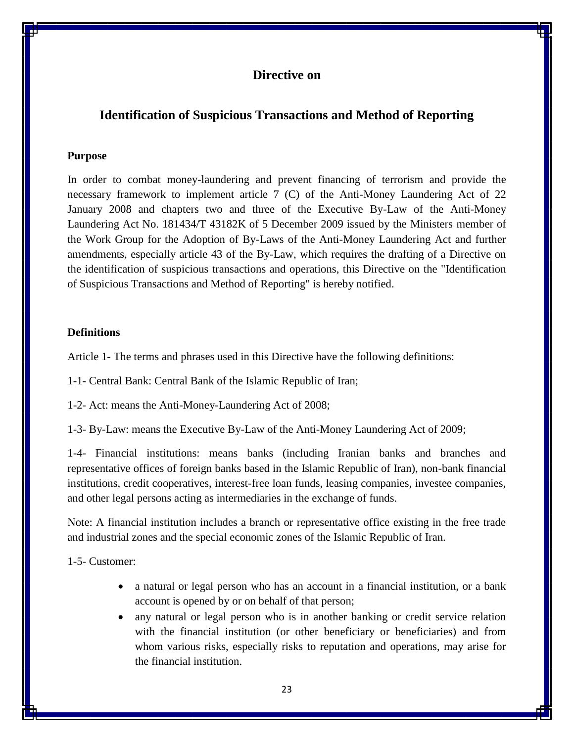# <span id="page-22-1"></span><span id="page-22-0"></span>**Identification of Suspicious Transactions and Method of Reporting**

#### **Purpose**

In order to combat money-laundering and prevent financing of terrorism and provide the necessary framework to implement article 7 (C) of the Anti-Money Laundering Act of 22 January 2008 and chapters two and three of the Executive By-Law of the Anti-Money Laundering Act No. 181434/T 43182K of 5 December 2009 issued by the Ministers member of the Work Group for the Adoption of By-Laws of the Anti-Money Laundering Act and further amendments, especially article 43 of the By-Law, which requires the drafting of a Directive on the identification of suspicious transactions and operations, this Directive on the "Identification of Suspicious Transactions and Method of Reporting" is hereby notified.

## **Definitions**

Article 1- The terms and phrases used in this Directive have the following definitions:

1-1- Central Bank: Central Bank of the Islamic Republic of Iran;

1-2- Act: means the Anti-Money-Laundering Act of 2008;

1-3- By-Law: means the Executive By-Law of the Anti-Money Laundering Act of 2009;

1-4- Financial institutions: means banks (including Iranian banks and branches and representative offices of foreign banks based in the Islamic Republic of Iran), non-bank financial institutions, credit cooperatives, interest-free loan funds, leasing companies, investee companies, and other legal persons acting as intermediaries in the exchange of funds.

Note: A financial institution includes a branch or representative office existing in the free trade and industrial zones and the special economic zones of the Islamic Republic of Iran.

1-5- Customer:

- a natural or legal person who has an account in a financial institution, or a bank account is opened by or on behalf of that person;
- any natural or legal person who is in another banking or credit service relation with the financial institution (or other beneficiary or beneficiaries) and from whom various risks, especially risks to reputation and operations, may arise for the financial institution.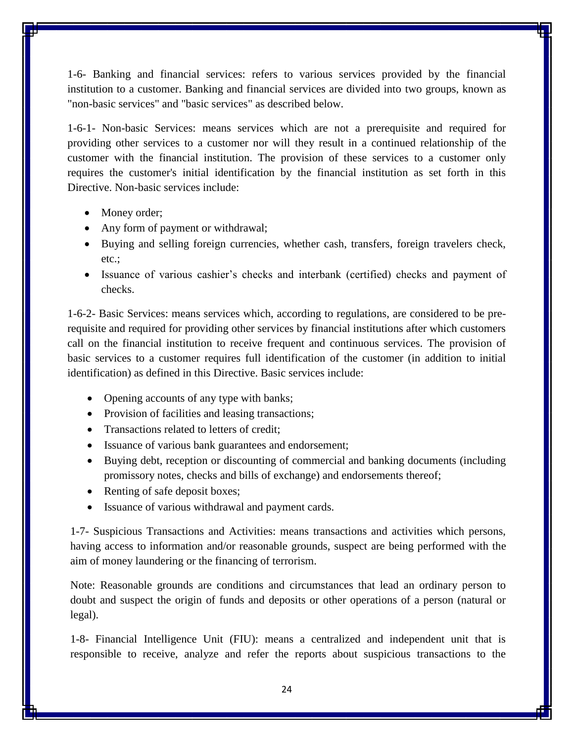1-6- Banking and financial services: refers to various services provided by the financial institution to a customer. Banking and financial services are divided into two groups, known as "non-basic services" and "basic services" as described below.

1-6-1- Non-basic Services: means services which are not a prerequisite and required for providing other services to a customer nor will they result in a continued relationship of the customer with the financial institution. The provision of these services to a customer only requires the customer's initial identification by the financial institution as set forth in this Directive. Non-basic services include:

- Money order;
- Any form of payment or withdrawal;
- Buying and selling foreign currencies, whether cash, transfers, foreign travelers check, etc.;
- Issuance of various cashier's checks and interbank (certified) checks and payment of checks.

1-6-2- Basic Services: means services which, according to regulations, are considered to be prerequisite and required for providing other services by financial institutions after which customers call on the financial institution to receive frequent and continuous services. The provision of basic services to a customer requires full identification of the customer (in addition to initial identification) as defined in this Directive. Basic services include:

- Opening accounts of any type with banks;
- Provision of facilities and leasing transactions;
- Transactions related to letters of credit:
- Issuance of various bank guarantees and endorsement;
- Buying debt, reception or discounting of commercial and banking documents (including promissory notes, checks and bills of exchange) and endorsements thereof;
- Renting of safe deposit boxes;
- Issuance of various withdrawal and payment cards.

1-7- Suspicious Transactions and Activities: means transactions and activities which persons, having access to information and/or reasonable grounds, suspect are being performed with the aim of money laundering or the financing of terrorism.

Note: Reasonable grounds are conditions and circumstances that lead an ordinary person to doubt and suspect the origin of funds and deposits or other operations of a person (natural or legal).

1-8- Financial Intelligence Unit (FIU): means a centralized and independent unit that is responsible to receive, analyze and refer the reports about suspicious transactions to the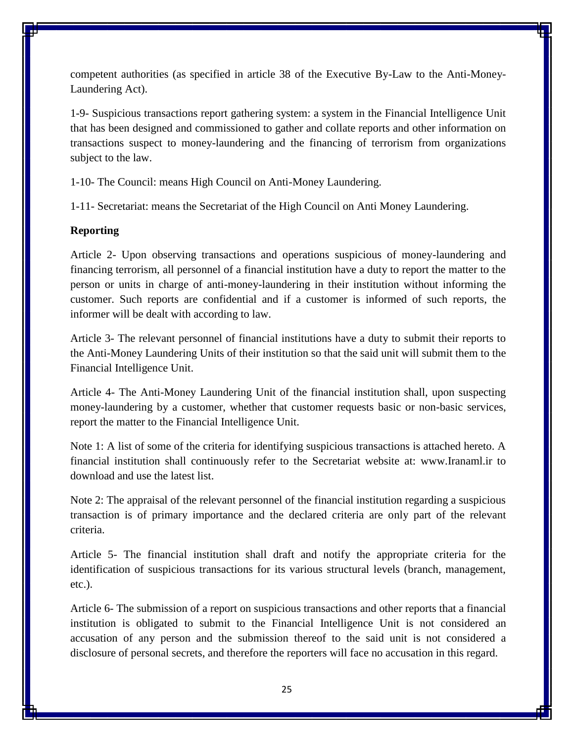competent authorities (as specified in article 38 of the Executive By-Law to the Anti-Money-Laundering Act).

1-9- Suspicious transactions report gathering system: a system in the Financial Intelligence Unit that has been designed and commissioned to gather and collate reports and other information on transactions suspect to money-laundering and the financing of terrorism from organizations subject to the law.

1-10- The Council: means High Council on Anti-Money Laundering.

1-11- Secretariat: means the Secretariat of the High Council on Anti Money Laundering.

#### **Reporting**

Article 2- Upon observing transactions and operations suspicious of money-laundering and financing terrorism, all personnel of a financial institution have a duty to report the matter to the person or units in charge of anti-money-laundering in their institution without informing the customer. Such reports are confidential and if a customer is informed of such reports, the informer will be dealt with according to law.

Article 3- The relevant personnel of financial institutions have a duty to submit their reports to the Anti-Money Laundering Units of their institution so that the said unit will submit them to the Financial Intelligence Unit.

Article 4- The Anti-Money Laundering Unit of the financial institution shall, upon suspecting money-laundering by a customer, whether that customer requests basic or non-basic services, report the matter to the Financial Intelligence Unit.

Note 1: A list of some of the criteria for identifying suspicious transactions is attached hereto. A financial institution shall continuously refer to the Secretariat website at: www.Iranaml.ir to download and use the latest list.

Note 2: The appraisal of the relevant personnel of the financial institution regarding a suspicious transaction is of primary importance and the declared criteria are only part of the relevant criteria.

Article 5- The financial institution shall draft and notify the appropriate criteria for the identification of suspicious transactions for its various structural levels (branch, management, etc.).

Article 6- The submission of a report on suspicious transactions and other reports that a financial institution is obligated to submit to the Financial Intelligence Unit is not considered an accusation of any person and the submission thereof to the said unit is not considered a disclosure of personal secrets, and therefore the reporters will face no accusation in this regard.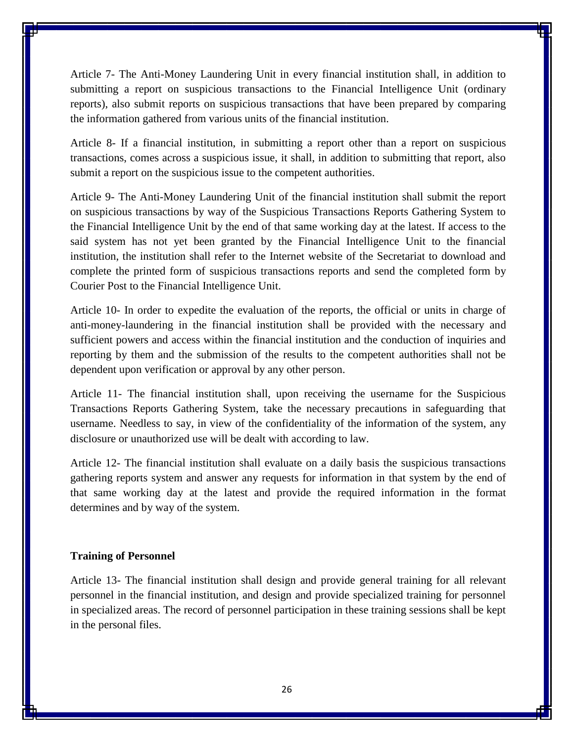Article 7- The Anti-Money Laundering Unit in every financial institution shall, in addition to submitting a report on suspicious transactions to the Financial Intelligence Unit (ordinary reports), also submit reports on suspicious transactions that have been prepared by comparing the information gathered from various units of the financial institution.

Article 8- If a financial institution, in submitting a report other than a report on suspicious transactions, comes across a suspicious issue, it shall, in addition to submitting that report, also submit a report on the suspicious issue to the competent authorities.

Article 9- The Anti-Money Laundering Unit of the financial institution shall submit the report on suspicious transactions by way of the Suspicious Transactions Reports Gathering System to the Financial Intelligence Unit by the end of that same working day at the latest. If access to the said system has not yet been granted by the Financial Intelligence Unit to the financial institution, the institution shall refer to the Internet website of the Secretariat to download and complete the printed form of suspicious transactions reports and send the completed form by Courier Post to the Financial Intelligence Unit.

Article 10- In order to expedite the evaluation of the reports, the official or units in charge of anti-money-laundering in the financial institution shall be provided with the necessary and sufficient powers and access within the financial institution and the conduction of inquiries and reporting by them and the submission of the results to the competent authorities shall not be dependent upon verification or approval by any other person.

Article 11- The financial institution shall, upon receiving the username for the Suspicious Transactions Reports Gathering System, take the necessary precautions in safeguarding that username. Needless to say, in view of the confidentiality of the information of the system, any disclosure or unauthorized use will be dealt with according to law.

Article 12- The financial institution shall evaluate on a daily basis the suspicious transactions gathering reports system and answer any requests for information in that system by the end of that same working day at the latest and provide the required information in the format determines and by way of the system.

#### **Training of Personnel**

Article 13- The financial institution shall design and provide general training for all relevant personnel in the financial institution, and design and provide specialized training for personnel in specialized areas. The record of personnel participation in these training sessions shall be kept in the personal files.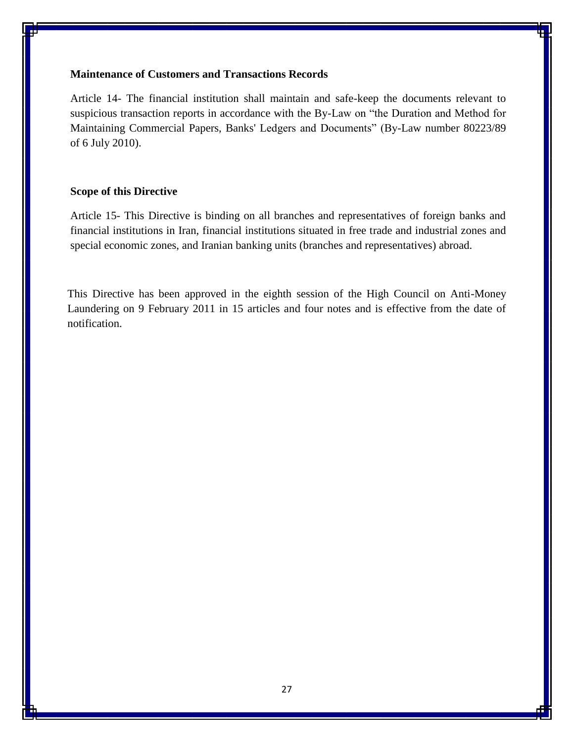## **Maintenance of Customers and Transactions Records**

Article 14- The financial institution shall maintain and safe-keep the documents relevant to suspicious transaction reports in accordance with the By-Law on "the Duration and Method for Maintaining Commercial Papers, Banks' Ledgers and Documents" (By-Law number 80223/89 of 6 July 2010).

## **Scope of this Directive**

Article 15- This Directive is binding on all branches and representatives of foreign banks and financial institutions in Iran, financial institutions situated in free trade and industrial zones and special economic zones, and Iranian banking units (branches and representatives) abroad.

This Directive has been approved in the eighth session of the High Council on Anti-Money Laundering on 9 February 2011 in 15 articles and four notes and is effective from the date of notification.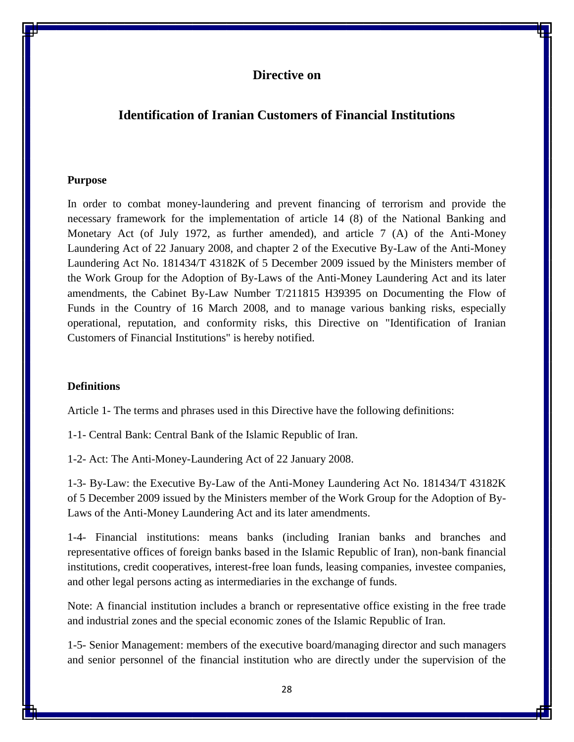# <span id="page-27-1"></span><span id="page-27-0"></span>**Identification of Iranian Customers of Financial Institutions**

#### **Purpose**

In order to combat money-laundering and prevent financing of terrorism and provide the necessary framework for the implementation of article 14 (8) of the National Banking and Monetary Act (of July 1972, as further amended), and article 7 (A) of the Anti-Money Laundering Act of 22 January 2008, and chapter 2 of the Executive By-Law of the Anti-Money Laundering Act No. 181434/T 43182K of 5 December 2009 issued by the Ministers member of the Work Group for the Adoption of By-Laws of the Anti-Money Laundering Act and its later amendments, the Cabinet By-Law Number T/211815 H39395 on Documenting the Flow of Funds in the Country of 16 March 2008, and to manage various banking risks, especially operational, reputation, and conformity risks, this Directive on "Identification of Iranian Customers of Financial Institutions" is hereby notified.

## **Definitions**

Article 1- The terms and phrases used in this Directive have the following definitions:

1-1- Central Bank: Central Bank of the Islamic Republic of Iran.

1-2- Act: The Anti-Money-Laundering Act of 22 January 2008.

1-3- By-Law: the Executive By-Law of the Anti-Money Laundering Act No. 181434/T 43182K of 5 December 2009 issued by the Ministers member of the Work Group for the Adoption of By-Laws of the Anti-Money Laundering Act and its later amendments.

1-4- Financial institutions: means banks (including Iranian banks and branches and representative offices of foreign banks based in the Islamic Republic of Iran), non-bank financial institutions, credit cooperatives, interest-free loan funds, leasing companies, investee companies, and other legal persons acting as intermediaries in the exchange of funds.

Note: A financial institution includes a branch or representative office existing in the free trade and industrial zones and the special economic zones of the Islamic Republic of Iran.

1-5- Senior Management: members of the executive board/managing director and such managers and senior personnel of the financial institution who are directly under the supervision of the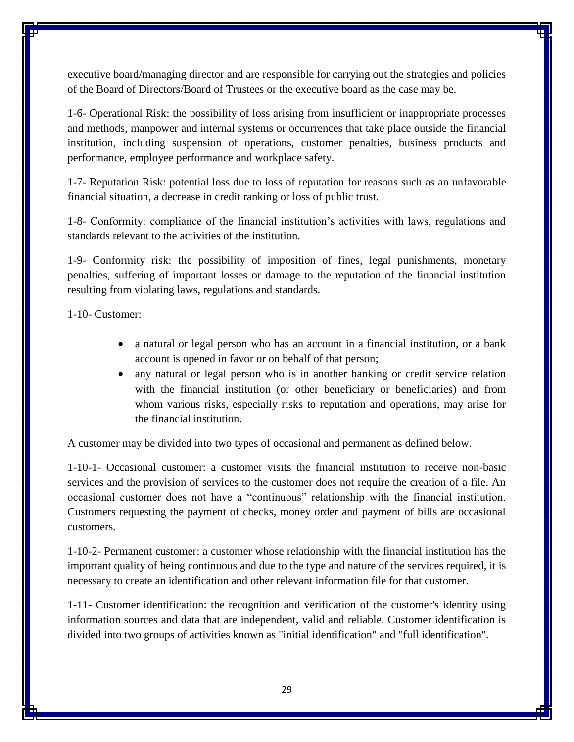executive board/managing director and are responsible for carrying out the strategies and policies of the Board of Directors/Board of Trustees or the executive board as the case may be.

1-6- Operational Risk: the possibility of loss arising from insufficient or inappropriate processes and methods, manpower and internal systems or occurrences that take place outside the financial institution, including suspension of operations, customer penalties, business products and performance, employee performance and workplace safety.

1-7- Reputation Risk: potential loss due to loss of reputation for reasons such as an unfavorable financial situation, a decrease in credit ranking or loss of public trust.

1-8- Conformity: compliance of the financial institution's activities with laws, regulations and standards relevant to the activities of the institution.

1-9- Conformity risk: the possibility of imposition of fines, legal punishments, monetary penalties, suffering of important losses or damage to the reputation of the financial institution resulting from violating laws, regulations and standards.

1-10- Customer:

- a natural or legal person who has an account in a financial institution, or a bank account is opened in favor or on behalf of that person;
- any natural or legal person who is in another banking or credit service relation with the financial institution (or other beneficiary or beneficiaries) and from whom various risks, especially risks to reputation and operations, may arise for the financial institution.

A customer may be divided into two types of occasional and permanent as defined below.

1-10-1- Occasional customer: a customer visits the financial institution to receive non-basic services and the provision of services to the customer does not require the creation of a file. An occasional customer does not have a "continuous" relationship with the financial institution. Customers requesting the payment of checks, money order and payment of bills are occasional customers.

1-10-2- Permanent customer: a customer whose relationship with the financial institution has the important quality of being continuous and due to the type and nature of the services required, it is necessary to create an identification and other relevant information file for that customer.

1-11- Customer identification: the recognition and verification of the customer's identity using information sources and data that are independent, valid and reliable. Customer identification is divided into two groups of activities known as "initial identification" and "full identification".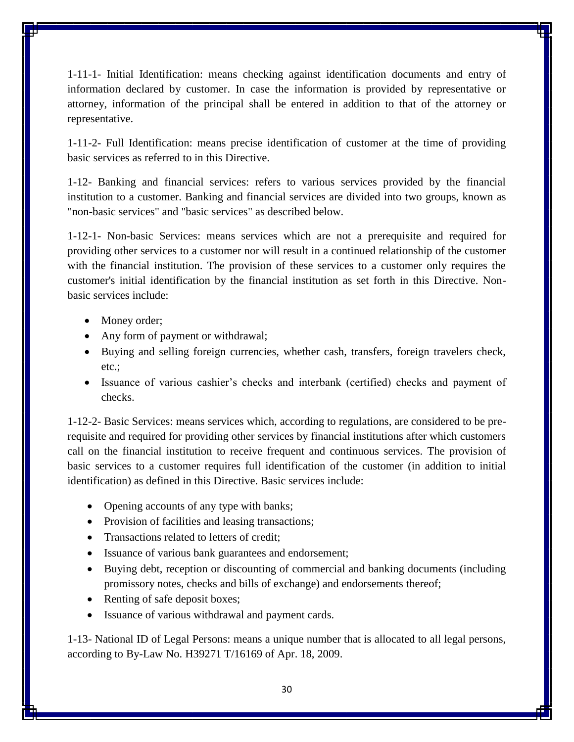1-11-1- Initial Identification: means checking against identification documents and entry of information declared by customer. In case the information is provided by representative or attorney, information of the principal shall be entered in addition to that of the attorney or representative.

1-11-2- Full Identification: means precise identification of customer at the time of providing basic services as referred to in this Directive.

1-12- Banking and financial services: refers to various services provided by the financial institution to a customer. Banking and financial services are divided into two groups, known as "non-basic services" and "basic services" as described below.

1-12-1- Non-basic Services: means services which are not a prerequisite and required for providing other services to a customer nor will result in a continued relationship of the customer with the financial institution. The provision of these services to a customer only requires the customer's initial identification by the financial institution as set forth in this Directive. Nonbasic services include:

- Money order;
- Any form of payment or withdrawal;
- Buying and selling foreign currencies, whether cash, transfers, foreign travelers check, etc.;
- Issuance of various cashier's checks and interbank (certified) checks and payment of checks.

1-12-2- Basic Services: means services which, according to regulations, are considered to be prerequisite and required for providing other services by financial institutions after which customers call on the financial institution to receive frequent and continuous services. The provision of basic services to a customer requires full identification of the customer (in addition to initial identification) as defined in this Directive. Basic services include:

- Opening accounts of any type with banks;
- Provision of facilities and leasing transactions;
- Transactions related to letters of credit:
- Issuance of various bank guarantees and endorsement;
- Buying debt, reception or discounting of commercial and banking documents (including promissory notes, checks and bills of exchange) and endorsements thereof;
- Renting of safe deposit boxes;
- Issuance of various withdrawal and payment cards.

1-13- National ID of Legal Persons: means a unique number that is allocated to all legal persons, according to By-Law No. H39271 T/16169 of Apr. 18, 2009.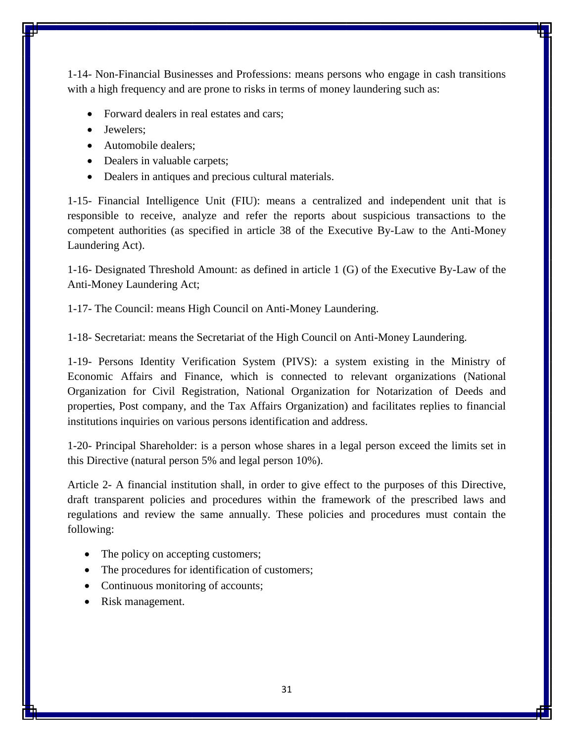1-14- Non-Financial Businesses and Professions: means persons who engage in cash transitions with a high frequency and are prone to risks in terms of money laundering such as:

- Forward dealers in real estates and cars;
- Jewelers:
- Automobile dealers:
- Dealers in valuable carpets;
- Dealers in antiques and precious cultural materials.

1-15- Financial Intelligence Unit (FIU): means a centralized and independent unit that is responsible to receive, analyze and refer the reports about suspicious transactions to the competent authorities (as specified in article 38 of the Executive By-Law to the Anti-Money Laundering Act).

1-16- Designated Threshold Amount: as defined in article 1 (G) of the Executive By-Law of the Anti-Money Laundering Act;

1-17- The Council: means High Council on Anti-Money Laundering.

1-18- Secretariat: means the Secretariat of the High Council on Anti-Money Laundering.

1-19- Persons Identity Verification System (PIVS): a system existing in the Ministry of Economic Affairs and Finance, which is connected to relevant organizations (National Organization for Civil Registration, National Organization for Notarization of Deeds and properties, Post company, and the Tax Affairs Organization) and facilitates replies to financial institutions inquiries on various persons identification and address.

1-20- Principal Shareholder: is a person whose shares in a legal person exceed the limits set in this Directive (natural person 5% and legal person 10%).

Article 2- A financial institution shall, in order to give effect to the purposes of this Directive, draft transparent policies and procedures within the framework of the prescribed laws and regulations and review the same annually. These policies and procedures must contain the following:

- The policy on accepting customers;
- The procedures for identification of customers;
- Continuous monitoring of accounts;
- Risk management.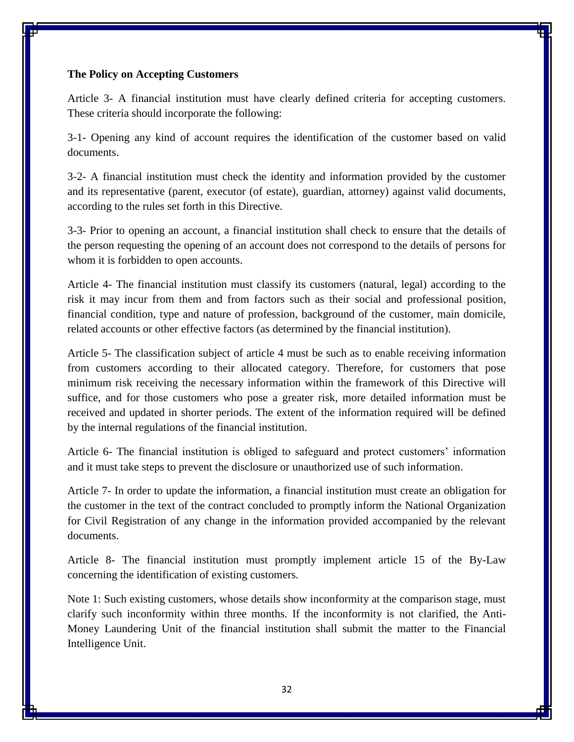#### **The Policy on Accepting Customers**

Article 3- A financial institution must have clearly defined criteria for accepting customers. These criteria should incorporate the following:

3-1- Opening any kind of account requires the identification of the customer based on valid documents.

3-2- A financial institution must check the identity and information provided by the customer and its representative (parent, executor (of estate), guardian, attorney) against valid documents, according to the rules set forth in this Directive.

3-3- Prior to opening an account, a financial institution shall check to ensure that the details of the person requesting the opening of an account does not correspond to the details of persons for whom it is forbidden to open accounts.

Article 4- The financial institution must classify its customers (natural, legal) according to the risk it may incur from them and from factors such as their social and professional position, financial condition, type and nature of profession, background of the customer, main domicile, related accounts or other effective factors (as determined by the financial institution).

Article 5- The classification subject of article 4 must be such as to enable receiving information from customers according to their allocated category. Therefore, for customers that pose minimum risk receiving the necessary information within the framework of this Directive will suffice, and for those customers who pose a greater risk, more detailed information must be received and updated in shorter periods. The extent of the information required will be defined by the internal regulations of the financial institution.

Article 6- The financial institution is obliged to safeguard and protect customers' information and it must take steps to prevent the disclosure or unauthorized use of such information.

Article 7- In order to update the information, a financial institution must create an obligation for the customer in the text of the contract concluded to promptly inform the National Organization for Civil Registration of any change in the information provided accompanied by the relevant documents.

Article 8- The financial institution must promptly implement article 15 of the By-Law concerning the identification of existing customers.

Note 1: Such existing customers, whose details show inconformity at the comparison stage, must clarify such inconformity within three months. If the inconformity is not clarified, the Anti-Money Laundering Unit of the financial institution shall submit the matter to the Financial Intelligence Unit.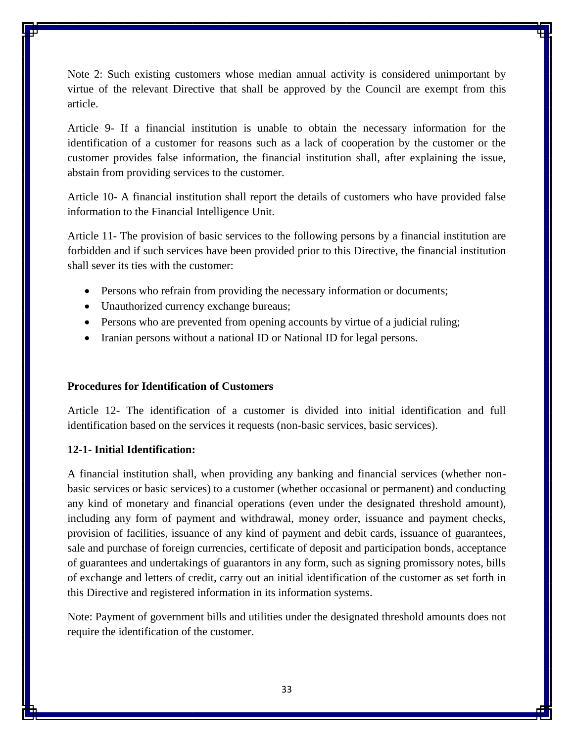Note 2: Such existing customers whose median annual activity is considered unimportant by virtue of the relevant Directive that shall be approved by the Council are exempt from this article.

Article 9- If a financial institution is unable to obtain the necessary information for the identification of a customer for reasons such as a lack of cooperation by the customer or the customer provides false information, the financial institution shall, after explaining the issue, abstain from providing services to the customer.

Article 10- A financial institution shall report the details of customers who have provided false information to the Financial Intelligence Unit.

Article 11- The provision of basic services to the following persons by a financial institution are forbidden and if such services have been provided prior to this Directive, the financial institution shall sever its ties with the customer:

- Persons who refrain from providing the necessary information or documents;
- Unauthorized currency exchange bureaus;
- Persons who are prevented from opening accounts by virtue of a judicial ruling;
- Iranian persons without a national ID or National ID for legal persons.

## **Procedures for Identification of Customers**

Article 12- The identification of a customer is divided into initial identification and full identification based on the services it requests (non-basic services, basic services).

## **12-1- Initial Identification:**

A financial institution shall, when providing any banking and financial services (whether nonbasic services or basic services) to a customer (whether occasional or permanent) and conducting any kind of monetary and financial operations (even under the designated threshold amount), including any form of payment and withdrawal, money order, issuance and payment checks, provision of facilities, issuance of any kind of payment and debit cards, issuance of guarantees, sale and purchase of foreign currencies, certificate of deposit and participation bonds, acceptance of guarantees and undertakings of guarantors in any form, such as signing promissory notes, bills of exchange and letters of credit, carry out an initial identification of the customer as set forth in this Directive and registered information in its information systems.

Note: Payment of government bills and utilities under the designated threshold amounts does not require the identification of the customer.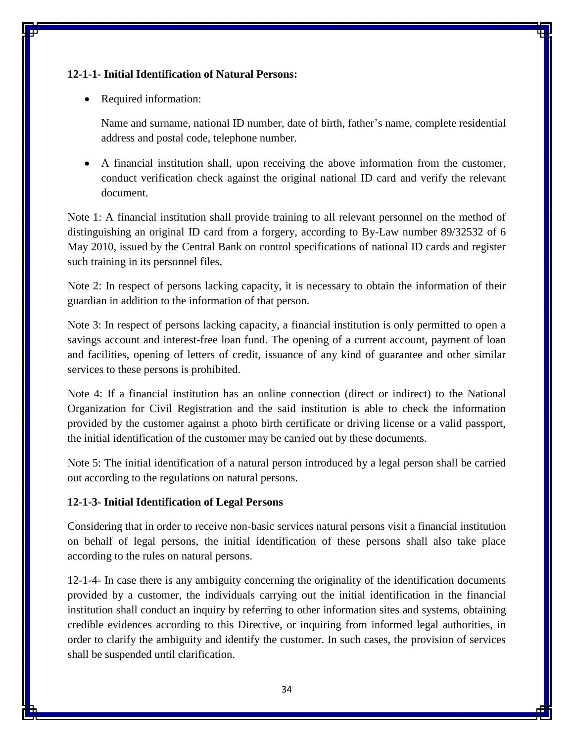## **12-1-1- Initial Identification of Natural Persons:**

• Required information:

Name and surname, national ID number, date of birth, father's name, complete residential address and postal code, telephone number.

 A financial institution shall, upon receiving the above information from the customer, conduct verification check against the original national ID card and verify the relevant document.

Note 1: A financial institution shall provide training to all relevant personnel on the method of distinguishing an original ID card from a forgery, according to By-Law number 89/32532 of 6 May 2010, issued by the Central Bank on control specifications of national ID cards and register such training in its personnel files.

Note 2: In respect of persons lacking capacity, it is necessary to obtain the information of their guardian in addition to the information of that person.

Note 3: In respect of persons lacking capacity, a financial institution is only permitted to open a savings account and interest-free loan fund. The opening of a current account, payment of loan and facilities, opening of letters of credit, issuance of any kind of guarantee and other similar services to these persons is prohibited.

Note 4: If a financial institution has an online connection (direct or indirect) to the National Organization for Civil Registration and the said institution is able to check the information provided by the customer against a photo birth certificate or driving license or a valid passport, the initial identification of the customer may be carried out by these documents.

Note 5: The initial identification of a natural person introduced by a legal person shall be carried out according to the regulations on natural persons.

## **12-1-3- Initial Identification of Legal Persons**

Considering that in order to receive non-basic services natural persons visit a financial institution on behalf of legal persons, the initial identification of these persons shall also take place according to the rules on natural persons.

12-1-4- In case there is any ambiguity concerning the originality of the identification documents provided by a customer, the individuals carrying out the initial identification in the financial institution shall conduct an inquiry by referring to other information sites and systems, obtaining credible evidences according to this Directive, or inquiring from informed legal authorities, in order to clarify the ambiguity and identify the customer. In such cases, the provision of services shall be suspended until clarification.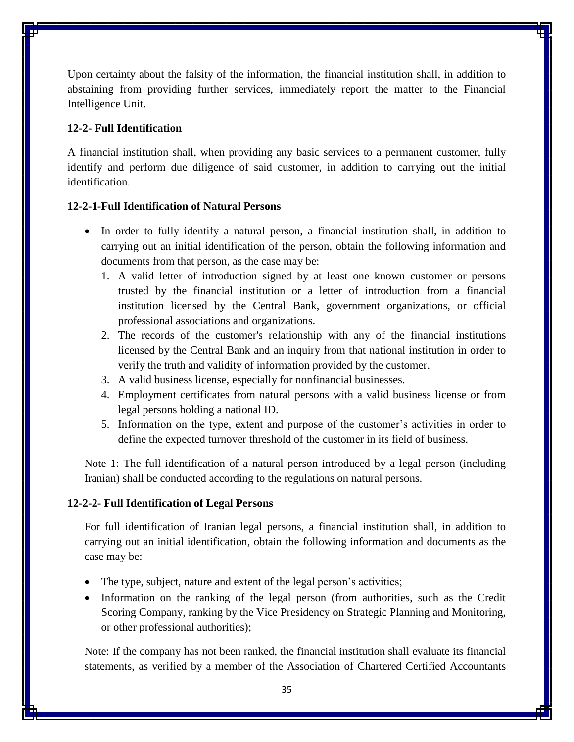Upon certainty about the falsity of the information, the financial institution shall, in addition to abstaining from providing further services, immediately report the matter to the Financial Intelligence Unit.

#### **12-2- Full Identification**

A financial institution shall, when providing any basic services to a permanent customer, fully identify and perform due diligence of said customer, in addition to carrying out the initial identification.

## **12-2-1-Full Identification of Natural Persons**

- In order to fully identify a natural person, a financial institution shall, in addition to carrying out an initial identification of the person, obtain the following information and documents from that person, as the case may be:
	- 1. A valid letter of introduction signed by at least one known customer or persons trusted by the financial institution or a letter of introduction from a financial institution licensed by the Central Bank, government organizations, or official professional associations and organizations.
	- 2. The records of the customer's relationship with any of the financial institutions licensed by the Central Bank and an inquiry from that national institution in order to verify the truth and validity of information provided by the customer.
	- 3. A valid business license, especially for nonfinancial businesses.
	- 4. Employment certificates from natural persons with a valid business license or from legal persons holding a national ID.
	- 5. Information on the type, extent and purpose of the customer's activities in order to define the expected turnover threshold of the customer in its field of business.

Note 1: The full identification of a natural person introduced by a legal person (including Iranian) shall be conducted according to the regulations on natural persons.

#### **12-2-2- Full Identification of Legal Persons**

For full identification of Iranian legal persons, a financial institution shall, in addition to carrying out an initial identification, obtain the following information and documents as the case may be:

- The type, subject, nature and extent of the legal person's activities;
- Information on the ranking of the legal person (from authorities, such as the Credit Scoring Company, ranking by the Vice Presidency on Strategic Planning and Monitoring, or other professional authorities);

Note: If the company has not been ranked, the financial institution shall evaluate its financial statements, as verified by a member of the Association of Chartered Certified Accountants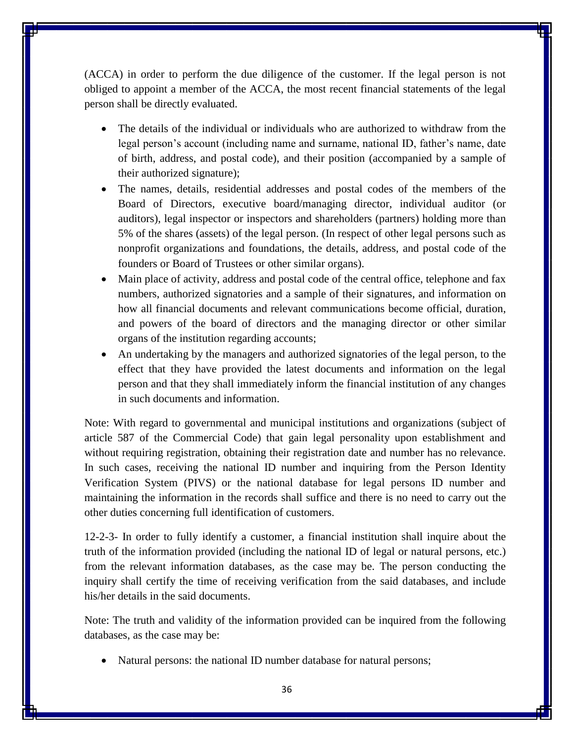(ACCA) in order to perform the due diligence of the customer. If the legal person is not obliged to appoint a member of the ACCA, the most recent financial statements of the legal person shall be directly evaluated.

- The details of the individual or individuals who are authorized to withdraw from the legal person's account (including name and surname, national ID, father's name, date of birth, address, and postal code), and their position (accompanied by a sample of their authorized signature);
- The names, details, residential addresses and postal codes of the members of the Board of Directors, executive board/managing director, individual auditor (or auditors), legal inspector or inspectors and shareholders (partners) holding more than 5% of the shares (assets) of the legal person. (In respect of other legal persons such as nonprofit organizations and foundations, the details, address, and postal code of the founders or Board of Trustees or other similar organs).
- Main place of activity, address and postal code of the central office, telephone and fax numbers, authorized signatories and a sample of their signatures, and information on how all financial documents and relevant communications become official, duration, and powers of the board of directors and the managing director or other similar organs of the institution regarding accounts;
- An undertaking by the managers and authorized signatories of the legal person, to the effect that they have provided the latest documents and information on the legal person and that they shall immediately inform the financial institution of any changes in such documents and information.

Note: With regard to governmental and municipal institutions and organizations (subject of article 587 of the Commercial Code) that gain legal personality upon establishment and without requiring registration, obtaining their registration date and number has no relevance. In such cases, receiving the national ID number and inquiring from the Person Identity Verification System (PIVS) or the national database for legal persons ID number and maintaining the information in the records shall suffice and there is no need to carry out the other duties concerning full identification of customers.

12-2-3- In order to fully identify a customer, a financial institution shall inquire about the truth of the information provided (including the national ID of legal or natural persons, etc.) from the relevant information databases, as the case may be. The person conducting the inquiry shall certify the time of receiving verification from the said databases, and include his/her details in the said documents.

Note: The truth and validity of the information provided can be inquired from the following databases, as the case may be:

• Natural persons: the national ID number database for natural persons;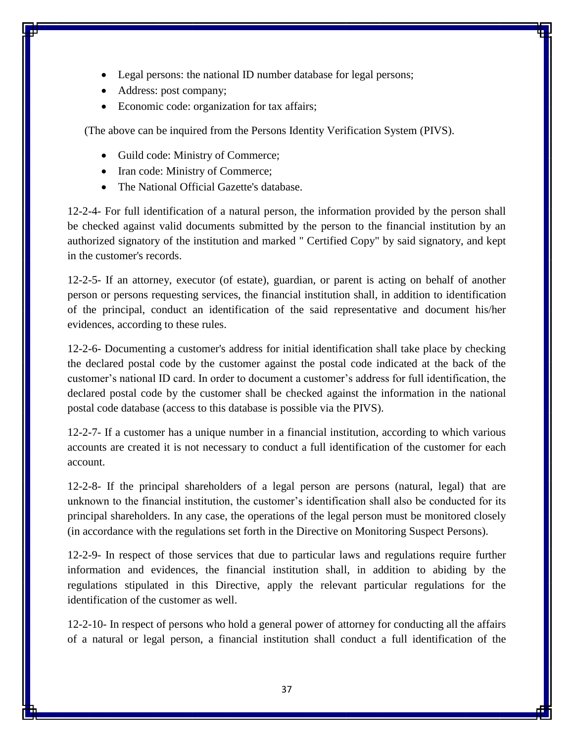- Legal persons: the national ID number database for legal persons;
- Address: post company;
- Economic code: organization for tax affairs;

(The above can be inquired from the Persons Identity Verification System (PIVS).

- Guild code: Ministry of Commerce;
- Iran code: Ministry of Commerce;
- The National Official Gazette's database.

12-2-4- For full identification of a natural person, the information provided by the person shall be checked against valid documents submitted by the person to the financial institution by an authorized signatory of the institution and marked " Certified Copy" by said signatory, and kept in the customer's records.

12-2-5- If an attorney, executor (of estate), guardian, or parent is acting on behalf of another person or persons requesting services, the financial institution shall, in addition to identification of the principal, conduct an identification of the said representative and document his/her evidences, according to these rules.

12-2-6- Documenting a customer's address for initial identification shall take place by checking the declared postal code by the customer against the postal code indicated at the back of the customer's national ID card. In order to document a customer's address for full identification, the declared postal code by the customer shall be checked against the information in the national postal code database (access to this database is possible via the PIVS).

12-2-7- If a customer has a unique number in a financial institution, according to which various accounts are created it is not necessary to conduct a full identification of the customer for each account.

12-2-8- If the principal shareholders of a legal person are persons (natural, legal) that are unknown to the financial institution, the customer's identification shall also be conducted for its principal shareholders. In any case, the operations of the legal person must be monitored closely (in accordance with the regulations set forth in the Directive on Monitoring Suspect Persons).

12-2-9- In respect of those services that due to particular laws and regulations require further information and evidences, the financial institution shall, in addition to abiding by the regulations stipulated in this Directive, apply the relevant particular regulations for the identification of the customer as well.

12-2-10- In respect of persons who hold a general power of attorney for conducting all the affairs of a natural or legal person, a financial institution shall conduct a full identification of the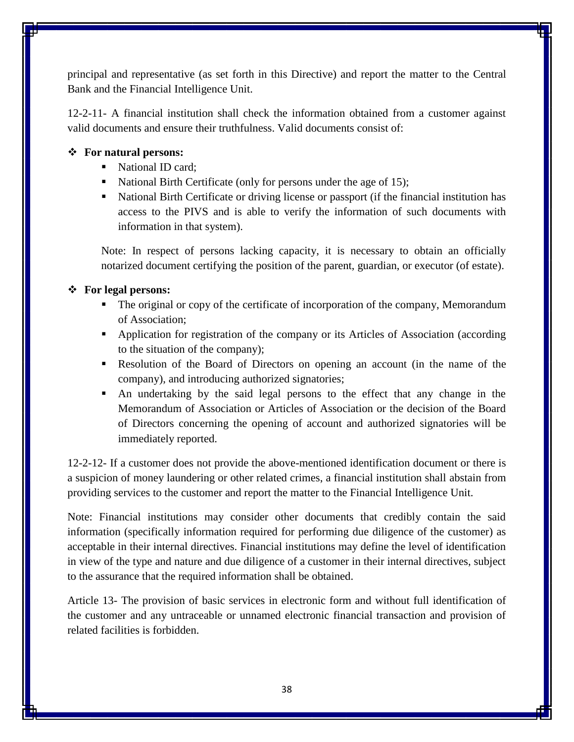principal and representative (as set forth in this Directive) and report the matter to the Central Bank and the Financial Intelligence Unit.

12-2-11- A financial institution shall check the information obtained from a customer against valid documents and ensure their truthfulness. Valid documents consist of:

## **For natural persons:**

- National ID card:
- National Birth Certificate (only for persons under the age of 15);
- National Birth Certificate or driving license or passport (if the financial institution has access to the PIVS and is able to verify the information of such documents with information in that system).

Note: In respect of persons lacking capacity, it is necessary to obtain an officially notarized document certifying the position of the parent, guardian, or executor (of estate).

## **For legal persons:**

- The original or copy of the certificate of incorporation of the company, Memorandum of Association;
- Application for registration of the company or its Articles of Association (according to the situation of the company);
- Resolution of the Board of Directors on opening an account (in the name of the company), and introducing authorized signatories;
- An undertaking by the said legal persons to the effect that any change in the Memorandum of Association or Articles of Association or the decision of the Board of Directors concerning the opening of account and authorized signatories will be immediately reported.

12-2-12- If a customer does not provide the above-mentioned identification document or there is a suspicion of money laundering or other related crimes, a financial institution shall abstain from providing services to the customer and report the matter to the Financial Intelligence Unit.

Note: Financial institutions may consider other documents that credibly contain the said information (specifically information required for performing due diligence of the customer) as acceptable in their internal directives. Financial institutions may define the level of identification in view of the type and nature and due diligence of a customer in their internal directives, subject to the assurance that the required information shall be obtained.

Article 13- The provision of basic services in electronic form and without full identification of the customer and any untraceable or unnamed electronic financial transaction and provision of related facilities is forbidden.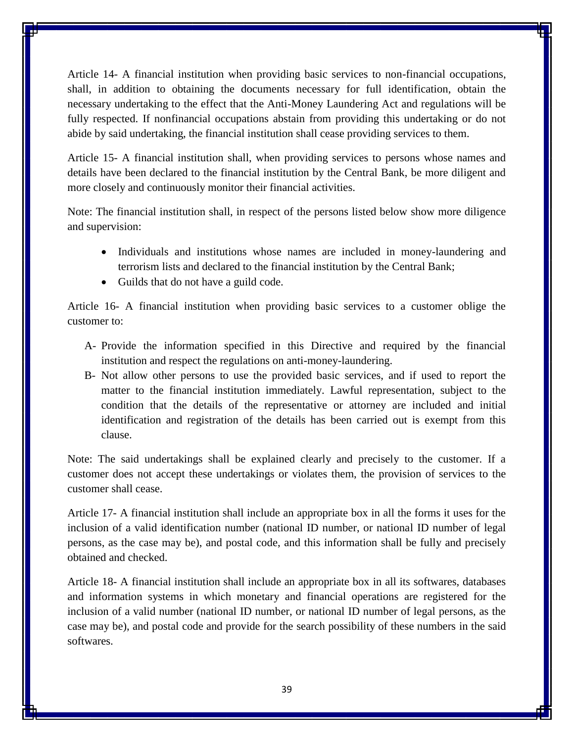Article 14- A financial institution when providing basic services to non-financial occupations, shall, in addition to obtaining the documents necessary for full identification, obtain the necessary undertaking to the effect that the Anti-Money Laundering Act and regulations will be fully respected. If nonfinancial occupations abstain from providing this undertaking or do not abide by said undertaking, the financial institution shall cease providing services to them.

Article 15- A financial institution shall, when providing services to persons whose names and details have been declared to the financial institution by the Central Bank, be more diligent and more closely and continuously monitor their financial activities.

Note: The financial institution shall, in respect of the persons listed below show more diligence and supervision:

- Individuals and institutions whose names are included in money-laundering and terrorism lists and declared to the financial institution by the Central Bank;
- Guilds that do not have a guild code.

Article 16- A financial institution when providing basic services to a customer oblige the customer to:

- A- Provide the information specified in this Directive and required by the financial institution and respect the regulations on anti-money-laundering.
- B- Not allow other persons to use the provided basic services, and if used to report the matter to the financial institution immediately. Lawful representation, subject to the condition that the details of the representative or attorney are included and initial identification and registration of the details has been carried out is exempt from this clause.

Note: The said undertakings shall be explained clearly and precisely to the customer. If a customer does not accept these undertakings or violates them, the provision of services to the customer shall cease.

Article 17- A financial institution shall include an appropriate box in all the forms it uses for the inclusion of a valid identification number (national ID number, or national ID number of legal persons, as the case may be), and postal code, and this information shall be fully and precisely obtained and checked.

Article 18- A financial institution shall include an appropriate box in all its softwares, databases and information systems in which monetary and financial operations are registered for the inclusion of a valid number (national ID number, or national ID number of legal persons, as the case may be), and postal code and provide for the search possibility of these numbers in the said softwares.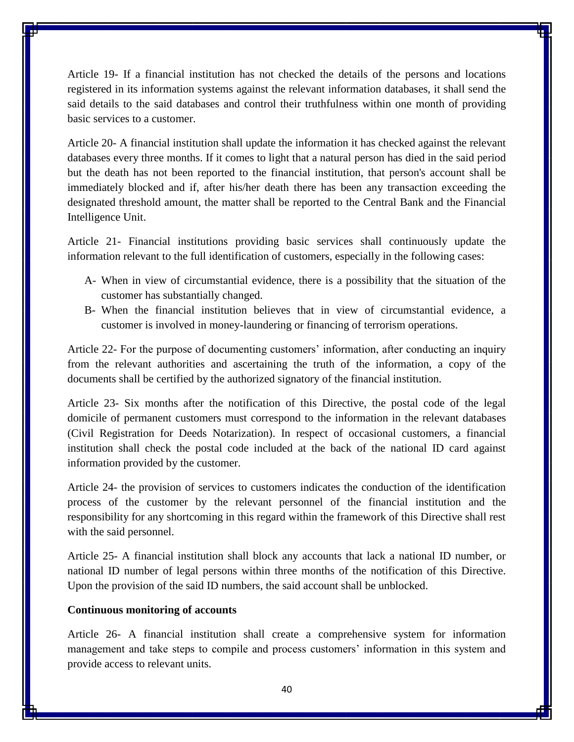Article 19- If a financial institution has not checked the details of the persons and locations registered in its information systems against the relevant information databases, it shall send the said details to the said databases and control their truthfulness within one month of providing basic services to a customer.

Article 20- A financial institution shall update the information it has checked against the relevant databases every three months. If it comes to light that a natural person has died in the said period but the death has not been reported to the financial institution, that person's account shall be immediately blocked and if, after his/her death there has been any transaction exceeding the designated threshold amount, the matter shall be reported to the Central Bank and the Financial Intelligence Unit.

Article 21- Financial institutions providing basic services shall continuously update the information relevant to the full identification of customers, especially in the following cases:

- A- When in view of circumstantial evidence, there is a possibility that the situation of the customer has substantially changed.
- B- When the financial institution believes that in view of circumstantial evidence, a customer is involved in money-laundering or financing of terrorism operations.

Article 22- For the purpose of documenting customers' information, after conducting an inquiry from the relevant authorities and ascertaining the truth of the information, a copy of the documents shall be certified by the authorized signatory of the financial institution.

Article 23- Six months after the notification of this Directive, the postal code of the legal domicile of permanent customers must correspond to the information in the relevant databases (Civil Registration for Deeds Notarization). In respect of occasional customers, a financial institution shall check the postal code included at the back of the national ID card against information provided by the customer.

Article 24- the provision of services to customers indicates the conduction of the identification process of the customer by the relevant personnel of the financial institution and the responsibility for any shortcoming in this regard within the framework of this Directive shall rest with the said personnel.

Article 25- A financial institution shall block any accounts that lack a national ID number, or national ID number of legal persons within three months of the notification of this Directive. Upon the provision of the said ID numbers, the said account shall be unblocked.

### **Continuous monitoring of accounts**

Article 26- A financial institution shall create a comprehensive system for information management and take steps to compile and process customers' information in this system and provide access to relevant units.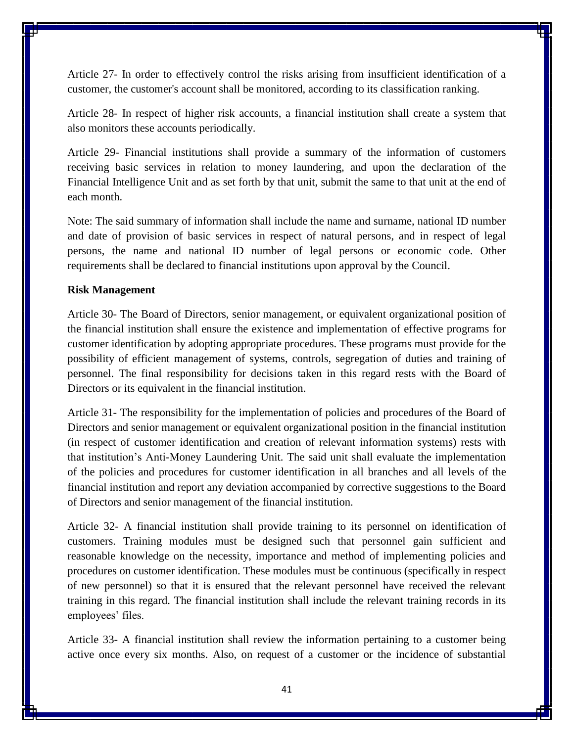Article 27- In order to effectively control the risks arising from insufficient identification of a customer, the customer's account shall be monitored, according to its classification ranking.

Article 28- In respect of higher risk accounts, a financial institution shall create a system that also monitors these accounts periodically.

Article 29- Financial institutions shall provide a summary of the information of customers receiving basic services in relation to money laundering, and upon the declaration of the Financial Intelligence Unit and as set forth by that unit, submit the same to that unit at the end of each month.

Note: The said summary of information shall include the name and surname, national ID number and date of provision of basic services in respect of natural persons, and in respect of legal persons, the name and national ID number of legal persons or economic code. Other requirements shall be declared to financial institutions upon approval by the Council.

#### **Risk Management**

Article 30- The Board of Directors, senior management, or equivalent organizational position of the financial institution shall ensure the existence and implementation of effective programs for customer identification by adopting appropriate procedures. These programs must provide for the possibility of efficient management of systems, controls, segregation of duties and training of personnel. The final responsibility for decisions taken in this regard rests with the Board of Directors or its equivalent in the financial institution.

Article 31- The responsibility for the implementation of policies and procedures of the Board of Directors and senior management or equivalent organizational position in the financial institution (in respect of customer identification and creation of relevant information systems) rests with that institution's Anti-Money Laundering Unit. The said unit shall evaluate the implementation of the policies and procedures for customer identification in all branches and all levels of the financial institution and report any deviation accompanied by corrective suggestions to the Board of Directors and senior management of the financial institution.

Article 32- A financial institution shall provide training to its personnel on identification of customers. Training modules must be designed such that personnel gain sufficient and reasonable knowledge on the necessity, importance and method of implementing policies and procedures on customer identification. These modules must be continuous (specifically in respect of new personnel) so that it is ensured that the relevant personnel have received the relevant training in this regard. The financial institution shall include the relevant training records in its employees' files.

Article 33- A financial institution shall review the information pertaining to a customer being active once every six months. Also, on request of a customer or the incidence of substantial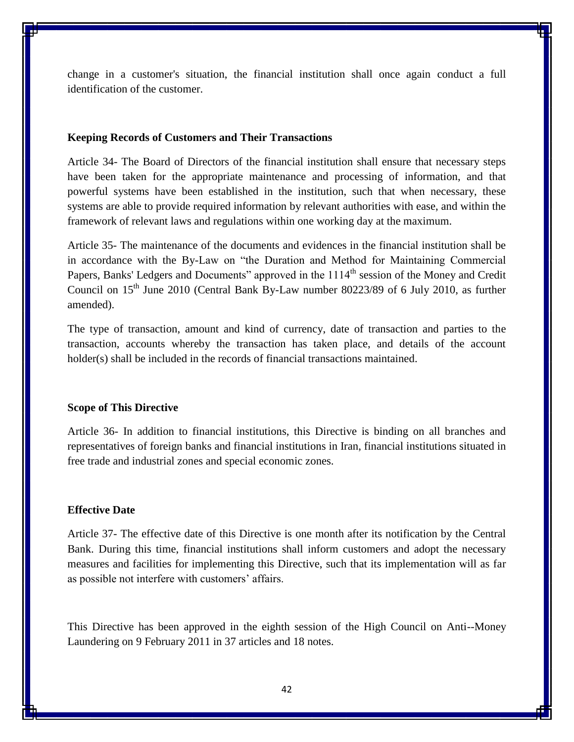change in a customer's situation, the financial institution shall once again conduct a full identification of the customer.

#### **Keeping Records of Customers and Their Transactions**

Article 34- The Board of Directors of the financial institution shall ensure that necessary steps have been taken for the appropriate maintenance and processing of information, and that powerful systems have been established in the institution, such that when necessary, these systems are able to provide required information by relevant authorities with ease, and within the framework of relevant laws and regulations within one working day at the maximum.

Article 35- The maintenance of the documents and evidences in the financial institution shall be in accordance with the By-Law on "the Duration and Method for Maintaining Commercial Papers, Banks' Ledgers and Documents" approved in the 1114<sup>th</sup> session of the Money and Credit Council on  $15<sup>th</sup>$  June 2010 (Central Bank By-Law number 80223/89 of 6 July 2010, as further amended).

The type of transaction, amount and kind of currency, date of transaction and parties to the transaction, accounts whereby the transaction has taken place, and details of the account holder(s) shall be included in the records of financial transactions maintained.

#### **Scope of This Directive**

Article 36- In addition to financial institutions, this Directive is binding on all branches and representatives of foreign banks and financial institutions in Iran, financial institutions situated in free trade and industrial zones and special economic zones.

## **Effective Date**

Article 37- The effective date of this Directive is one month after its notification by the Central Bank. During this time, financial institutions shall inform customers and adopt the necessary measures and facilities for implementing this Directive, such that its implementation will as far as possible not interfere with customers' affairs.

This Directive has been approved in the eighth session of the High Council on Anti--Money Laundering on 9 February 2011 in 37 articles and 18 notes.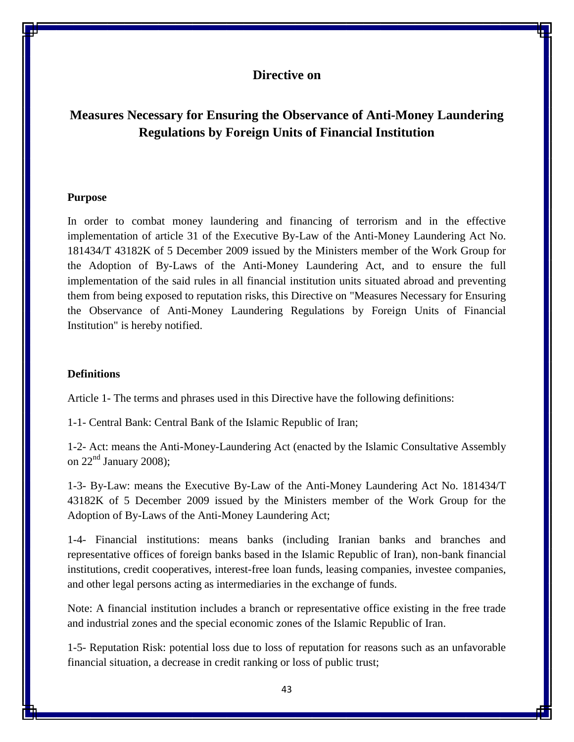## **Directive on**

# **Measures Necessary for Ensuring the Observance of Anti-Money Laundering Regulations by Foreign Units of Financial Institution**

#### **Purpose**

In order to combat money laundering and financing of terrorism and in the effective implementation of article 31 of the Executive By-Law of the Anti-Money Laundering Act No. 181434/T 43182K of 5 December 2009 issued by the Ministers member of the Work Group for the Adoption of By-Laws of the Anti-Money Laundering Act, and to ensure the full implementation of the said rules in all financial institution units situated abroad and preventing them from being exposed to reputation risks, this Directive on "Measures Necessary for Ensuring the Observance of Anti-Money Laundering Regulations by Foreign Units of Financial Institution" is hereby notified.

#### **Definitions**

Article 1- The terms and phrases used in this Directive have the following definitions:

1-1- Central Bank: Central Bank of the Islamic Republic of Iran;

1-2- Act: means the Anti-Money-Laundering Act (enacted by the Islamic Consultative Assembly on  $22<sup>nd</sup>$  January 2008);

1-3- By-Law: means the Executive By-Law of the Anti-Money Laundering Act No. 181434/T 43182K of 5 December 2009 issued by the Ministers member of the Work Group for the Adoption of By-Laws of the Anti-Money Laundering Act;

1-4- Financial institutions: means banks (including Iranian banks and branches and representative offices of foreign banks based in the Islamic Republic of Iran), non-bank financial institutions, credit cooperatives, interest-free loan funds, leasing companies, investee companies, and other legal persons acting as intermediaries in the exchange of funds.

Note: A financial institution includes a branch or representative office existing in the free trade and industrial zones and the special economic zones of the Islamic Republic of Iran.

1-5- Reputation Risk: potential loss due to loss of reputation for reasons such as an unfavorable financial situation, a decrease in credit ranking or loss of public trust;

43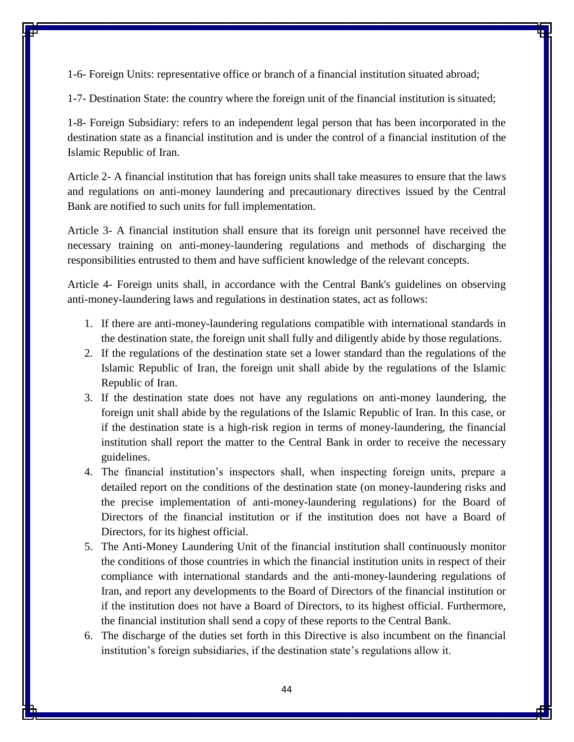1-6- Foreign Units: representative office or branch of a financial institution situated abroad;

1-7- Destination State: the country where the foreign unit of the financial institution is situated;

1-8- Foreign Subsidiary: refers to an independent legal person that has been incorporated in the destination state as a financial institution and is under the control of a financial institution of the Islamic Republic of Iran.

Article 2- A financial institution that has foreign units shall take measures to ensure that the laws and regulations on anti-money laundering and precautionary directives issued by the Central Bank are notified to such units for full implementation.

Article 3- A financial institution shall ensure that its foreign unit personnel have received the necessary training on anti-money-laundering regulations and methods of discharging the responsibilities entrusted to them and have sufficient knowledge of the relevant concepts.

Article 4- Foreign units shall, in accordance with the Central Bank's guidelines on observing anti-money-laundering laws and regulations in destination states, act as follows:

- 1. If there are anti-money-laundering regulations compatible with international standards in the destination state, the foreign unit shall fully and diligently abide by those regulations.
- 2. If the regulations of the destination state set a lower standard than the regulations of the Islamic Republic of Iran, the foreign unit shall abide by the regulations of the Islamic Republic of Iran.
- 3. If the destination state does not have any regulations on anti-money laundering, the foreign unit shall abide by the regulations of the Islamic Republic of Iran. In this case, or if the destination state is a high-risk region in terms of money-laundering, the financial institution shall report the matter to the Central Bank in order to receive the necessary guidelines.
- 4. The financial institution's inspectors shall, when inspecting foreign units, prepare a detailed report on the conditions of the destination state (on money-laundering risks and the precise implementation of anti-money-laundering regulations) for the Board of Directors of the financial institution or if the institution does not have a Board of Directors, for its highest official.
- 5. The Anti-Money Laundering Unit of the financial institution shall continuously monitor the conditions of those countries in which the financial institution units in respect of their compliance with international standards and the anti-money-laundering regulations of Iran, and report any developments to the Board of Directors of the financial institution or if the institution does not have a Board of Directors, to its highest official. Furthermore, the financial institution shall send a copy of these reports to the Central Bank.
- 6. The discharge of the duties set forth in this Directive is also incumbent on the financial institution's foreign subsidiaries, if the destination state's regulations allow it.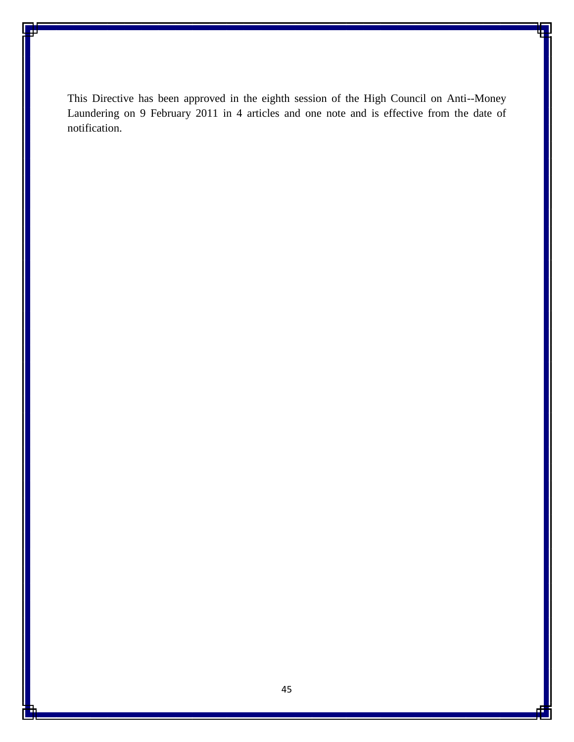This Directive has been approved in the eighth session of the High Council on Anti--Money Laundering on 9 February 2011 in 4 articles and one note and is effective from the date of notification.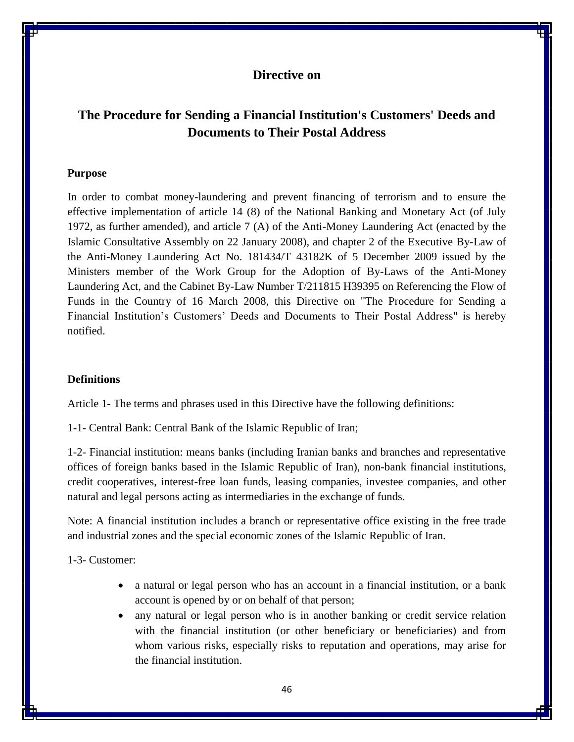## **Directive on**

# **The Procedure for Sending a Financial Institution's Customers' Deeds and Documents to Their Postal Address**

#### **Purpose**

In order to combat money-laundering and prevent financing of terrorism and to ensure the effective implementation of article 14 (8) of the National Banking and Monetary Act (of July 1972, as further amended), and article 7 (A) of the Anti-Money Laundering Act (enacted by the Islamic Consultative Assembly on 22 January 2008), and chapter 2 of the Executive By-Law of the Anti-Money Laundering Act No. 181434/T 43182K of 5 December 2009 issued by the Ministers member of the Work Group for the Adoption of By-Laws of the Anti-Money Laundering Act, and the Cabinet By-Law Number T/211815 H39395 on Referencing the Flow of Funds in the Country of 16 March 2008, this Directive on "The Procedure for Sending a Financial Institution's Customers' Deeds and Documents to Their Postal Address" is hereby notified.

### **Definitions**

Article 1- The terms and phrases used in this Directive have the following definitions:

1-1- Central Bank: Central Bank of the Islamic Republic of Iran;

1-2- Financial institution: means banks (including Iranian banks and branches and representative offices of foreign banks based in the Islamic Republic of Iran), non-bank financial institutions, credit cooperatives, interest-free loan funds, leasing companies, investee companies, and other natural and legal persons acting as intermediaries in the exchange of funds.

Note: A financial institution includes a branch or representative office existing in the free trade and industrial zones and the special economic zones of the Islamic Republic of Iran.

1-3- Customer:

- a natural or legal person who has an account in a financial institution, or a bank account is opened by or on behalf of that person;
- any natural or legal person who is in another banking or credit service relation with the financial institution (or other beneficiary or beneficiaries) and from whom various risks, especially risks to reputation and operations, may arise for the financial institution.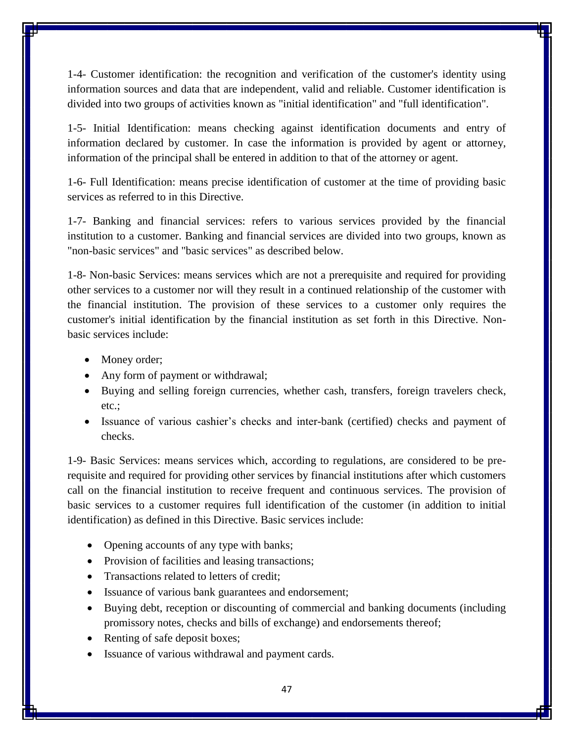1-4- Customer identification: the recognition and verification of the customer's identity using information sources and data that are independent, valid and reliable. Customer identification is divided into two groups of activities known as "initial identification" and "full identification".

1-5- Initial Identification: means checking against identification documents and entry of information declared by customer. In case the information is provided by agent or attorney, information of the principal shall be entered in addition to that of the attorney or agent.

1-6- Full Identification: means precise identification of customer at the time of providing basic services as referred to in this Directive.

1-7- Banking and financial services: refers to various services provided by the financial institution to a customer. Banking and financial services are divided into two groups, known as "non-basic services" and "basic services" as described below.

1-8- Non-basic Services: means services which are not a prerequisite and required for providing other services to a customer nor will they result in a continued relationship of the customer with the financial institution. The provision of these services to a customer only requires the customer's initial identification by the financial institution as set forth in this Directive. Nonbasic services include:

- Money order;
- Any form of payment or withdrawal;
- Buying and selling foreign currencies, whether cash, transfers, foreign travelers check, etc.;
- Issuance of various cashier's checks and inter-bank (certified) checks and payment of checks.

1-9- Basic Services: means services which, according to regulations, are considered to be prerequisite and required for providing other services by financial institutions after which customers call on the financial institution to receive frequent and continuous services. The provision of basic services to a customer requires full identification of the customer (in addition to initial identification) as defined in this Directive. Basic services include:

- Opening accounts of any type with banks;
- Provision of facilities and leasing transactions;
- Transactions related to letters of credit;
- Issuance of various bank guarantees and endorsement;
- Buying debt, reception or discounting of commercial and banking documents (including promissory notes, checks and bills of exchange) and endorsements thereof;
- Renting of safe deposit boxes;
- Issuance of various withdrawal and payment cards.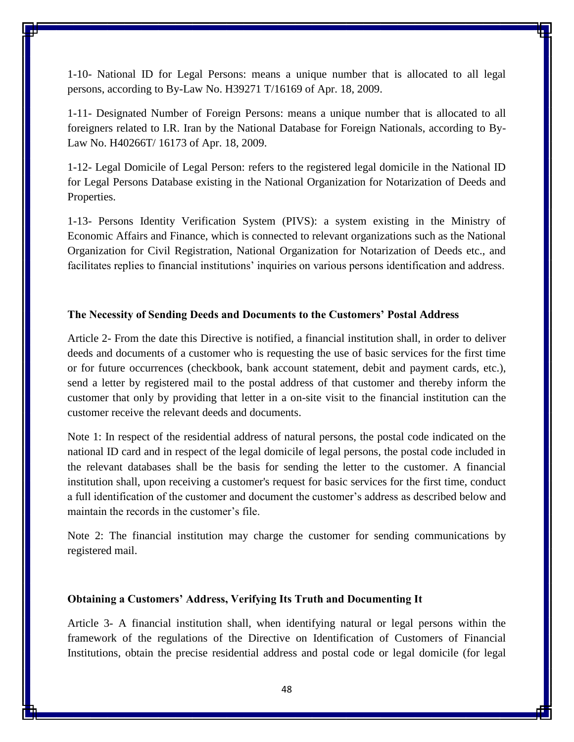1-10- National ID for Legal Persons: means a unique number that is allocated to all legal persons, according to By-Law No. H39271 T/16169 of Apr. 18, 2009.

1-11- Designated Number of Foreign Persons: means a unique number that is allocated to all foreigners related to I.R. Iran by the National Database for Foreign Nationals, according to By-Law No. H40266T/ 16173 of Apr. 18, 2009.

1-12- Legal Domicile of Legal Person: refers to the registered legal domicile in the National ID for Legal Persons Database existing in the National Organization for Notarization of Deeds and Properties.

1-13- Persons Identity Verification System (PIVS): a system existing in the Ministry of Economic Affairs and Finance, which is connected to relevant organizations such as the National Organization for Civil Registration, National Organization for Notarization of Deeds etc., and facilitates replies to financial institutions' inquiries on various persons identification and address.

### **The Necessity of Sending Deeds and Documents to the Customers' Postal Address**

Article 2- From the date this Directive is notified, a financial institution shall, in order to deliver deeds and documents of a customer who is requesting the use of basic services for the first time or for future occurrences (checkbook, bank account statement, debit and payment cards, etc.), send a letter by registered mail to the postal address of that customer and thereby inform the customer that only by providing that letter in a on-site visit to the financial institution can the customer receive the relevant deeds and documents.

Note 1: In respect of the residential address of natural persons, the postal code indicated on the national ID card and in respect of the legal domicile of legal persons, the postal code included in the relevant databases shall be the basis for sending the letter to the customer. A financial institution shall, upon receiving a customer's request for basic services for the first time, conduct a full identification of the customer and document the customer's address as described below and maintain the records in the customer's file.

Note 2: The financial institution may charge the customer for sending communications by registered mail.

#### **Obtaining a Customers' Address, Verifying Its Truth and Documenting It**

Article 3- A financial institution shall, when identifying natural or legal persons within the framework of the regulations of the Directive on Identification of Customers of Financial Institutions, obtain the precise residential address and postal code or legal domicile (for legal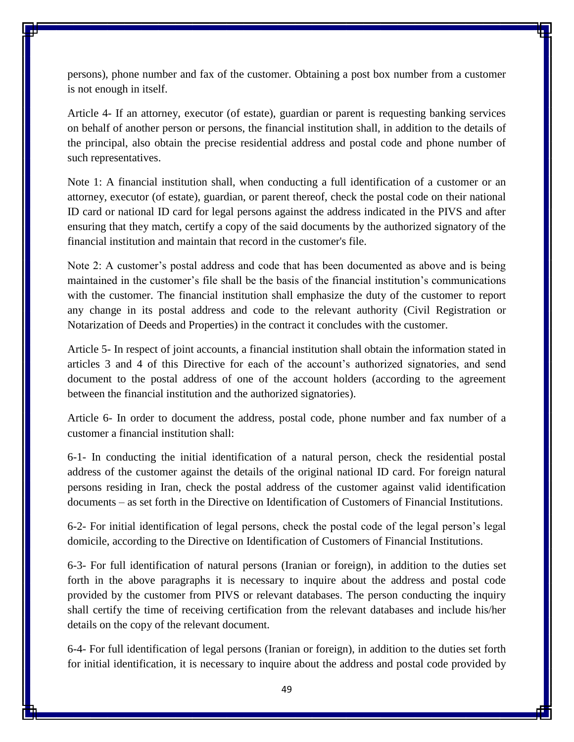persons), phone number and fax of the customer. Obtaining a post box number from a customer is not enough in itself.

Article 4- If an attorney, executor (of estate), guardian or parent is requesting banking services on behalf of another person or persons, the financial institution shall, in addition to the details of the principal, also obtain the precise residential address and postal code and phone number of such representatives.

Note 1: A financial institution shall, when conducting a full identification of a customer or an attorney, executor (of estate), guardian, or parent thereof, check the postal code on their national ID card or national ID card for legal persons against the address indicated in the PIVS and after ensuring that they match, certify a copy of the said documents by the authorized signatory of the financial institution and maintain that record in the customer's file.

Note 2: A customer's postal address and code that has been documented as above and is being maintained in the customer's file shall be the basis of the financial institution's communications with the customer. The financial institution shall emphasize the duty of the customer to report any change in its postal address and code to the relevant authority (Civil Registration or Notarization of Deeds and Properties) in the contract it concludes with the customer.

Article 5- In respect of joint accounts, a financial institution shall obtain the information stated in articles 3 and 4 of this Directive for each of the account's authorized signatories, and send document to the postal address of one of the account holders (according to the agreement between the financial institution and the authorized signatories).

Article 6- In order to document the address, postal code, phone number and fax number of a customer a financial institution shall:

6-1- In conducting the initial identification of a natural person, check the residential postal address of the customer against the details of the original national ID card. For foreign natural persons residing in Iran, check the postal address of the customer against valid identification documents – as set forth in the Directive on Identification of Customers of Financial Institutions.

6-2- For initial identification of legal persons, check the postal code of the legal person's legal domicile, according to the Directive on Identification of Customers of Financial Institutions.

6-3- For full identification of natural persons (Iranian or foreign), in addition to the duties set forth in the above paragraphs it is necessary to inquire about the address and postal code provided by the customer from PIVS or relevant databases. The person conducting the inquiry shall certify the time of receiving certification from the relevant databases and include his/her details on the copy of the relevant document.

6-4- For full identification of legal persons (Iranian or foreign), in addition to the duties set forth for initial identification, it is necessary to inquire about the address and postal code provided by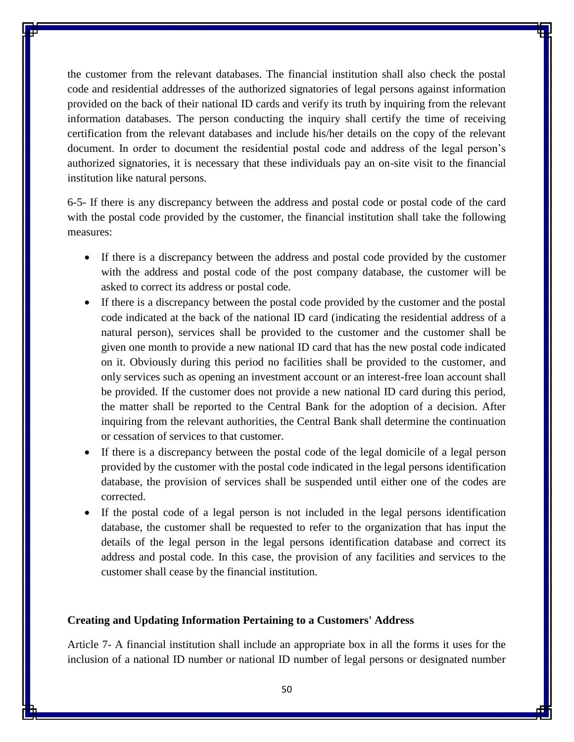the customer from the relevant databases. The financial institution shall also check the postal code and residential addresses of the authorized signatories of legal persons against information provided on the back of their national ID cards and verify its truth by inquiring from the relevant information databases. The person conducting the inquiry shall certify the time of receiving certification from the relevant databases and include his/her details on the copy of the relevant document. In order to document the residential postal code and address of the legal person's authorized signatories, it is necessary that these individuals pay an on-site visit to the financial institution like natural persons.

6-5- If there is any discrepancy between the address and postal code or postal code of the card with the postal code provided by the customer, the financial institution shall take the following measures:

- If there is a discrepancy between the address and postal code provided by the customer with the address and postal code of the post company database, the customer will be asked to correct its address or postal code.
- If there is a discrepancy between the postal code provided by the customer and the postal code indicated at the back of the national ID card (indicating the residential address of a natural person), services shall be provided to the customer and the customer shall be given one month to provide a new national ID card that has the new postal code indicated on it. Obviously during this period no facilities shall be provided to the customer, and only services such as opening an investment account or an interest-free loan account shall be provided. If the customer does not provide a new national ID card during this period, the matter shall be reported to the Central Bank for the adoption of a decision. After inquiring from the relevant authorities, the Central Bank shall determine the continuation or cessation of services to that customer.
- If there is a discrepancy between the postal code of the legal domicile of a legal person provided by the customer with the postal code indicated in the legal persons identification database, the provision of services shall be suspended until either one of the codes are corrected.
- If the postal code of a legal person is not included in the legal persons identification database, the customer shall be requested to refer to the organization that has input the details of the legal person in the legal persons identification database and correct its address and postal code. In this case, the provision of any facilities and services to the customer shall cease by the financial institution.

## **Creating and Updating Information Pertaining to a Customers' Address**

Article 7- A financial institution shall include an appropriate box in all the forms it uses for the inclusion of a national ID number or national ID number of legal persons or designated number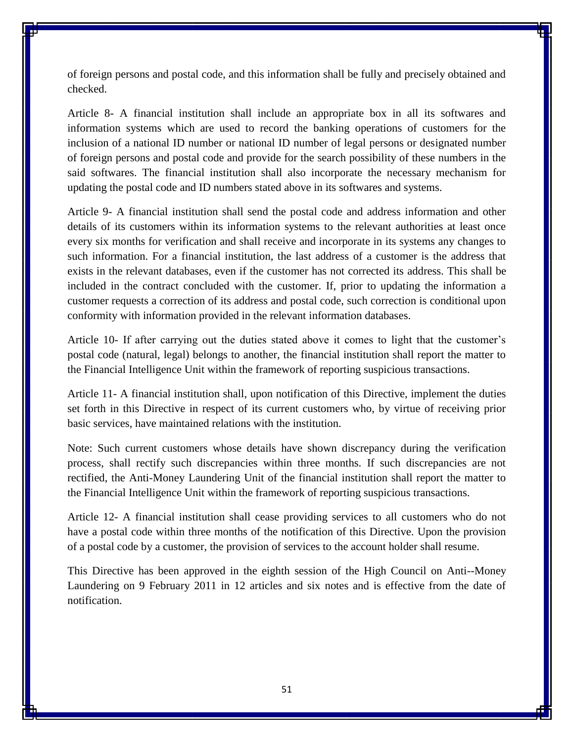of foreign persons and postal code, and this information shall be fully and precisely obtained and checked.

Article 8- A financial institution shall include an appropriate box in all its softwares and information systems which are used to record the banking operations of customers for the inclusion of a national ID number or national ID number of legal persons or designated number of foreign persons and postal code and provide for the search possibility of these numbers in the said softwares. The financial institution shall also incorporate the necessary mechanism for updating the postal code and ID numbers stated above in its softwares and systems.

Article 9- A financial institution shall send the postal code and address information and other details of its customers within its information systems to the relevant authorities at least once every six months for verification and shall receive and incorporate in its systems any changes to such information. For a financial institution, the last address of a customer is the address that exists in the relevant databases, even if the customer has not corrected its address. This shall be included in the contract concluded with the customer. If, prior to updating the information a customer requests a correction of its address and postal code, such correction is conditional upon conformity with information provided in the relevant information databases.

Article 10- If after carrying out the duties stated above it comes to light that the customer's postal code (natural, legal) belongs to another, the financial institution shall report the matter to the Financial Intelligence Unit within the framework of reporting suspicious transactions.

Article 11- A financial institution shall, upon notification of this Directive, implement the duties set forth in this Directive in respect of its current customers who, by virtue of receiving prior basic services, have maintained relations with the institution.

Note: Such current customers whose details have shown discrepancy during the verification process, shall rectify such discrepancies within three months. If such discrepancies are not rectified, the Anti-Money Laundering Unit of the financial institution shall report the matter to the Financial Intelligence Unit within the framework of reporting suspicious transactions.

Article 12- A financial institution shall cease providing services to all customers who do not have a postal code within three months of the notification of this Directive. Upon the provision of a postal code by a customer, the provision of services to the account holder shall resume.

This Directive has been approved in the eighth session of the High Council on Anti--Money Laundering on 9 February 2011 in 12 articles and six notes and is effective from the date of notification.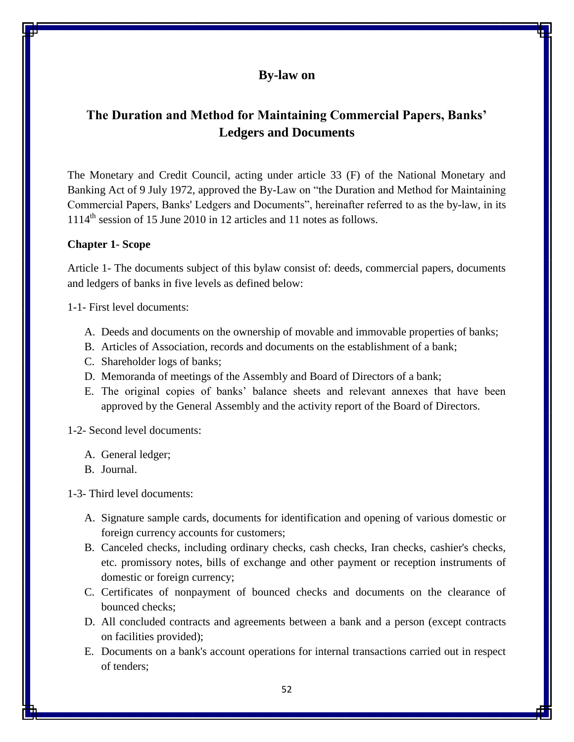## **By-law on**

# **The Duration and Method for Maintaining Commercial Papers, Banks' Ledgers and Documents**

The Monetary and Credit Council, acting under article 33 (F) of the National Monetary and Banking Act of 9 July 1972, approved the By-Law on "the Duration and Method for Maintaining Commercial Papers, Banks' Ledgers and Documents", hereinafter referred to as the by-law, in its  $1114<sup>th</sup>$  session of 15 June 2010 in 12 articles and 11 notes as follows.

## **Chapter 1- Scope**

Article 1- The documents subject of this bylaw consist of: deeds, commercial papers, documents and ledgers of banks in five levels as defined below:

1-1- First level documents:

- A. Deeds and documents on the ownership of movable and immovable properties of banks;
- B. Articles of Association, records and documents on the establishment of a bank;
- C. Shareholder logs of banks;
- D. Memoranda of meetings of the Assembly and Board of Directors of a bank;
- E. The original copies of banks' balance sheets and relevant annexes that have been approved by the General Assembly and the activity report of the Board of Directors.

1-2- Second level documents:

- A. General ledger;
- B. Journal.

1-3- Third level documents:

- A. Signature sample cards, documents for identification and opening of various domestic or foreign currency accounts for customers;
- B. Canceled checks, including ordinary checks, cash checks, Iran checks, cashier's checks, etc. promissory notes, bills of exchange and other payment or reception instruments of domestic or foreign currency;
- C. Certificates of nonpayment of bounced checks and documents on the clearance of bounced checks;
- D. All concluded contracts and agreements between a bank and a person (except contracts on facilities provided);
- E. Documents on a bank's account operations for internal transactions carried out in respect of tenders;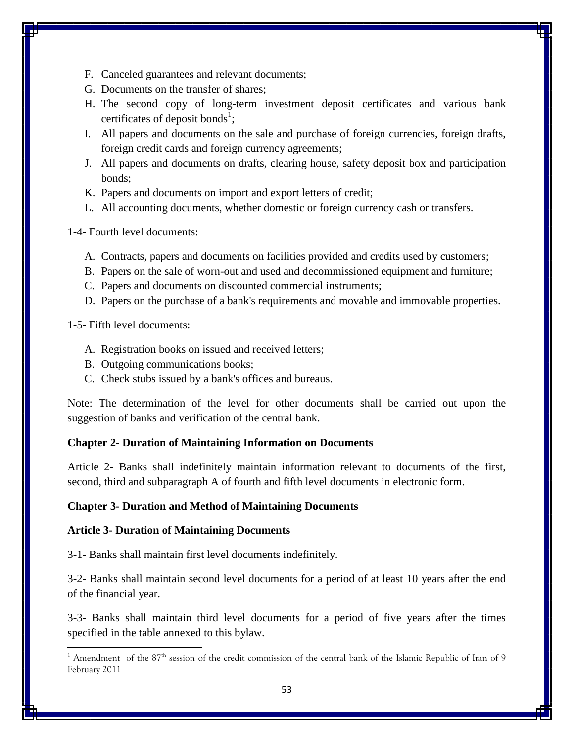- F. Canceled guarantees and relevant documents;
- G. Documents on the transfer of shares;
- H. The second copy of long-term investment deposit certificates and various bank certificates of deposit bonds<sup>1</sup>;
- I. All papers and documents on the sale and purchase of foreign currencies, foreign drafts, foreign credit cards and foreign currency agreements;
- J. All papers and documents on drafts, clearing house, safety deposit box and participation bonds;
- K. Papers and documents on import and export letters of credit;
- L. All accounting documents, whether domestic or foreign currency cash or transfers.

1-4- Fourth level documents:

- A. Contracts, papers and documents on facilities provided and credits used by customers;
- B. Papers on the sale of worn-out and used and decommissioned equipment and furniture;
- C. Papers and documents on discounted commercial instruments;
- D. Papers on the purchase of a bank's requirements and movable and immovable properties.

1-5- Fifth level documents:

l

- A. Registration books on issued and received letters;
- B. Outgoing communications books;
- C. Check stubs issued by a bank's offices and bureaus.

Note: The determination of the level for other documents shall be carried out upon the suggestion of banks and verification of the central bank.

## **Chapter 2- Duration of Maintaining Information on Documents**

Article 2- Banks shall indefinitely maintain information relevant to documents of the first, second, third and subparagraph A of fourth and fifth level documents in electronic form.

### **Chapter 3- Duration and Method of Maintaining Documents**

### **Article 3- Duration of Maintaining Documents**

3-1- Banks shall maintain first level documents indefinitely.

3-2- Banks shall maintain second level documents for a period of at least 10 years after the end of the financial year.

3-3- Banks shall maintain third level documents for a period of five years after the times specified in the table annexed to this bylaw.

<sup>&</sup>lt;sup>1</sup> Amendment of the 87<sup>th</sup> session of the credit commission of the central bank of the Islamic Republic of Iran of 9 February 2011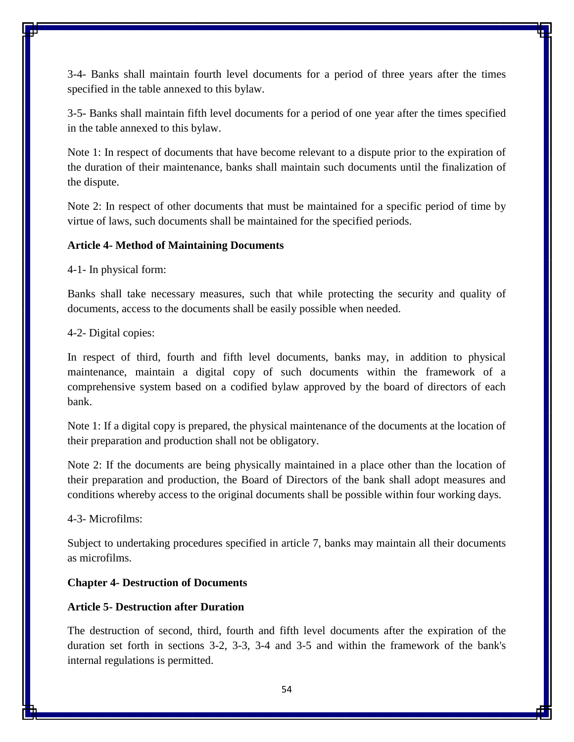3-4- Banks shall maintain fourth level documents for a period of three years after the times specified in the table annexed to this bylaw.

3-5- Banks shall maintain fifth level documents for a period of one year after the times specified in the table annexed to this bylaw.

Note 1: In respect of documents that have become relevant to a dispute prior to the expiration of the duration of their maintenance, banks shall maintain such documents until the finalization of the dispute.

Note 2: In respect of other documents that must be maintained for a specific period of time by virtue of laws, such documents shall be maintained for the specified periods.

### **Article 4- Method of Maintaining Documents**

4-1- In physical form:

Banks shall take necessary measures, such that while protecting the security and quality of documents, access to the documents shall be easily possible when needed.

4-2- Digital copies:

In respect of third, fourth and fifth level documents, banks may, in addition to physical maintenance, maintain a digital copy of such documents within the framework of a comprehensive system based on a codified bylaw approved by the board of directors of each bank.

Note 1: If a digital copy is prepared, the physical maintenance of the documents at the location of their preparation and production shall not be obligatory.

Note 2: If the documents are being physically maintained in a place other than the location of their preparation and production, the Board of Directors of the bank shall adopt measures and conditions whereby access to the original documents shall be possible within four working days.

4-3- Microfilms:

Subject to undertaking procedures specified in article 7, banks may maintain all their documents as microfilms.

#### **Chapter 4- Destruction of Documents**

#### **Article 5- Destruction after Duration**

The destruction of second, third, fourth and fifth level documents after the expiration of the duration set forth in sections 3-2, 3-3, 3-4 and 3-5 and within the framework of the bank's internal regulations is permitted.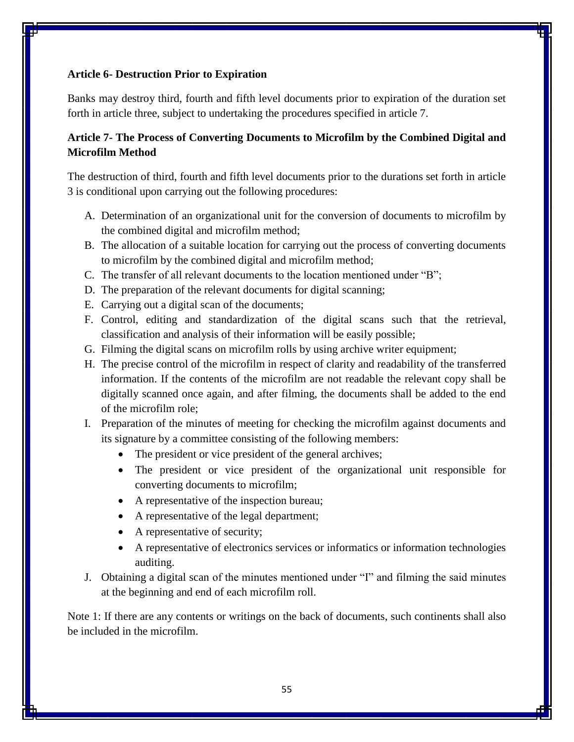## **Article 6- Destruction Prior to Expiration**

Banks may destroy third, fourth and fifth level documents prior to expiration of the duration set forth in article three, subject to undertaking the procedures specified in article 7.

## **Article 7- The Process of Converting Documents to Microfilm by the Combined Digital and Microfilm Method**

The destruction of third, fourth and fifth level documents prior to the durations set forth in article 3 is conditional upon carrying out the following procedures:

- A. Determination of an organizational unit for the conversion of documents to microfilm by the combined digital and microfilm method;
- B. The allocation of a suitable location for carrying out the process of converting documents to microfilm by the combined digital and microfilm method;
- C. The transfer of all relevant documents to the location mentioned under "B";
- D. The preparation of the relevant documents for digital scanning;
- E. Carrying out a digital scan of the documents;
- F. Control, editing and standardization of the digital scans such that the retrieval, classification and analysis of their information will be easily possible;
- G. Filming the digital scans on microfilm rolls by using archive writer equipment;
- H. The precise control of the microfilm in respect of clarity and readability of the transferred information. If the contents of the microfilm are not readable the relevant copy shall be digitally scanned once again, and after filming, the documents shall be added to the end of the microfilm role;
- I. Preparation of the minutes of meeting for checking the microfilm against documents and its signature by a committee consisting of the following members:
	- The president or vice president of the general archives;
	- The president or vice president of the organizational unit responsible for converting documents to microfilm;
	- A representative of the inspection bureau;
	- A representative of the legal department;
	- A representative of security;
	- A representative of electronics services or informatics or information technologies auditing.
- J. Obtaining a digital scan of the minutes mentioned under "I" and filming the said minutes at the beginning and end of each microfilm roll.

Note 1: If there are any contents or writings on the back of documents, such continents shall also be included in the microfilm.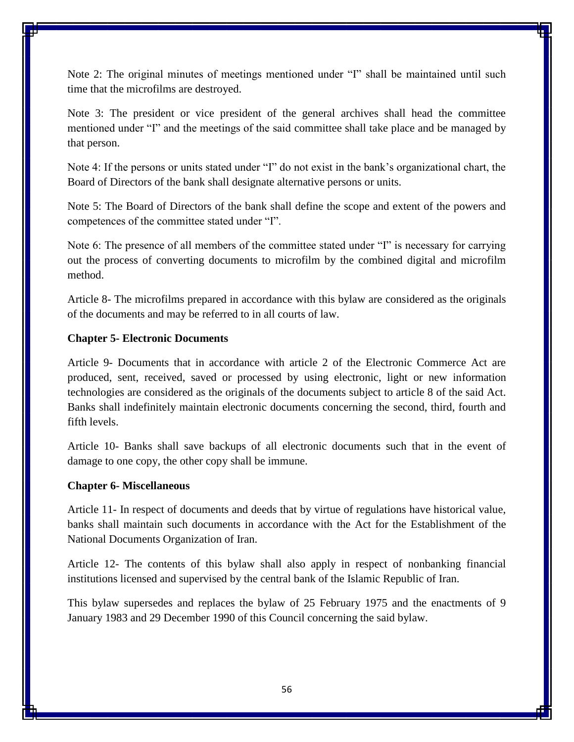Note 2: The original minutes of meetings mentioned under "I" shall be maintained until such time that the microfilms are destroyed.

Note 3: The president or vice president of the general archives shall head the committee mentioned under "I" and the meetings of the said committee shall take place and be managed by that person.

Note 4: If the persons or units stated under "I" do not exist in the bank's organizational chart, the Board of Directors of the bank shall designate alternative persons or units.

Note 5: The Board of Directors of the bank shall define the scope and extent of the powers and competences of the committee stated under "I".

Note 6: The presence of all members of the committee stated under "I" is necessary for carrying out the process of converting documents to microfilm by the combined digital and microfilm method.

Article 8- The microfilms prepared in accordance with this bylaw are considered as the originals of the documents and may be referred to in all courts of law.

#### **Chapter 5- Electronic Documents**

Article 9- Documents that in accordance with article 2 of the Electronic Commerce Act are produced, sent, received, saved or processed by using electronic, light or new information technologies are considered as the originals of the documents subject to article 8 of the said Act. Banks shall indefinitely maintain electronic documents concerning the second, third, fourth and fifth levels.

Article 10- Banks shall save backups of all electronic documents such that in the event of damage to one copy, the other copy shall be immune.

#### **Chapter 6- Miscellaneous**

Article 11- In respect of documents and deeds that by virtue of regulations have historical value, banks shall maintain such documents in accordance with the Act for the Establishment of the National Documents Organization of Iran.

Article 12- The contents of this bylaw shall also apply in respect of nonbanking financial institutions licensed and supervised by the central bank of the Islamic Republic of Iran.

This bylaw supersedes and replaces the bylaw of 25 February 1975 and the enactments of 9 January 1983 and 29 December 1990 of this Council concerning the said bylaw.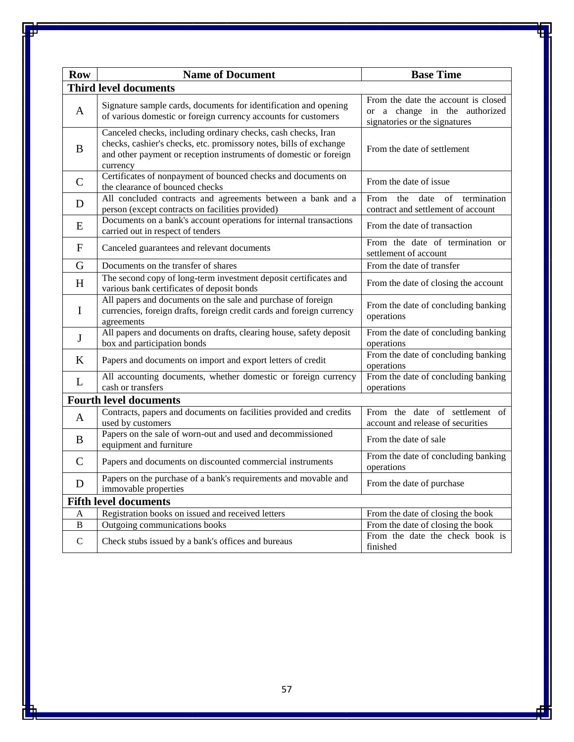| <b>Row</b>                    | <b>Name of Document</b>                                                                                                                                                                                              | <b>Base Time</b>                                                                                      |
|-------------------------------|----------------------------------------------------------------------------------------------------------------------------------------------------------------------------------------------------------------------|-------------------------------------------------------------------------------------------------------|
| <b>Third level documents</b>  |                                                                                                                                                                                                                      |                                                                                                       |
| A                             | Signature sample cards, documents for identification and opening<br>of various domestic or foreign currency accounts for customers                                                                                   | From the date the account is closed<br>or a change in the authorized<br>signatories or the signatures |
| B                             | Canceled checks, including ordinary checks, cash checks, Iran<br>checks, cashier's checks, etc. promissory notes, bills of exchange<br>and other payment or reception instruments of domestic or foreign<br>currency | From the date of settlement                                                                           |
| $\mathcal{C}$                 | Certificates of nonpayment of bounced checks and documents on<br>the clearance of bounced checks                                                                                                                     | From the date of issue                                                                                |
| D                             | All concluded contracts and agreements between a bank and a<br>person (except contracts on facilities provided)                                                                                                      | From<br>the<br>date<br>of<br>termination<br>contract and settlement of account                        |
| E                             | Documents on a bank's account operations for internal transactions<br>carried out in respect of tenders                                                                                                              | From the date of transaction                                                                          |
| F                             | Canceled guarantees and relevant documents                                                                                                                                                                           | From the date of termination or<br>settlement of account                                              |
| G                             | Documents on the transfer of shares                                                                                                                                                                                  | From the date of transfer                                                                             |
| H                             | The second copy of long-term investment deposit certificates and<br>various bank certificates of deposit bonds                                                                                                       | From the date of closing the account                                                                  |
| $\mathbf I$                   | All papers and documents on the sale and purchase of foreign<br>currencies, foreign drafts, foreign credit cards and foreign currency<br>agreements                                                                  | From the date of concluding banking<br>operations                                                     |
| J                             | All papers and documents on drafts, clearing house, safety deposit<br>box and participation bonds                                                                                                                    | From the date of concluding banking<br>operations                                                     |
| K                             | Papers and documents on import and export letters of credit                                                                                                                                                          | From the date of concluding banking<br>operations                                                     |
| L                             | All accounting documents, whether domestic or foreign currency<br>cash or transfers                                                                                                                                  | From the date of concluding banking<br>operations                                                     |
| <b>Fourth level documents</b> |                                                                                                                                                                                                                      |                                                                                                       |
| A                             | Contracts, papers and documents on facilities provided and credits<br>used by customers                                                                                                                              | From the date of settlement of<br>account and release of securities                                   |
| B                             | Papers on the sale of worn-out and used and decommissioned<br>equipment and furniture                                                                                                                                | From the date of sale                                                                                 |
| $\mathcal{C}$                 | Papers and documents on discounted commercial instruments                                                                                                                                                            | From the date of concluding banking<br>operations                                                     |
| D                             | Papers on the purchase of a bank's requirements and movable and<br>immovable properties                                                                                                                              | From the date of purchase                                                                             |
| <b>Fifth level documents</b>  |                                                                                                                                                                                                                      |                                                                                                       |
| A                             | Registration books on issued and received letters                                                                                                                                                                    | From the date of closing the book                                                                     |
| B                             | Outgoing communications books                                                                                                                                                                                        | From the date of closing the book                                                                     |
| $\mathsf{C}$                  | Check stubs issued by a bank's offices and bureaus                                                                                                                                                                   | From the date the check book is<br>finished                                                           |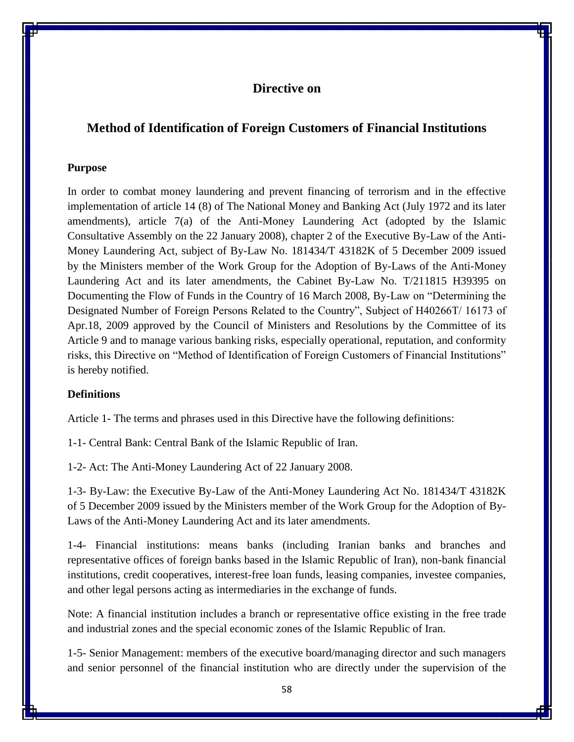## **Directive on**

## **Method of Identification of Foreign Customers of Financial Institutions**

#### **Purpose**

In order to combat money laundering and prevent financing of terrorism and in the effective implementation of article 14 (8) of The National Money and Banking Act (July 1972 and its later amendments), article 7(a) of the Anti-Money Laundering Act (adopted by the Islamic Consultative Assembly on the 22 January 2008), chapter 2 of the Executive By-Law of the Anti-Money Laundering Act, subject of By-Law No. 181434/T 43182K of 5 December 2009 issued by the Ministers member of the Work Group for the Adoption of By-Laws of the Anti-Money Laundering Act and its later amendments, the Cabinet By-Law No. T/211815 H39395 on Documenting the Flow of Funds in the Country of 16 March 2008, By-Law on "Determining the Designated Number of Foreign Persons Related to the Country", Subject of H40266T/ 16173 of Apr.18, 2009 approved by the Council of Ministers and Resolutions by the Committee of its Article 9 and to manage various banking risks, especially operational, reputation, and conformity risks, this Directive on "Method of Identification of Foreign Customers of Financial Institutions" is hereby notified.

## **Definitions**

Article 1- The terms and phrases used in this Directive have the following definitions:

1-1- Central Bank: Central Bank of the Islamic Republic of Iran.

1-2- Act: The Anti-Money Laundering Act of 22 January 2008.

1-3- By-Law: the Executive By-Law of the Anti-Money Laundering Act No. 181434/T 43182K of 5 December 2009 issued by the Ministers member of the Work Group for the Adoption of By-Laws of the Anti-Money Laundering Act and its later amendments.

1-4- Financial institutions: means banks (including Iranian banks and branches and representative offices of foreign banks based in the Islamic Republic of Iran), non-bank financial institutions, credit cooperatives, interest-free loan funds, leasing companies, investee companies, and other legal persons acting as intermediaries in the exchange of funds.

Note: A financial institution includes a branch or representative office existing in the free trade and industrial zones and the special economic zones of the Islamic Republic of Iran.

1-5- Senior Management: members of the executive board/managing director and such managers and senior personnel of the financial institution who are directly under the supervision of the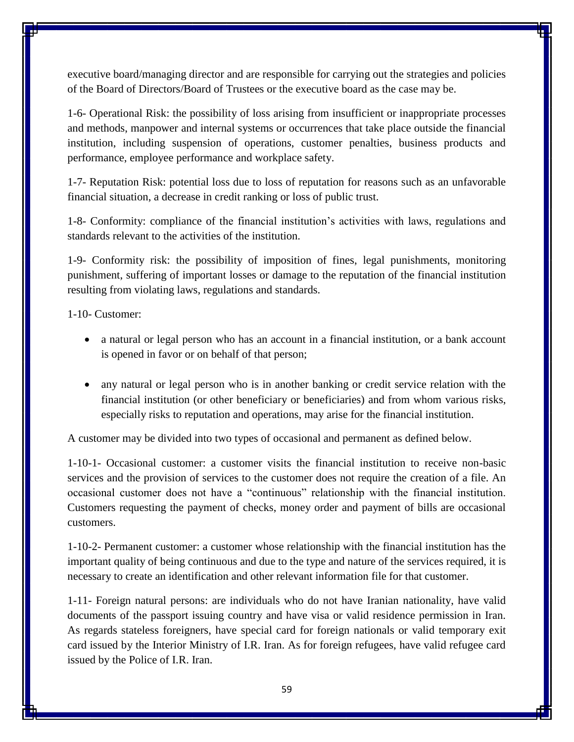executive board/managing director and are responsible for carrying out the strategies and policies of the Board of Directors/Board of Trustees or the executive board as the case may be.

1-6- Operational Risk: the possibility of loss arising from insufficient or inappropriate processes and methods, manpower and internal systems or occurrences that take place outside the financial institution, including suspension of operations, customer penalties, business products and performance, employee performance and workplace safety.

1-7- Reputation Risk: potential loss due to loss of reputation for reasons such as an unfavorable financial situation, a decrease in credit ranking or loss of public trust.

1-8- Conformity: compliance of the financial institution's activities with laws, regulations and standards relevant to the activities of the institution.

1-9- Conformity risk: the possibility of imposition of fines, legal punishments, monitoring punishment, suffering of important losses or damage to the reputation of the financial institution resulting from violating laws, regulations and standards.

1-10- Customer:

- a natural or legal person who has an account in a financial institution, or a bank account is opened in favor or on behalf of that person;
- any natural or legal person who is in another banking or credit service relation with the financial institution (or other beneficiary or beneficiaries) and from whom various risks, especially risks to reputation and operations, may arise for the financial institution.

A customer may be divided into two types of occasional and permanent as defined below.

1-10-1- Occasional customer: a customer visits the financial institution to receive non-basic services and the provision of services to the customer does not require the creation of a file. An occasional customer does not have a "continuous" relationship with the financial institution. Customers requesting the payment of checks, money order and payment of bills are occasional customers.

1-10-2- Permanent customer: a customer whose relationship with the financial institution has the important quality of being continuous and due to the type and nature of the services required, it is necessary to create an identification and other relevant information file for that customer.

1-11- Foreign natural persons: are individuals who do not have Iranian nationality, have valid documents of the passport issuing country and have visa or valid residence permission in Iran. As regards stateless foreigners, have special card for foreign nationals or valid temporary exit card issued by the Interior Ministry of I.R. Iran. As for foreign refugees, have valid refugee card issued by the Police of I.R. Iran.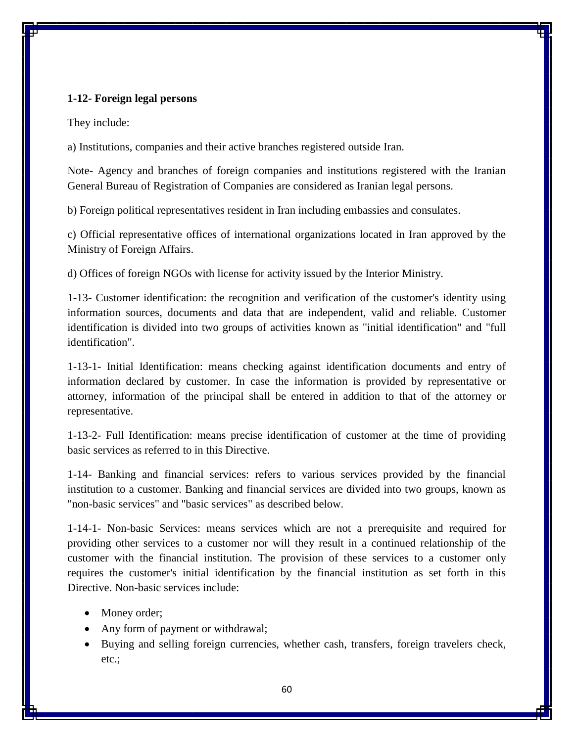## **1-12- Foreign legal persons**

They include:

a) Institutions, companies and their active branches registered outside Iran.

Note- Agency and branches of foreign companies and institutions registered with the Iranian General Bureau of Registration of Companies are considered as Iranian legal persons.

b) Foreign political representatives resident in Iran including embassies and consulates.

c) Official representative offices of international organizations located in Iran approved by the Ministry of Foreign Affairs.

d) Offices of foreign NGOs with license for activity issued by the Interior Ministry.

1-13- Customer identification: the recognition and verification of the customer's identity using information sources, documents and data that are independent, valid and reliable. Customer identification is divided into two groups of activities known as "initial identification" and "full identification".

1-13-1- Initial Identification: means checking against identification documents and entry of information declared by customer. In case the information is provided by representative or attorney, information of the principal shall be entered in addition to that of the attorney or representative.

1-13-2- Full Identification: means precise identification of customer at the time of providing basic services as referred to in this Directive.

1-14- Banking and financial services: refers to various services provided by the financial institution to a customer. Banking and financial services are divided into two groups, known as "non-basic services" and "basic services" as described below.

1-14-1- Non-basic Services: means services which are not a prerequisite and required for providing other services to a customer nor will they result in a continued relationship of the customer with the financial institution. The provision of these services to a customer only requires the customer's initial identification by the financial institution as set forth in this Directive. Non-basic services include:

- Money order;
- Any form of payment or withdrawal;
- Buying and selling foreign currencies, whether cash, transfers, foreign travelers check, etc.;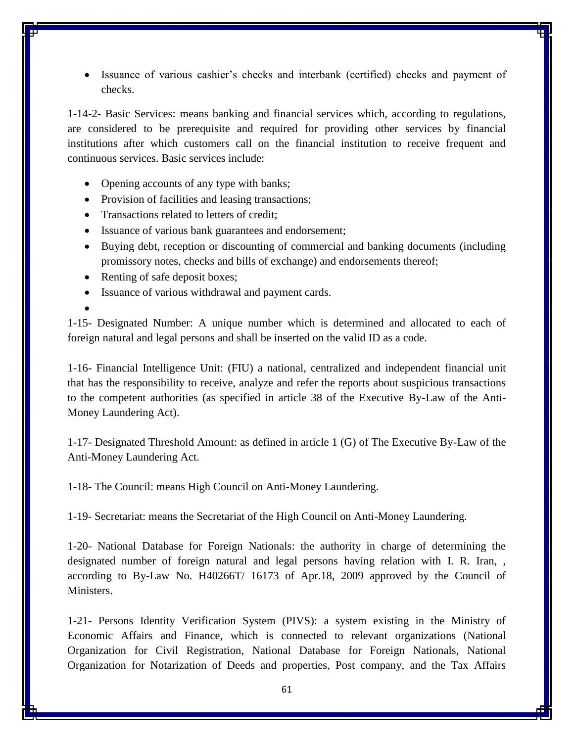Issuance of various cashier's checks and interbank (certified) checks and payment of checks.

1-14-2- Basic Services: means banking and financial services which, according to regulations, are considered to be prerequisite and required for providing other services by financial institutions after which customers call on the financial institution to receive frequent and continuous services. Basic services include:

- Opening accounts of any type with banks;
- Provision of facilities and leasing transactions;
- Transactions related to letters of credit:
- Issuance of various bank guarantees and endorsement;
- Buying debt, reception or discounting of commercial and banking documents (including promissory notes, checks and bills of exchange) and endorsements thereof;
- Renting of safe deposit boxes;
- Issuance of various withdrawal and payment cards.
- $\bullet$

1-15- Designated Number: A unique number which is determined and allocated to each of foreign natural and legal persons and shall be inserted on the valid ID as a code.

1-16- Financial Intelligence Unit: (FIU) a national, centralized and independent financial unit that has the responsibility to receive, analyze and refer the reports about suspicious transactions to the competent authorities (as specified in article 38 of the Executive By-Law of the Anti-Money Laundering Act).

1-17- Designated Threshold Amount: as defined in article 1 (G) of The Executive By-Law of the Anti-Money Laundering Act.

1-18- The Council: means High Council on Anti-Money Laundering.

1-19- Secretariat: means the Secretariat of the High Council on Anti-Money Laundering.

1-20- National Database for Foreign Nationals: the authority in charge of determining the designated number of foreign natural and legal persons having relation with I. R. Iran, , according to By-Law No. H40266T/ 16173 of Apr.18, 2009 approved by the Council of Ministers.

1-21- Persons Identity Verification System (PIVS): a system existing in the Ministry of Economic Affairs and Finance, which is connected to relevant organizations (National Organization for Civil Registration, National Database for Foreign Nationals, National Organization for Notarization of Deeds and properties, Post company, and the Tax Affairs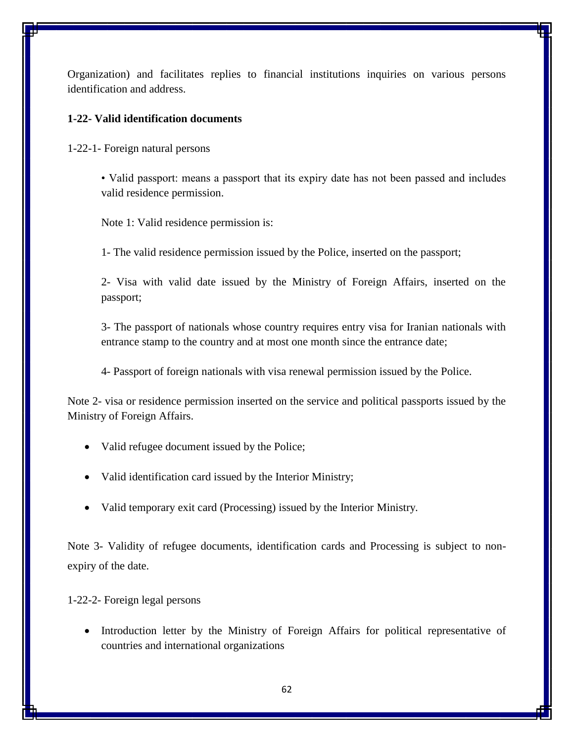Organization) and facilitates replies to financial institutions inquiries on various persons identification and address.

## **1-22- Valid identification documents**

1-22-1- Foreign natural persons

• Valid passport: means a passport that its expiry date has not been passed and includes valid residence permission.

Note 1: Valid residence permission is:

1- The valid residence permission issued by the Police, inserted on the passport;

2- Visa with valid date issued by the Ministry of Foreign Affairs, inserted on the passport;

3- The passport of nationals whose country requires entry visa for Iranian nationals with entrance stamp to the country and at most one month since the entrance date;

4- Passport of foreign nationals with visa renewal permission issued by the Police.

Note 2- visa or residence permission inserted on the service and political passports issued by the Ministry of Foreign Affairs.

- Valid refugee document issued by the Police;
- Valid identification card issued by the Interior Ministry;
- Valid temporary exit card (Processing) issued by the Interior Ministry.

Note 3- Validity of refugee documents, identification cards and Processing is subject to nonexpiry of the date.

1-22-2- Foreign legal persons

• Introduction letter by the Ministry of Foreign Affairs for political representative of countries and international organizations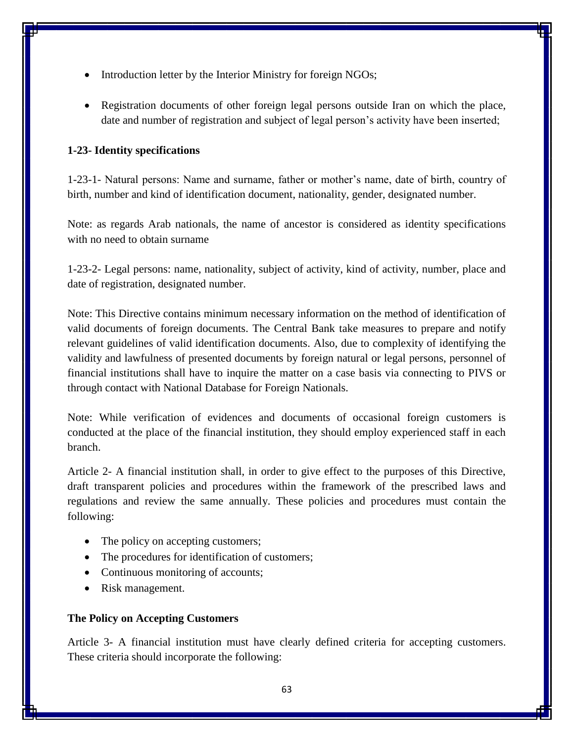- Introduction letter by the Interior Ministry for foreign NGOs;
- Registration documents of other foreign legal persons outside Iran on which the place, date and number of registration and subject of legal person's activity have been inserted;

## **1-23- Identity specifications**

1-23-1- Natural persons: Name and surname, father or mother's name, date of birth, country of birth, number and kind of identification document, nationality, gender, designated number.

Note: as regards Arab nationals, the name of ancestor is considered as identity specifications with no need to obtain surname

1-23-2- Legal persons: name, nationality, subject of activity, kind of activity, number, place and date of registration, designated number.

Note: This Directive contains minimum necessary information on the method of identification of valid documents of foreign documents. The Central Bank take measures to prepare and notify relevant guidelines of valid identification documents. Also, due to complexity of identifying the validity and lawfulness of presented documents by foreign natural or legal persons, personnel of financial institutions shall have to inquire the matter on a case basis via connecting to PIVS or through contact with National Database for Foreign Nationals.

Note: While verification of evidences and documents of occasional foreign customers is conducted at the place of the financial institution, they should employ experienced staff in each branch.

Article 2- A financial institution shall, in order to give effect to the purposes of this Directive, draft transparent policies and procedures within the framework of the prescribed laws and regulations and review the same annually. These policies and procedures must contain the following:

- The policy on accepting customers;
- The procedures for identification of customers;
- Continuous monitoring of accounts;
- Risk management.

## **The Policy on Accepting Customers**

Article 3- A financial institution must have clearly defined criteria for accepting customers. These criteria should incorporate the following: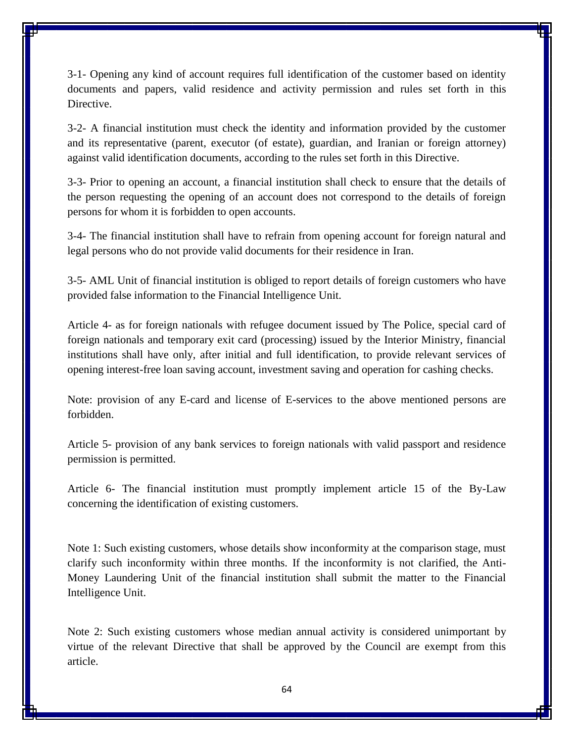3-1- Opening any kind of account requires full identification of the customer based on identity documents and papers, valid residence and activity permission and rules set forth in this Directive.

3-2- A financial institution must check the identity and information provided by the customer and its representative (parent, executor (of estate), guardian, and Iranian or foreign attorney) against valid identification documents, according to the rules set forth in this Directive.

3-3- Prior to opening an account, a financial institution shall check to ensure that the details of the person requesting the opening of an account does not correspond to the details of foreign persons for whom it is forbidden to open accounts.

3-4- The financial institution shall have to refrain from opening account for foreign natural and legal persons who do not provide valid documents for their residence in Iran.

3-5- AML Unit of financial institution is obliged to report details of foreign customers who have provided false information to the Financial Intelligence Unit.

Article 4- as for foreign nationals with refugee document issued by The Police, special card of foreign nationals and temporary exit card (processing) issued by the Interior Ministry, financial institutions shall have only, after initial and full identification, to provide relevant services of opening interest-free loan saving account, investment saving and operation for cashing checks.

Note: provision of any E-card and license of E-services to the above mentioned persons are forbidden.

Article 5- provision of any bank services to foreign nationals with valid passport and residence permission is permitted.

Article 6- The financial institution must promptly implement article 15 of the By-Law concerning the identification of existing customers.

Note 1: Such existing customers, whose details show inconformity at the comparison stage, must clarify such inconformity within three months. If the inconformity is not clarified, the Anti-Money Laundering Unit of the financial institution shall submit the matter to the Financial Intelligence Unit.

Note 2: Such existing customers whose median annual activity is considered unimportant by virtue of the relevant Directive that shall be approved by the Council are exempt from this article.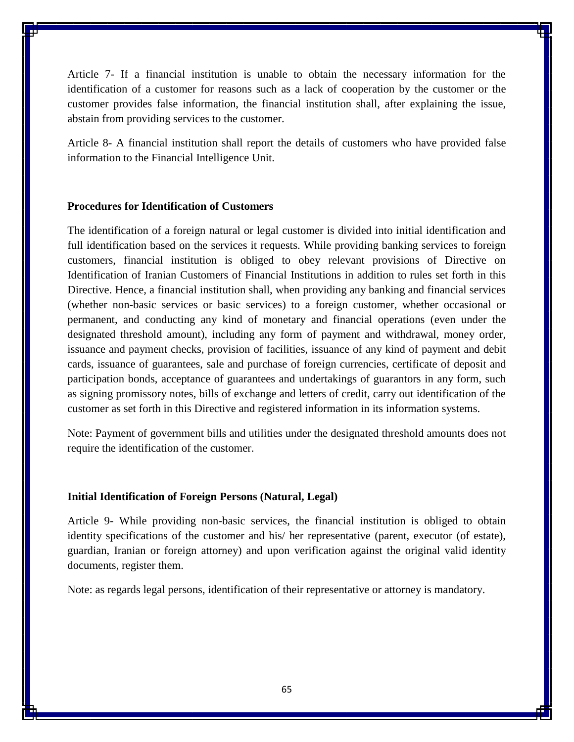Article 7- If a financial institution is unable to obtain the necessary information for the identification of a customer for reasons such as a lack of cooperation by the customer or the customer provides false information, the financial institution shall, after explaining the issue, abstain from providing services to the customer.

Article 8- A financial institution shall report the details of customers who have provided false information to the Financial Intelligence Unit.

## **Procedures for Identification of Customers**

The identification of a foreign natural or legal customer is divided into initial identification and full identification based on the services it requests. While providing banking services to foreign customers, financial institution is obliged to obey relevant provisions of Directive on Identification of Iranian Customers of Financial Institutions in addition to rules set forth in this Directive. Hence, a financial institution shall, when providing any banking and financial services (whether non-basic services or basic services) to a foreign customer, whether occasional or permanent, and conducting any kind of monetary and financial operations (even under the designated threshold amount), including any form of payment and withdrawal, money order, issuance and payment checks, provision of facilities, issuance of any kind of payment and debit cards, issuance of guarantees, sale and purchase of foreign currencies, certificate of deposit and participation bonds, acceptance of guarantees and undertakings of guarantors in any form, such as signing promissory notes, bills of exchange and letters of credit, carry out identification of the customer as set forth in this Directive and registered information in its information systems.

Note: Payment of government bills and utilities under the designated threshold amounts does not require the identification of the customer.

#### **Initial Identification of Foreign Persons (Natural, Legal)**

Article 9- While providing non-basic services, the financial institution is obliged to obtain identity specifications of the customer and his/ her representative (parent, executor (of estate), guardian, Iranian or foreign attorney) and upon verification against the original valid identity documents, register them.

Note: as regards legal persons, identification of their representative or attorney is mandatory.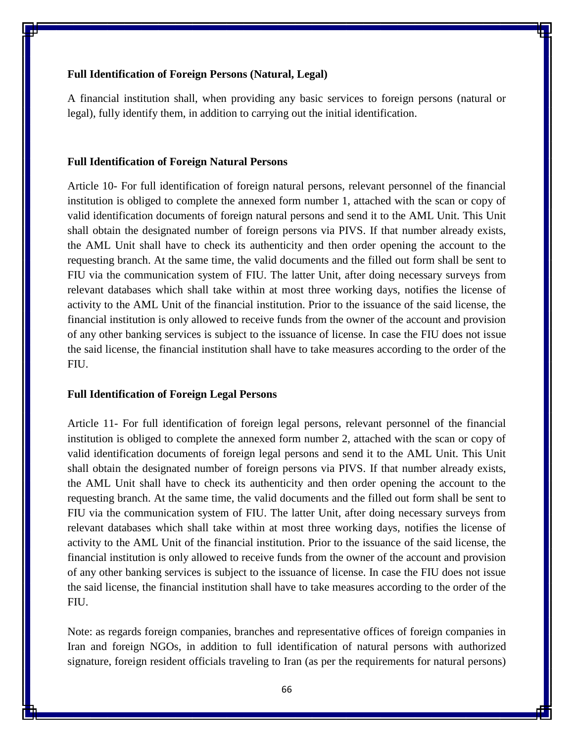## **Full Identification of Foreign Persons (Natural, Legal)**

A financial institution shall, when providing any basic services to foreign persons (natural or legal), fully identify them, in addition to carrying out the initial identification.

#### **Full Identification of Foreign Natural Persons**

Article 10- For full identification of foreign natural persons, relevant personnel of the financial institution is obliged to complete the annexed form number 1, attached with the scan or copy of valid identification documents of foreign natural persons and send it to the AML Unit. This Unit shall obtain the designated number of foreign persons via PIVS. If that number already exists, the AML Unit shall have to check its authenticity and then order opening the account to the requesting branch. At the same time, the valid documents and the filled out form shall be sent to FIU via the communication system of FIU. The latter Unit, after doing necessary surveys from relevant databases which shall take within at most three working days, notifies the license of activity to the AML Unit of the financial institution. Prior to the issuance of the said license, the financial institution is only allowed to receive funds from the owner of the account and provision of any other banking services is subject to the issuance of license. In case the FIU does not issue the said license, the financial institution shall have to take measures according to the order of the FIU.

#### **Full Identification of Foreign Legal Persons**

Article 11- For full identification of foreign legal persons, relevant personnel of the financial institution is obliged to complete the annexed form number 2, attached with the scan or copy of valid identification documents of foreign legal persons and send it to the AML Unit. This Unit shall obtain the designated number of foreign persons via PIVS. If that number already exists, the AML Unit shall have to check its authenticity and then order opening the account to the requesting branch. At the same time, the valid documents and the filled out form shall be sent to FIU via the communication system of FIU. The latter Unit, after doing necessary surveys from relevant databases which shall take within at most three working days, notifies the license of activity to the AML Unit of the financial institution. Prior to the issuance of the said license, the financial institution is only allowed to receive funds from the owner of the account and provision of any other banking services is subject to the issuance of license. In case the FIU does not issue the said license, the financial institution shall have to take measures according to the order of the FIU.

Note: as regards foreign companies, branches and representative offices of foreign companies in Iran and foreign NGOs, in addition to full identification of natural persons with authorized signature, foreign resident officials traveling to Iran (as per the requirements for natural persons)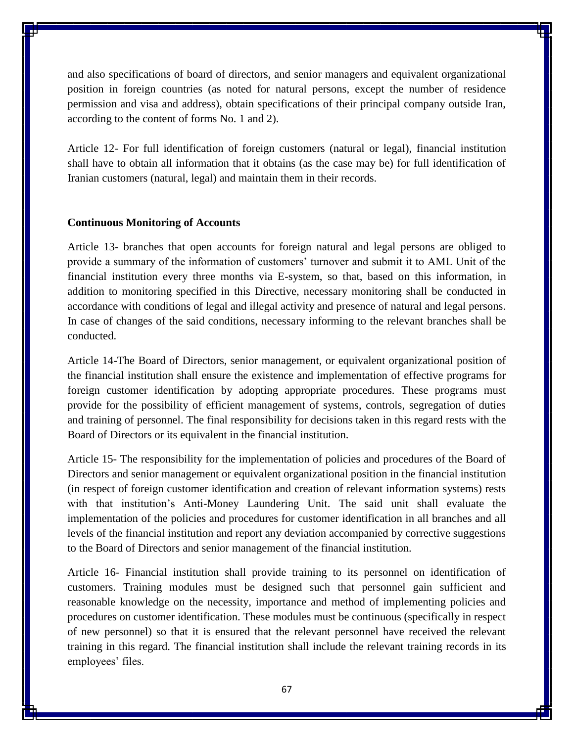and also specifications of board of directors, and senior managers and equivalent organizational position in foreign countries (as noted for natural persons, except the number of residence permission and visa and address), obtain specifications of their principal company outside Iran, according to the content of forms No. 1 and 2).

Article 12- For full identification of foreign customers (natural or legal), financial institution shall have to obtain all information that it obtains (as the case may be) for full identification of Iranian customers (natural, legal) and maintain them in their records.

#### **Continuous Monitoring of Accounts**

Article 13- branches that open accounts for foreign natural and legal persons are obliged to provide a summary of the information of customers' turnover and submit it to AML Unit of the financial institution every three months via E-system, so that, based on this information, in addition to monitoring specified in this Directive, necessary monitoring shall be conducted in accordance with conditions of legal and illegal activity and presence of natural and legal persons. In case of changes of the said conditions, necessary informing to the relevant branches shall be conducted.

Article 14-The Board of Directors, senior management, or equivalent organizational position of the financial institution shall ensure the existence and implementation of effective programs for foreign customer identification by adopting appropriate procedures. These programs must provide for the possibility of efficient management of systems, controls, segregation of duties and training of personnel. The final responsibility for decisions taken in this regard rests with the Board of Directors or its equivalent in the financial institution.

Article 15- The responsibility for the implementation of policies and procedures of the Board of Directors and senior management or equivalent organizational position in the financial institution (in respect of foreign customer identification and creation of relevant information systems) rests with that institution's Anti-Money Laundering Unit. The said unit shall evaluate the implementation of the policies and procedures for customer identification in all branches and all levels of the financial institution and report any deviation accompanied by corrective suggestions to the Board of Directors and senior management of the financial institution.

Article 16- Financial institution shall provide training to its personnel on identification of customers. Training modules must be designed such that personnel gain sufficient and reasonable knowledge on the necessity, importance and method of implementing policies and procedures on customer identification. These modules must be continuous (specifically in respect of new personnel) so that it is ensured that the relevant personnel have received the relevant training in this regard. The financial institution shall include the relevant training records in its employees' files.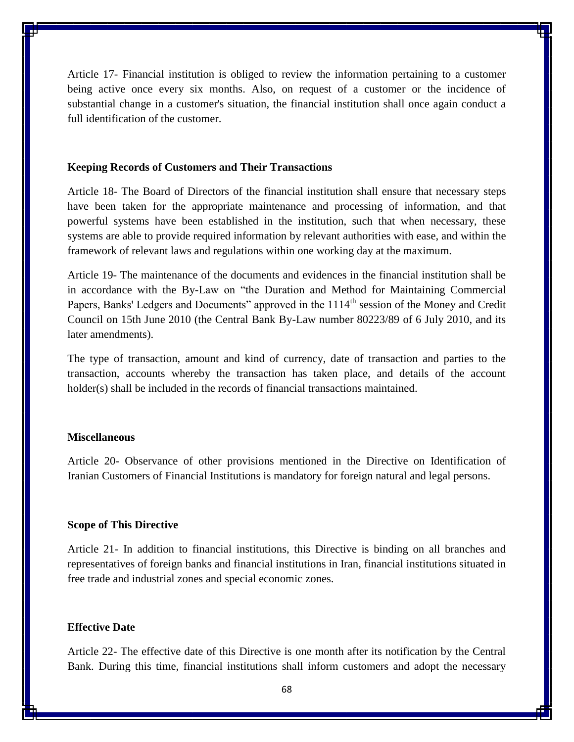Article 17- Financial institution is obliged to review the information pertaining to a customer being active once every six months. Also, on request of a customer or the incidence of substantial change in a customer's situation, the financial institution shall once again conduct a full identification of the customer.

#### **Keeping Records of Customers and Their Transactions**

Article 18- The Board of Directors of the financial institution shall ensure that necessary steps have been taken for the appropriate maintenance and processing of information, and that powerful systems have been established in the institution, such that when necessary, these systems are able to provide required information by relevant authorities with ease, and within the framework of relevant laws and regulations within one working day at the maximum.

Article 19- The maintenance of the documents and evidences in the financial institution shall be in accordance with the By-Law on "the Duration and Method for Maintaining Commercial Papers, Banks' Ledgers and Documents" approved in the 1114<sup>th</sup> session of the Money and Credit Council on 15th June 2010 (the Central Bank By-Law number 80223/89 of 6 July 2010, and its later amendments).

The type of transaction, amount and kind of currency, date of transaction and parties to the transaction, accounts whereby the transaction has taken place, and details of the account holder(s) shall be included in the records of financial transactions maintained.

#### **Miscellaneous**

Article 20- Observance of other provisions mentioned in the Directive on Identification of Iranian Customers of Financial Institutions is mandatory for foreign natural and legal persons.

#### **Scope of This Directive**

Article 21- In addition to financial institutions, this Directive is binding on all branches and representatives of foreign banks and financial institutions in Iran, financial institutions situated in free trade and industrial zones and special economic zones.

## **Effective Date**

Article 22- The effective date of this Directive is one month after its notification by the Central Bank. During this time, financial institutions shall inform customers and adopt the necessary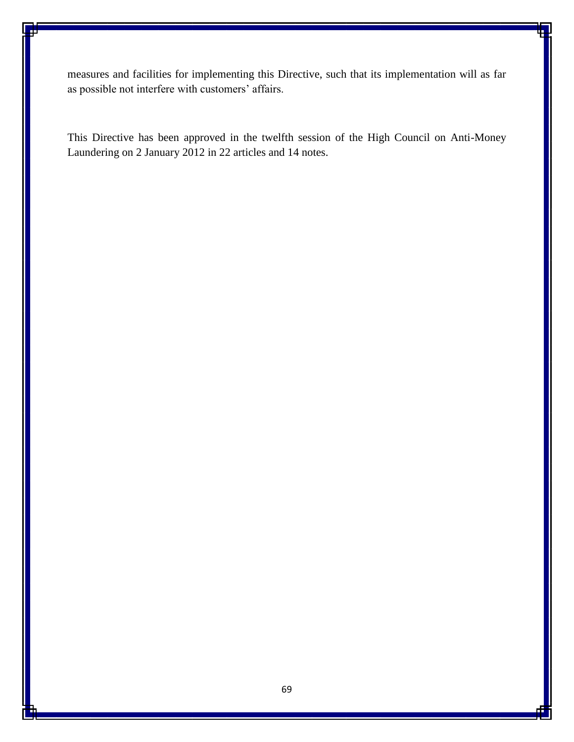measures and facilities for implementing this Directive, such that its implementation will as far as possible not interfere with customers' affairs.

This Directive has been approved in the twelfth session of the High Council on Anti-Money Laundering on 2 January 2012 in 22 articles and 14 notes.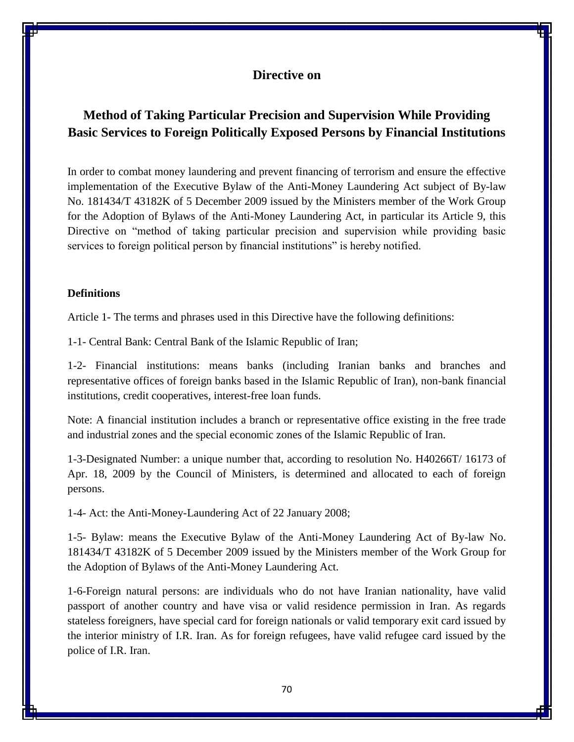## **Directive on**

# **Method of Taking Particular Precision and Supervision While Providing Basic Services to Foreign Politically Exposed Persons by Financial Institutions**

In order to combat money laundering and prevent financing of terrorism and ensure the effective implementation of the Executive Bylaw of the Anti-Money Laundering Act subject of By-law No. 181434/T 43182K of 5 December 2009 issued by the Ministers member of the Work Group for the Adoption of Bylaws of the Anti-Money Laundering Act, in particular its Article 9, this Directive on "method of taking particular precision and supervision while providing basic services to foreign political person by financial institutions" is hereby notified.

## **Definitions**

Article 1- The terms and phrases used in this Directive have the following definitions:

1-1- Central Bank: Central Bank of the Islamic Republic of Iran;

1-2- Financial institutions: means banks (including Iranian banks and branches and representative offices of foreign banks based in the Islamic Republic of Iran), non-bank financial institutions, credit cooperatives, interest-free loan funds.

Note: A financial institution includes a branch or representative office existing in the free trade and industrial zones and the special economic zones of the Islamic Republic of Iran.

1-3-Designated Number: a unique number that, according to resolution No. H40266T/ 16173 of Apr. 18, 2009 by the Council of Ministers, is determined and allocated to each of foreign persons.

1-4- Act: the Anti-Money-Laundering Act of 22 January 2008;

1-5- Bylaw: means the Executive Bylaw of the Anti-Money Laundering Act of By-law No. 181434/T 43182K of 5 December 2009 issued by the Ministers member of the Work Group for the Adoption of Bylaws of the Anti-Money Laundering Act.

1-6-Foreign natural persons: are individuals who do not have Iranian nationality, have valid passport of another country and have visa or valid residence permission in Iran. As regards stateless foreigners, have special card for foreign nationals or valid temporary exit card issued by the interior ministry of I.R. Iran. As for foreign refugees, have valid refugee card issued by the police of I.R. Iran.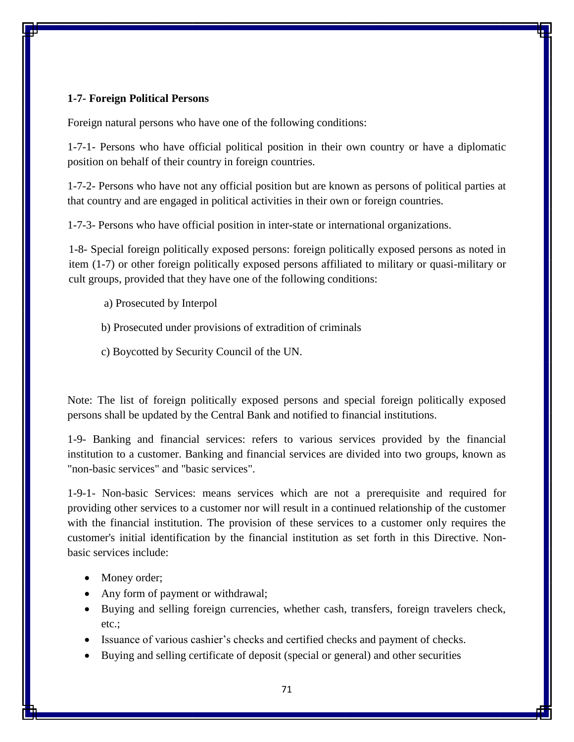## **1-7- Foreign Political Persons**

Foreign natural persons who have one of the following conditions:

1-7-1- Persons who have official political position in their own country or have a diplomatic position on behalf of their country in foreign countries.

1-7-2- Persons who have not any official position but are known as persons of political parties at that country and are engaged in political activities in their own or foreign countries.

1-7-3- Persons who have official position in inter-state or international organizations.

1-8- Special foreign politically exposed persons: foreign politically exposed persons as noted in item (1-7) or other foreign politically exposed persons affiliated to military or quasi-military or cult groups, provided that they have one of the following conditions:

- a) Prosecuted by Interpol
- b) Prosecuted under provisions of extradition of criminals
- c) Boycotted by Security Council of the UN.

Note: The list of foreign politically exposed persons and special foreign politically exposed persons shall be updated by the Central Bank and notified to financial institutions.

1-9- Banking and financial services: refers to various services provided by the financial institution to a customer. Banking and financial services are divided into two groups, known as "non-basic services" and "basic services".

1-9-1- Non-basic Services: means services which are not a prerequisite and required for providing other services to a customer nor will result in a continued relationship of the customer with the financial institution. The provision of these services to a customer only requires the customer's initial identification by the financial institution as set forth in this Directive. Nonbasic services include:

- Money order;
- Any form of payment or withdrawal;
- Buying and selling foreign currencies, whether cash, transfers, foreign travelers check, etc.;
- Issuance of various cashier's checks and certified checks and payment of checks.
- Buying and selling certificate of deposit (special or general) and other securities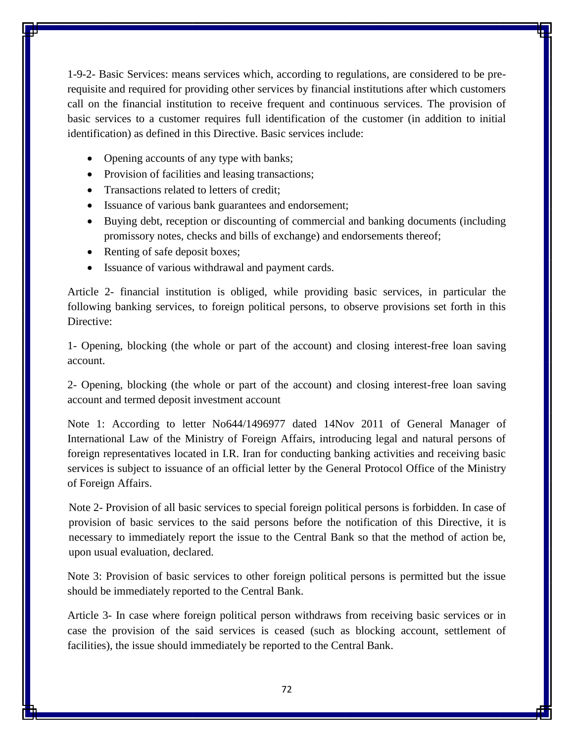1-9-2- Basic Services: means services which, according to regulations, are considered to be prerequisite and required for providing other services by financial institutions after which customers call on the financial institution to receive frequent and continuous services. The provision of basic services to a customer requires full identification of the customer (in addition to initial identification) as defined in this Directive. Basic services include:

- Opening accounts of any type with banks;
- Provision of facilities and leasing transactions;
- Transactions related to letters of credit;
- Issuance of various bank guarantees and endorsement;
- Buying debt, reception or discounting of commercial and banking documents (including promissory notes, checks and bills of exchange) and endorsements thereof;
- Renting of safe deposit boxes;
- Issuance of various withdrawal and payment cards.

Article 2- financial institution is obliged, while providing basic services, in particular the following banking services, to foreign political persons, to observe provisions set forth in this Directive:

1- Opening, blocking (the whole or part of the account) and closing interest-free loan saving account.

2- Opening, blocking (the whole or part of the account) and closing interest-free loan saving account and termed deposit investment account

Note 1: According to letter No644/1496977 dated 14Nov 2011 of General Manager of International Law of the Ministry of Foreign Affairs, introducing legal and natural persons of foreign representatives located in I.R. Iran for conducting banking activities and receiving basic services is subject to issuance of an official letter by the General Protocol Office of the Ministry of Foreign Affairs.

Note 2- Provision of all basic services to special foreign political persons is forbidden. In case of provision of basic services to the said persons before the notification of this Directive, it is necessary to immediately report the issue to the Central Bank so that the method of action be, upon usual evaluation, declared.

Note 3: Provision of basic services to other foreign political persons is permitted but the issue should be immediately reported to the Central Bank.

Article 3- In case where foreign political person withdraws from receiving basic services or in case the provision of the said services is ceased (such as blocking account, settlement of facilities), the issue should immediately be reported to the Central Bank.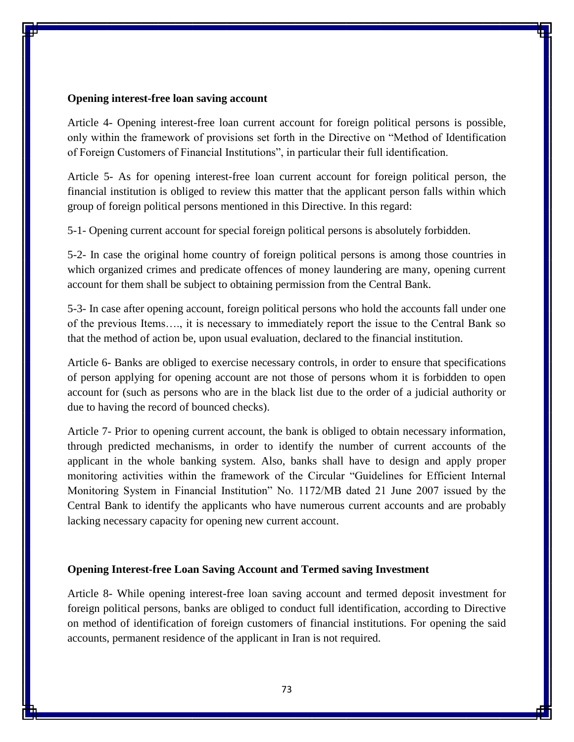#### **Opening interest-free loan saving account**

Article 4- Opening interest-free loan current account for foreign political persons is possible, only within the framework of provisions set forth in the Directive on "Method of Identification of Foreign Customers of Financial Institutions", in particular their full identification.

Article 5- As for opening interest-free loan current account for foreign political person, the financial institution is obliged to review this matter that the applicant person falls within which group of foreign political persons mentioned in this Directive. In this regard:

5-1- Opening current account for special foreign political persons is absolutely forbidden.

5-2- In case the original home country of foreign political persons is among those countries in which organized crimes and predicate offences of money laundering are many, opening current account for them shall be subject to obtaining permission from the Central Bank.

5-3- In case after opening account, foreign political persons who hold the accounts fall under one of the previous Items…., it is necessary to immediately report the issue to the Central Bank so that the method of action be, upon usual evaluation, declared to the financial institution.

Article 6- Banks are obliged to exercise necessary controls, in order to ensure that specifications of person applying for opening account are not those of persons whom it is forbidden to open account for (such as persons who are in the black list due to the order of a judicial authority or due to having the record of bounced checks).

Article 7- Prior to opening current account, the bank is obliged to obtain necessary information, through predicted mechanisms, in order to identify the number of current accounts of the applicant in the whole banking system. Also, banks shall have to design and apply proper monitoring activities within the framework of the Circular "Guidelines for Efficient Internal Monitoring System in Financial Institution" No. 1172/MB dated 21 June 2007 issued by the Central Bank to identify the applicants who have numerous current accounts and are probably lacking necessary capacity for opening new current account.

## **Opening Interest-free Loan Saving Account and Termed saving Investment**

Article 8- While opening interest-free loan saving account and termed deposit investment for foreign political persons, banks are obliged to conduct full identification, according to Directive on method of identification of foreign customers of financial institutions. For opening the said accounts, permanent residence of the applicant in Iran is not required.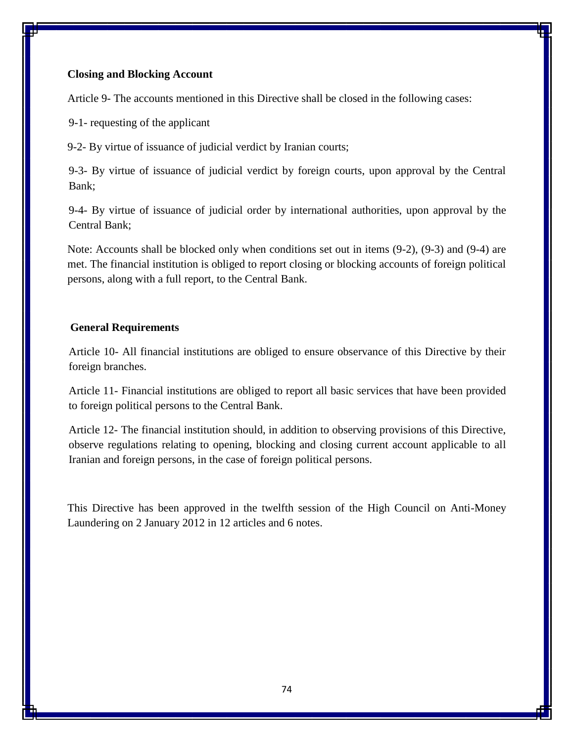# **Closing and Blocking Account**

Article 9- The accounts mentioned in this Directive shall be closed in the following cases:

9-1- requesting of the applicant

9-2- By virtue of issuance of judicial verdict by Iranian courts;

9-3- By virtue of issuance of judicial verdict by foreign courts, upon approval by the Central Bank;

9-4- By virtue of issuance of judicial order by international authorities, upon approval by the Central Bank;

Note: Accounts shall be blocked only when conditions set out in items (9-2), (9-3) and (9-4) are met. The financial institution is obliged to report closing or blocking accounts of foreign political persons, along with a full report, to the Central Bank.

# **General Requirements**

Article 10- All financial institutions are obliged to ensure observance of this Directive by their foreign branches.

Article 11- Financial institutions are obliged to report all basic services that have been provided to foreign political persons to the Central Bank.

Article 12- The financial institution should, in addition to observing provisions of this Directive, observe regulations relating to opening, blocking and closing current account applicable to all Iranian and foreign persons, in the case of foreign political persons.

This Directive has been approved in the twelfth session of the High Council on Anti-Money Laundering on 2 January 2012 in 12 articles and 6 notes.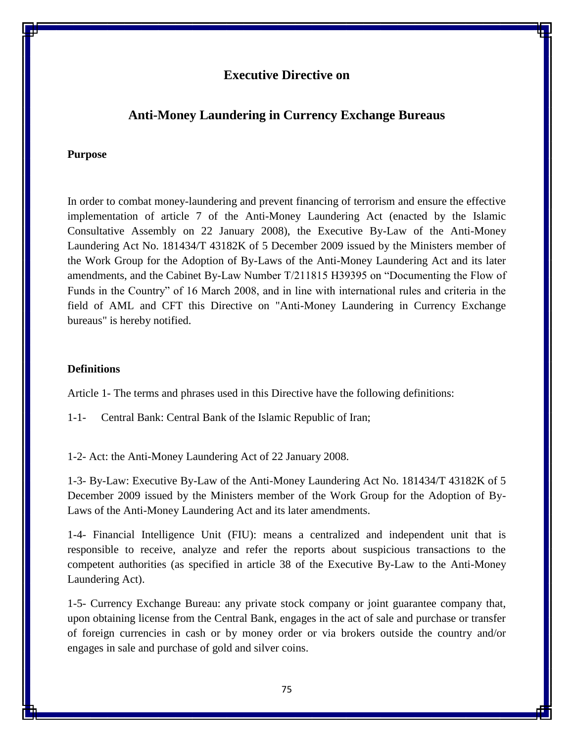# **Executive Directive on**

# **Anti-Money Laundering in Currency Exchange Bureaus**

## **Purpose**

In order to combat money-laundering and prevent financing of terrorism and ensure the effective implementation of article 7 of the Anti-Money Laundering Act (enacted by the Islamic Consultative Assembly on 22 January 2008), the Executive By-Law of the Anti-Money Laundering Act No. 181434/T 43182K of 5 December 2009 issued by the Ministers member of the Work Group for the Adoption of By-Laws of the Anti-Money Laundering Act and its later amendments, and the Cabinet By-Law Number T/211815 H39395 on "Documenting the Flow of Funds in the Country" of 16 March 2008, and in line with international rules and criteria in the field of AML and CFT this Directive on "Anti-Money Laundering in Currency Exchange bureaus" is hereby notified.

#### **Definitions**

Article 1- The terms and phrases used in this Directive have the following definitions:

1-1- Central Bank: Central Bank of the Islamic Republic of Iran;

1-2- Act: the Anti-Money Laundering Act of 22 January 2008.

1-3- By-Law: Executive By-Law of the Anti-Money Laundering Act No. 181434/T 43182K of 5 December 2009 issued by the Ministers member of the Work Group for the Adoption of By-Laws of the Anti-Money Laundering Act and its later amendments.

1-4- Financial Intelligence Unit (FIU): means a centralized and independent unit that is responsible to receive, analyze and refer the reports about suspicious transactions to the competent authorities (as specified in article 38 of the Executive By-Law to the Anti-Money Laundering Act).

1-5- Currency Exchange Bureau: any private stock company or joint guarantee company that, upon obtaining license from the Central Bank, engages in the act of sale and purchase or transfer of foreign currencies in cash or by money order or via brokers outside the country and/or engages in sale and purchase of gold and silver coins.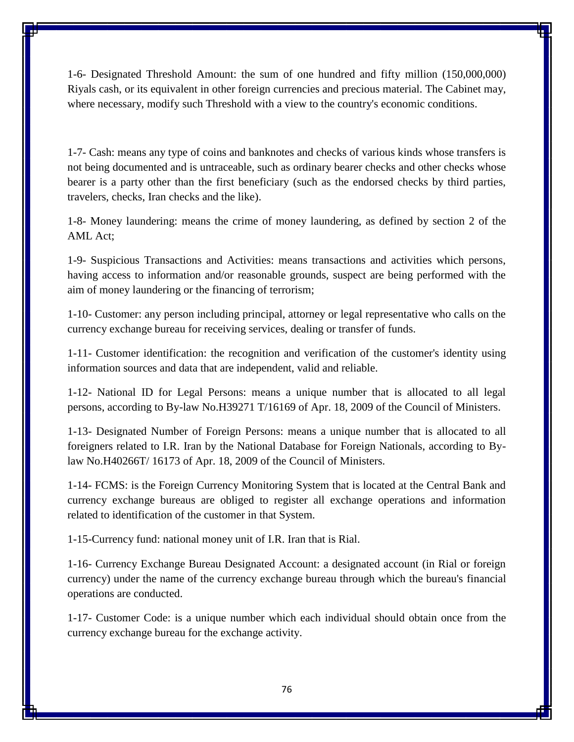1-6- Designated Threshold Amount: the sum of one hundred and fifty million (150,000,000) Riyals cash, or its equivalent in other foreign currencies and precious material. The Cabinet may, where necessary, modify such Threshold with a view to the country's economic conditions.

1-7- Cash: means any type of coins and banknotes and checks of various kinds whose transfers is not being documented and is untraceable, such as ordinary bearer checks and other checks whose bearer is a party other than the first beneficiary (such as the endorsed checks by third parties, travelers, checks, Iran checks and the like).

1-8- Money laundering: means the crime of money laundering, as defined by section 2 of the AML Act;

1-9- Suspicious Transactions and Activities: means transactions and activities which persons, having access to information and/or reasonable grounds, suspect are being performed with the aim of money laundering or the financing of terrorism;

1-10- Customer: any person including principal, attorney or legal representative who calls on the currency exchange bureau for receiving services, dealing or transfer of funds.

1-11- Customer identification: the recognition and verification of the customer's identity using information sources and data that are independent, valid and reliable.

1-12- National ID for Legal Persons: means a unique number that is allocated to all legal persons, according to By-law No.H39271 T/16169 of Apr. 18, 2009 of the Council of Ministers.

1-13- Designated Number of Foreign Persons: means a unique number that is allocated to all foreigners related to I.R. Iran by the National Database for Foreign Nationals, according to Bylaw No.H40266T/ 16173 of Apr. 18, 2009 of the Council of Ministers.

1-14- FCMS: is the Foreign Currency Monitoring System that is located at the Central Bank and currency exchange bureaus are obliged to register all exchange operations and information related to identification of the customer in that System.

1-15-Currency fund: national money unit of I.R. Iran that is Rial.

1-16- Currency Exchange Bureau Designated Account: a designated account (in Rial or foreign currency) under the name of the currency exchange bureau through which the bureau's financial operations are conducted.

1-17- Customer Code: is a unique number which each individual should obtain once from the currency exchange bureau for the exchange activity.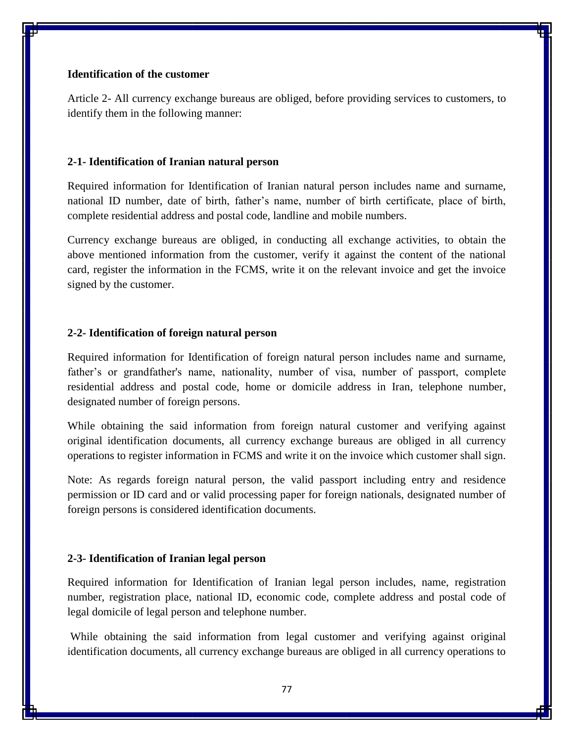# **Identification of the customer**

Article 2- All currency exchange bureaus are obliged, before providing services to customers, to identify them in the following manner:

# **2-1- Identification of Iranian natural person**

Required information for Identification of Iranian natural person includes name and surname, national ID number, date of birth, father's name, number of birth certificate, place of birth, complete residential address and postal code, landline and mobile numbers.

Currency exchange bureaus are obliged, in conducting all exchange activities, to obtain the above mentioned information from the customer, verify it against the content of the national card, register the information in the FCMS, write it on the relevant invoice and get the invoice signed by the customer.

## **2-2- Identification of foreign natural person**

Required information for Identification of foreign natural person includes name and surname, father's or grandfather's name, nationality, number of visa, number of passport, complete residential address and postal code, home or domicile address in Iran, telephone number, designated number of foreign persons.

While obtaining the said information from foreign natural customer and verifying against original identification documents, all currency exchange bureaus are obliged in all currency operations to register information in FCMS and write it on the invoice which customer shall sign.

Note: As regards foreign natural person, the valid passport including entry and residence permission or ID card and or valid processing paper for foreign nationals, designated number of foreign persons is considered identification documents.

#### **2-3- Identification of Iranian legal person**

Required information for Identification of Iranian legal person includes, name, registration number, registration place, national ID, economic code, complete address and postal code of legal domicile of legal person and telephone number.

While obtaining the said information from legal customer and verifying against original identification documents, all currency exchange bureaus are obliged in all currency operations to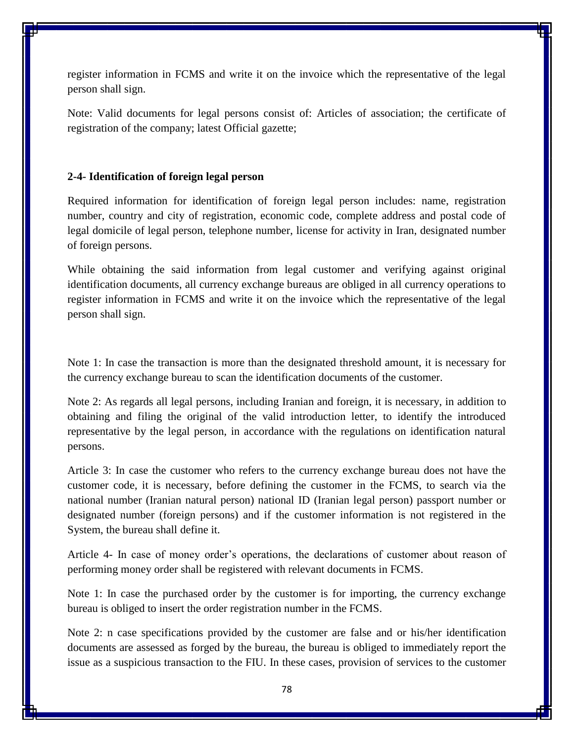register information in FCMS and write it on the invoice which the representative of the legal person shall sign.

Note: Valid documents for legal persons consist of: Articles of association; the certificate of registration of the company; latest Official gazette;

### **2-4- Identification of foreign legal person**

Required information for identification of foreign legal person includes: name, registration number, country and city of registration, economic code, complete address and postal code of legal domicile of legal person, telephone number, license for activity in Iran, designated number of foreign persons.

While obtaining the said information from legal customer and verifying against original identification documents, all currency exchange bureaus are obliged in all currency operations to register information in FCMS and write it on the invoice which the representative of the legal person shall sign.

Note 1: In case the transaction is more than the designated threshold amount, it is necessary for the currency exchange bureau to scan the identification documents of the customer.

Note 2: As regards all legal persons, including Iranian and foreign, it is necessary, in addition to obtaining and filing the original of the valid introduction letter, to identify the introduced representative by the legal person, in accordance with the regulations on identification natural persons.

Article 3: In case the customer who refers to the currency exchange bureau does not have the customer code, it is necessary, before defining the customer in the FCMS, to search via the national number (Iranian natural person) national ID (Iranian legal person) passport number or designated number (foreign persons) and if the customer information is not registered in the System, the bureau shall define it.

Article 4- In case of money order's operations, the declarations of customer about reason of performing money order shall be registered with relevant documents in FCMS.

Note 1: In case the purchased order by the customer is for importing, the currency exchange bureau is obliged to insert the order registration number in the FCMS.

Note 2: n case specifications provided by the customer are false and or his/her identification documents are assessed as forged by the bureau, the bureau is obliged to immediately report the issue as a suspicious transaction to the FIU. In these cases, provision of services to the customer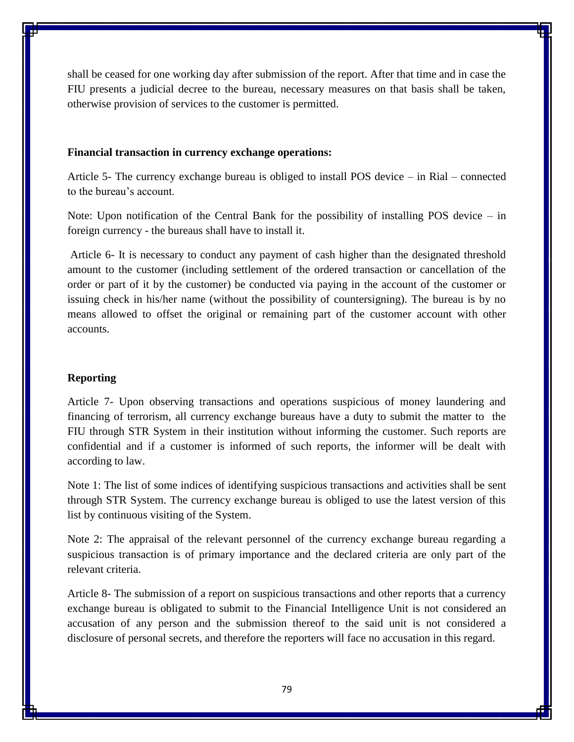shall be ceased for one working day after submission of the report. After that time and in case the FIU presents a judicial decree to the bureau, necessary measures on that basis shall be taken, otherwise provision of services to the customer is permitted.

#### **Financial transaction in currency exchange operations:**

Article 5- The currency exchange bureau is obliged to install POS device – in Rial – connected to the bureau's account.

Note: Upon notification of the Central Bank for the possibility of installing POS device – in foreign currency - the bureaus shall have to install it.

Article 6- It is necessary to conduct any payment of cash higher than the designated threshold amount to the customer (including settlement of the ordered transaction or cancellation of the order or part of it by the customer) be conducted via paying in the account of the customer or issuing check in his/her name (without the possibility of countersigning). The bureau is by no means allowed to offset the original or remaining part of the customer account with other accounts.

### **Reporting**

Article 7- Upon observing transactions and operations suspicious of money laundering and financing of terrorism, all currency exchange bureaus have a duty to submit the matter to the FIU through STR System in their institution without informing the customer. Such reports are confidential and if a customer is informed of such reports, the informer will be dealt with according to law.

Note 1: The list of some indices of identifying suspicious transactions and activities shall be sent through STR System. The currency exchange bureau is obliged to use the latest version of this list by continuous visiting of the System.

Note 2: The appraisal of the relevant personnel of the currency exchange bureau regarding a suspicious transaction is of primary importance and the declared criteria are only part of the relevant criteria.

Article 8- The submission of a report on suspicious transactions and other reports that a currency exchange bureau is obligated to submit to the Financial Intelligence Unit is not considered an accusation of any person and the submission thereof to the said unit is not considered a disclosure of personal secrets, and therefore the reporters will face no accusation in this regard.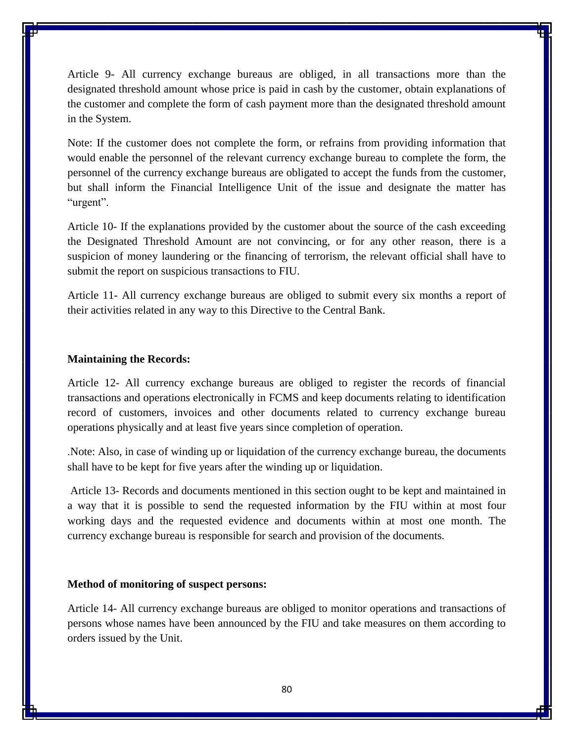Article 9- All currency exchange bureaus are obliged, in all transactions more than the designated threshold amount whose price is paid in cash by the customer, obtain explanations of the customer and complete the form of cash payment more than the designated threshold amount in the System.

Note: If the customer does not complete the form, or refrains from providing information that would enable the personnel of the relevant currency exchange bureau to complete the form, the personnel of the currency exchange bureaus are obligated to accept the funds from the customer, but shall inform the Financial Intelligence Unit of the issue and designate the matter has "urgent".

Article 10- If the explanations provided by the customer about the source of the cash exceeding the Designated Threshold Amount are not convincing, or for any other reason, there is a suspicion of money laundering or the financing of terrorism, the relevant official shall have to submit the report on suspicious transactions to FIU.

Article 11- All currency exchange bureaus are obliged to submit every six months a report of their activities related in any way to this Directive to the Central Bank.

#### **Maintaining the Records:**

Article 12- All currency exchange bureaus are obliged to register the records of financial transactions and operations electronically in FCMS and keep documents relating to identification record of customers, invoices and other documents related to currency exchange bureau operations physically and at least five years since completion of operation.

.Note: Also, in case of winding up or liquidation of the currency exchange bureau, the documents shall have to be kept for five years after the winding up or liquidation.

Article 13- Records and documents mentioned in this section ought to be kept and maintained in a way that it is possible to send the requested information by the FIU within at most four working days and the requested evidence and documents within at most one month. The currency exchange bureau is responsible for search and provision of the documents.

# **Method of monitoring of suspect persons:**

Article 14- All currency exchange bureaus are obliged to monitor operations and transactions of persons whose names have been announced by the FIU and take measures on them according to orders issued by the Unit.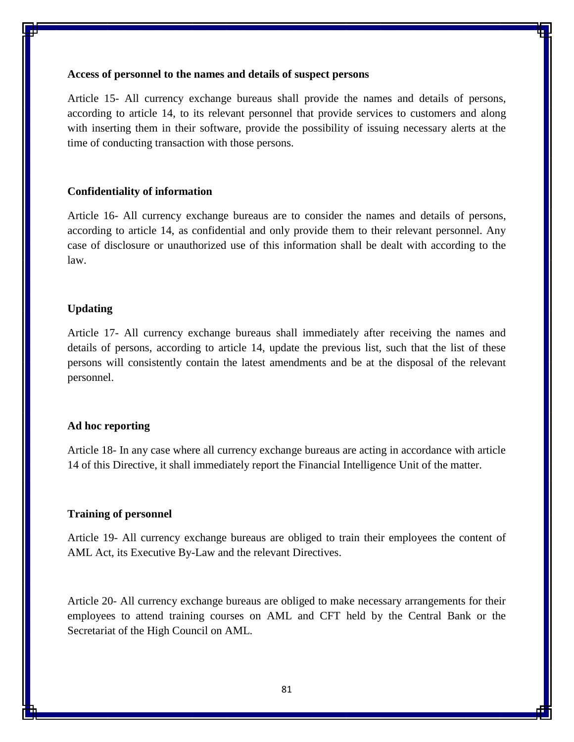#### **Access of personnel to the names and details of suspect persons**

Article 15- All currency exchange bureaus shall provide the names and details of persons, according to article 14, to its relevant personnel that provide services to customers and along with inserting them in their software, provide the possibility of issuing necessary alerts at the time of conducting transaction with those persons.

## **Confidentiality of information**

Article 16- All currency exchange bureaus are to consider the names and details of persons, according to article 14, as confidential and only provide them to their relevant personnel. Any case of disclosure or unauthorized use of this information shall be dealt with according to the law.

## **Updating**

Article 17- All currency exchange bureaus shall immediately after receiving the names and details of persons, according to article 14, update the previous list, such that the list of these persons will consistently contain the latest amendments and be at the disposal of the relevant personnel.

#### **Ad hoc reporting**

Article 18- In any case where all currency exchange bureaus are acting in accordance with article 14 of this Directive, it shall immediately report the Financial Intelligence Unit of the matter.

#### **Training of personnel**

Article 19- All currency exchange bureaus are obliged to train their employees the content of AML Act, its Executive By-Law and the relevant Directives.

Article 20- All currency exchange bureaus are obliged to make necessary arrangements for their employees to attend training courses on AML and CFT held by the Central Bank or the Secretariat of the High Council on AML.